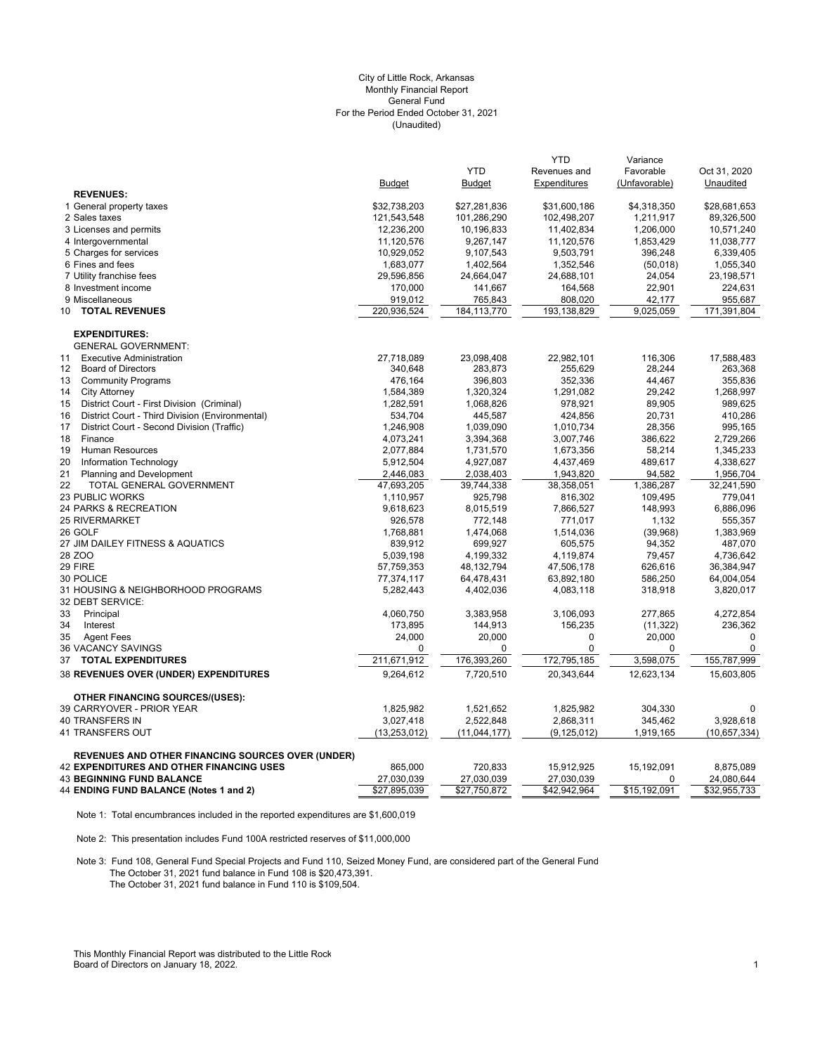# (Unaudited) City of Little Rock, Arkansas Monthly Financial Report General Fund For the Period Ended October 31, 2021

|                                                          |                |                | <b>YTD</b>    | Variance      |              |
|----------------------------------------------------------|----------------|----------------|---------------|---------------|--------------|
|                                                          |                | <b>YTD</b>     | Revenues and  | Favorable     | Oct 31, 2020 |
|                                                          | <b>Budget</b>  | <b>Budget</b>  | Expenditures  | (Unfavorable) | Unaudited    |
| <b>REVENUES:</b>                                         |                |                |               |               |              |
| 1 General property taxes                                 | \$32,738,203   | \$27,281,836   | \$31,600,186  | \$4,318,350   | \$28,681,653 |
| 2 Sales taxes                                            | 121,543,548    | 101,286,290    | 102,498,207   | 1,211,917     | 89,326,500   |
| 3 Licenses and permits                                   | 12,236,200     | 10,196,833     | 11,402,834    | 1,206,000     | 10,571,240   |
| 4 Intergovernmental                                      | 11,120,576     | 9,267,147      | 11,120,576    | 1,853,429     | 11,038,777   |
| 5 Charges for services                                   | 10,929,052     | 9,107,543      | 9,503,791     | 396,248       | 6,339,405    |
| 6 Fines and fees                                         | 1,683,077      | 1,402,564      | 1,352,546     | (50,018)      | 1,055,340    |
| 7 Utility franchise fees                                 | 29,596,856     | 24,664,047     | 24,688,101    | 24,054        | 23,198,571   |
| 8 Investment income                                      | 170,000        | 141,667        | 164,568       | 22,901        | 224,631      |
| 9 Miscellaneous                                          | 919,012        | 765,843        | 808,020       | 42,177        | 955,687      |
| <b>TOTAL REVENUES</b><br>10                              | 220,936,524    | 184, 113, 770  | 193,138,829   | 9,025,059     | 171,391,804  |
| <b>EXPENDITURES:</b>                                     |                |                |               |               |              |
| <b>GENERAL GOVERNMENT:</b>                               |                |                |               |               |              |
| <b>Executive Administration</b><br>11                    | 27,718,089     | 23,098,408     | 22,982,101    | 116,306       | 17,588,483   |
| $12 \overline{ }$<br><b>Board of Directors</b>           | 340,648        | 283,873        | 255,629       | 28,244        | 263,368      |
| <b>Community Programs</b><br>13                          | 476,164        | 396,803        | 352,336       | 44,467        | 355,836      |
| <b>City Attorney</b><br>14                               | 1,584,389      | 1,320,324      | 1,291,082     | 29,242        | 1,268,997    |
| District Court - First Division (Criminal)<br>15         | 1,282,591      | 1,068,826      | 978,921       | 89,905        | 989,625      |
| District Court - Third Division (Environmental)<br>16    | 534,704        | 445,587        | 424,856       | 20,731        | 410,286      |
| District Court - Second Division (Traffic)<br>17         | 1,246,908      | 1,039,090      | 1,010,734     | 28,356        | 995,165      |
| 18<br>Finance                                            | 4,073,241      | 3,394,368      | 3,007,746     | 386,622       | 2,729,266    |
| 19<br>Human Resources                                    | 2,077,884      | 1,731,570      | 1,673,356     | 58,214        | 1,345,233    |
| 20<br>Information Technology                             | 5,912,504      | 4,927,087      | 4,437,469     | 489,617       | 4,338,627    |
| 21<br><b>Planning and Development</b>                    | 2,446,083      | 2,038,403      | 1,943,820     | 94,582        | 1,956,704    |
| 22<br>TOTAL GENERAL GOVERNMENT                           | 47,693,205     | 39,744,338     | 38,358,051    | 1,386,287     | 32,241,590   |
| 23 PUBLIC WORKS                                          | 1,110,957      | 925,798        | 816,302       | 109,495       | 779,041      |
| 24 PARKS & RECREATION                                    | 9,618,623      | 8,015,519      | 7,866,527     | 148,993       | 6,886,096    |
| <b>25 RIVERMARKET</b>                                    | 926,578        | 772,148        | 771,017       | 1,132         | 555,357      |
| 26 GOLF                                                  | 1,768,881      | 1,474,068      | 1,514,036     | (39,968)      | 1,383,969    |
| 27 JIM DAILEY FITNESS & AQUATICS                         | 839,912        | 699,927        | 605,575       | 94,352        | 487,070      |
| 28 ZOO                                                   | 5,039,198      | 4,199,332      | 4,119,874     | 79,457        | 4,736,642    |
| 29 FIRE                                                  | 57,759,353     | 48,132,794     | 47,506,178    | 626,616       | 36,384,947   |
| 30 POLICE                                                | 77,374,117     | 64,478,431     | 63,892,180    | 586,250       | 64,004,054   |
| 31 HOUSING & NEIGHBORHOOD PROGRAMS                       | 5,282,443      | 4,402,036      | 4,083,118     | 318,918       | 3,820,017    |
| 32 DEBT SERVICE:                                         |                |                |               |               |              |
| 33<br>Principal                                          | 4,060,750      | 3,383,958      | 3,106,093     | 277,865       | 4,272,854    |
| 34<br>Interest                                           | 173,895        | 144,913        | 156,235       | (11, 322)     | 236,362      |
| 35<br><b>Agent Fees</b>                                  | 24,000         | 20,000         | 0             | 20,000        | $\mathbf 0$  |
| 36 VACANCY SAVINGS                                       | 0              | 0              | 0             | 0             | $\mathbf 0$  |
| <b>TOTAL EXPENDITURES</b><br>37                          | 211,671,912    | 176,393,260    | 172,795,185   | 3,598,075     | 155,787,999  |
| 38 REVENUES OVER (UNDER) EXPENDITURES                    | 9,264,612      | 7,720,510      | 20,343,644    | 12,623,134    | 15,603,805   |
| <b>OTHER FINANCING SOURCES/(USES):</b>                   |                |                |               |               |              |
| 39 CARRYOVER - PRIOR YEAR                                | 1,825,982      | 1,521,652      | 1,825,982     | 304,330       | 0            |
| 40 TRANSFERS IN                                          | 3,027,418      | 2,522,848      | 2,868,311     | 345,462       | 3,928,618    |
| 41 TRANSFERS OUT                                         | (13, 253, 012) | (11, 044, 177) | (9, 125, 012) | 1,919,165     | (10,657,334) |
|                                                          |                |                |               |               |              |
| <b>REVENUES AND OTHER FINANCING SOURCES OVER (UNDER)</b> |                |                |               |               |              |
| <b>42 EXPENDITURES AND OTHER FINANCING USES</b>          | 865,000        | 720,833        | 15,912,925    | 15,192,091    | 8,875,089    |
| <b>43 BEGINNING FUND BALANCE</b>                         | 27,030,039     | 27,030,039     | 27,030,039    | 0             | 24,080,644   |
| 44 ENDING FUND BALANCE (Notes 1 and 2)                   | \$27,895,039   | \$27,750,872   | \$42,942,964  | \$15,192,091  | \$32,955,733 |

Note 1: Total encumbrances included in the reported expenditures are \$1,600,019

Note 2: This presentation includes Fund 100A restricted reserves of \$11,000,000

Note 3: Fund 108, General Fund Special Projects and Fund 110, Seized Money Fund, are considered part of the General Fund The October 31, 2021 fund balance in Fund 108 is \$20,473,391. The October 31, 2021 fund balance in Fund 110 is \$109,504.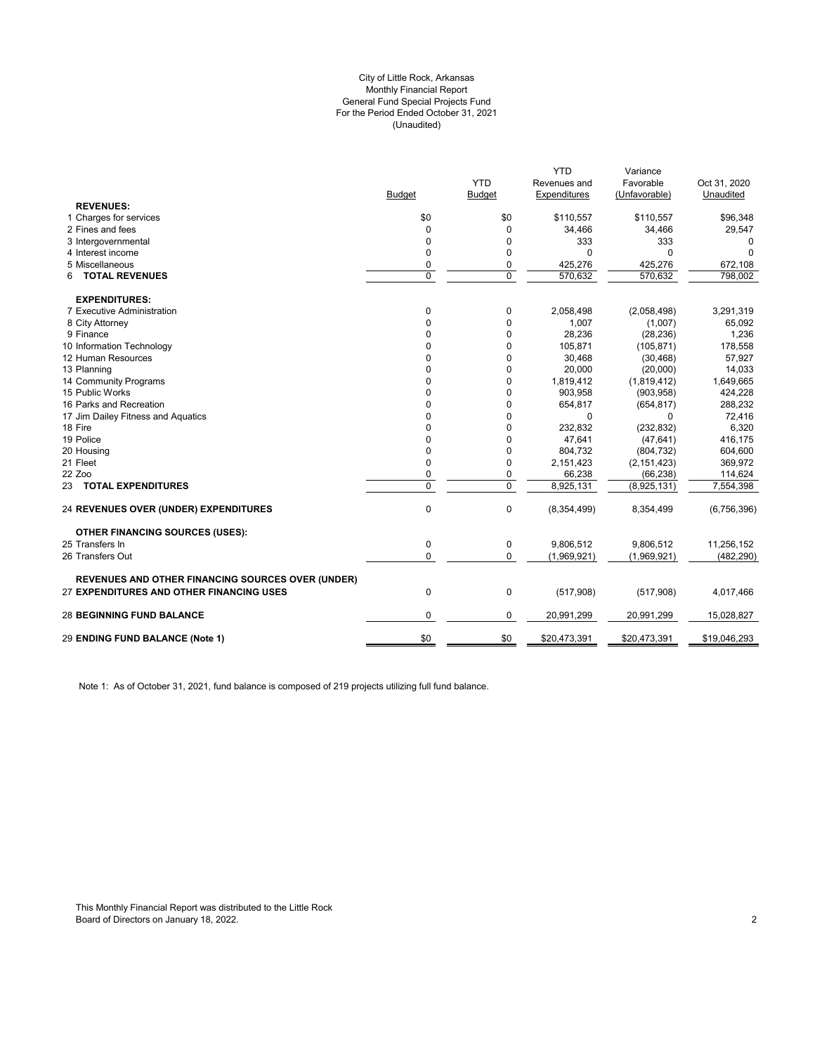### (Unaudited) City of Little Rock, Arkansas Monthly Financial Report General Fund Special Projects Fund For the Period Ended October 31, 2021

|                                                          |               |               | <b>YTD</b>   | Variance      |              |
|----------------------------------------------------------|---------------|---------------|--------------|---------------|--------------|
|                                                          |               | <b>YTD</b>    | Revenues and | Favorable     | Oct 31, 2020 |
|                                                          | <b>Budget</b> | <b>Budget</b> | Expenditures | (Unfavorable) | Unaudited    |
| <b>REVENUES:</b>                                         |               |               |              |               |              |
| 1 Charges for services                                   | \$0           | \$0           | \$110,557    | \$110,557     | \$96,348     |
| 2 Fines and fees                                         | 0             | $\mathbf 0$   | 34,466       | 34,466        | 29,547       |
| 3 Intergovernmental                                      | 0             | 0             | 333          | 333           | 0            |
| 4 Interest income                                        | 0             | 0             | $\Omega$     | 0             | $\Omega$     |
| 5 Miscellaneous                                          | 0             | 0             | 425,276      | 425,276       | 672,108      |
| <b>TOTAL REVENUES</b><br>6                               | 0             | $\mathbf 0$   | 570,632      | 570,632       | 798,002      |
| <b>EXPENDITURES:</b>                                     |               |               |              |               |              |
| 7 Executive Administration                               | 0             | 0             | 2,058,498    | (2,058,498)   | 3,291,319    |
| 8 City Attorney                                          | $\Omega$      | 0             | 1,007        | (1,007)       | 65,092       |
| 9 Finance                                                | 0             | $\mathbf 0$   | 28,236       | (28, 236)     | 1,236        |
| 10 Information Technology                                | 0             | 0             | 105,871      | (105, 871)    | 178,558      |
| 12 Human Resources                                       | 0             | 0             | 30,468       | (30, 468)     | 57,927       |
| 13 Planning                                              | 0             | 0             | 20,000       | (20,000)      | 14,033       |
| 14 Community Programs                                    | $\Omega$      | $\mathbf 0$   | 1,819,412    | (1,819,412)   | 1,649,665    |
| 15 Public Works                                          | 0             | 0             | 903,958      | (903, 958)    | 424,228      |
| 16 Parks and Recreation                                  | $\Omega$      | 0             | 654,817      | (654, 817)    | 288,232      |
| 17 Jim Dailey Fitness and Aquatics                       | $\Omega$      | 0             | $\Omega$     | $\Omega$      | 72,416       |
| 18 Fire                                                  | 0             | 0             | 232,832      | (232, 832)    | 6,320        |
| 19 Police                                                | $\Omega$      | $\mathbf 0$   | 47,641       | (47, 641)     | 416,175      |
| 20 Housing                                               | $\Omega$      | 0             | 804,732      | (804, 732)    | 604,600      |
| 21 Fleet                                                 | 0             | $\mathbf 0$   | 2,151,423    | (2, 151, 423) | 369,972      |
| 22 Zoo                                                   | 0             | 0             | 66,238       | (66, 238)     | 114,624      |
| 23 TOTAL EXPENDITURES                                    | $\Omega$      | $\mathbf 0$   | 8,925,131    | (8,925,131)   | 7,554,398    |
| <b>24 REVENUES OVER (UNDER) EXPENDITURES</b>             | $\pmb{0}$     | $\mathbf 0$   | (8,354,499)  | 8,354,499     | (6,756,396)  |
| <b>OTHER FINANCING SOURCES (USES):</b>                   |               |               |              |               |              |
| 25 Transfers In                                          | 0             | 0             | 9,806,512    | 9,806,512     | 11,256,152   |
| 26 Transfers Out                                         | 0             | $\mathbf 0$   | (1,969,921)  | (1,969,921)   | (482, 290)   |
| <b>REVENUES AND OTHER FINANCING SOURCES OVER (UNDER)</b> |               |               |              |               |              |
| 27 EXPENDITURES AND OTHER FINANCING USES                 | $\pmb{0}$     | 0             | (517,908)    | (517,908)     | 4,017,466    |
| <b>28 BEGINNING FUND BALANCE</b>                         | 0             | 0             | 20,991,299   | 20,991,299    | 15,028,827   |
| 29 ENDING FUND BALANCE (Note 1)                          | \$0           | \$0           | \$20,473,391 | \$20,473,391  | \$19,046,293 |
|                                                          |               |               |              |               |              |

Note 1: As of October 31, 2021, fund balance is composed of 219 projects utilizing full fund balance.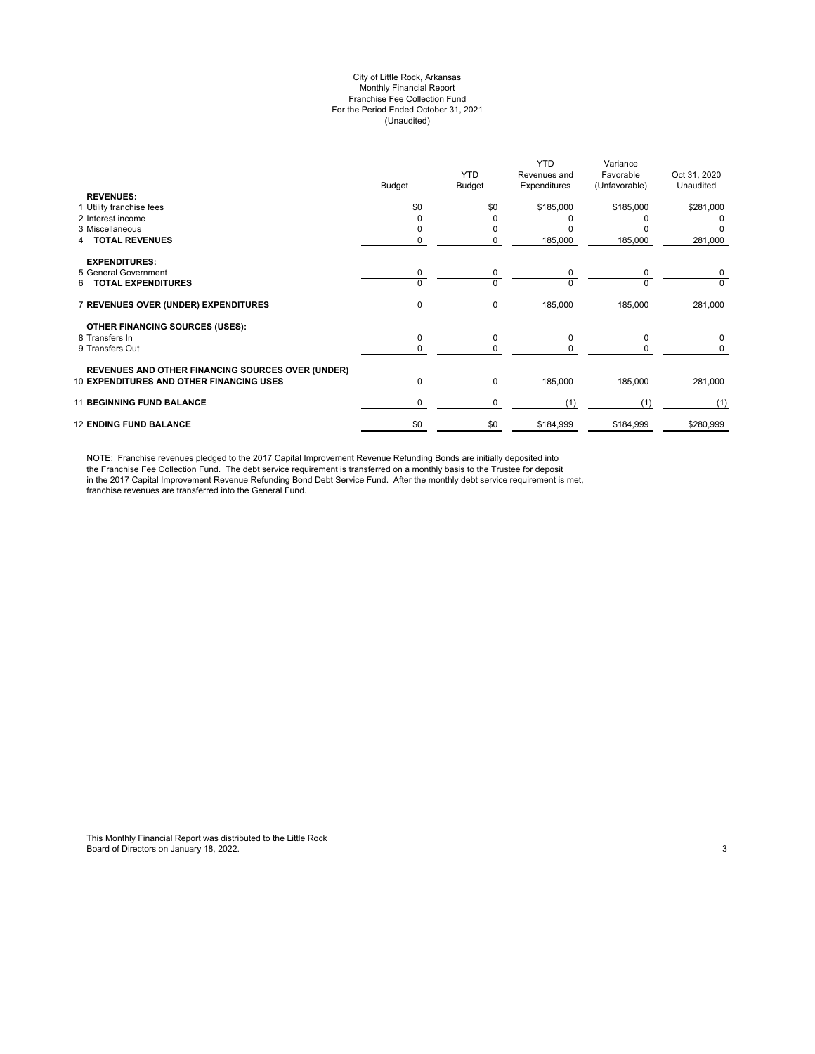### City of Little Rock, Arkansas Monthly Financial Report Franchise Fee Collection Fund For the Period Ended October 31, 2021 (Unaudited)

|                                                                                                             | Budget   | <b>YTD</b><br>Budget | <b>YTD</b><br>Revenues and<br>Expenditures | Variance<br>Favorable<br>(Unfavorable) | Oct 31, 2020<br>Unaudited |
|-------------------------------------------------------------------------------------------------------------|----------|----------------------|--------------------------------------------|----------------------------------------|---------------------------|
| <b>REVENUES:</b>                                                                                            | \$0      | \$0                  | \$185,000                                  | \$185,000                              | \$281,000                 |
| 1 Utility franchise fees<br>2 Interest income                                                               |          | ŋ                    |                                            |                                        | 0                         |
| 3 Miscellaneous                                                                                             |          | 0                    |                                            |                                        |                           |
| <b>TOTAL REVENUES</b>                                                                                       | $\Omega$ | 0                    | 185,000                                    | 185,000                                | 281,000                   |
|                                                                                                             |          |                      |                                            |                                        |                           |
| <b>EXPENDITURES:</b>                                                                                        |          |                      |                                            |                                        |                           |
| 5 General Government                                                                                        | 0        | 0                    | 0                                          | 0                                      | 0                         |
| <b>TOTAL EXPENDITURES</b><br>6.                                                                             | $\Omega$ | 0                    | $\Omega$                                   | $\Omega$                               | 0                         |
| 7 REVENUES OVER (UNDER) EXPENDITURES                                                                        | 0        | 0                    | 185,000                                    | 185,000                                | 281,000                   |
| OTHER FINANCING SOURCES (USES):                                                                             |          |                      |                                            |                                        |                           |
| 8 Transfers In                                                                                              | 0        | 0                    | $\Omega$                                   | $\Omega$                               | 0                         |
| 9 Transfers Out                                                                                             | $\Omega$ | 0                    | $\Omega$                                   | 0                                      | 0                         |
|                                                                                                             |          |                      |                                            |                                        |                           |
| <b>REVENUES AND OTHER FINANCING SOURCES OVER (UNDER)</b><br><b>10 EXPENDITURES AND OTHER FINANCING USES</b> | 0        | 0                    | 185,000                                    | 185,000                                | 281,000                   |
| <b>11 BEGINNING FUND BALANCE</b>                                                                            | 0        | 0                    | (1)                                        | (1)                                    | (1)                       |
| <b>12 ENDING FUND BALANCE</b>                                                                               | \$0      | \$0                  | \$184,999                                  | \$184,999                              | \$280,999                 |

NOTE: Franchise revenues pledged to the 2017 Capital Improvement Revenue Refunding Bonds are initially deposited into the Franchise Fee Collection Fund. The debt service requirement is transferred on a monthly basis to the Trustee for deposit in the 2017 Capital Improvement Revenue Refunding Bond Debt Service Fund. After the monthly debt service requirement is met, franchise revenues are transferred into the General Fund.

This Monthly Financial Report was distributed to the Little Rock Board of Directors on January 18, 2022. 2002 12:38 and 2002 12:38 and 2003 12:38 and 2008 12:38 and 2009 12:38 and 2009 12:38 and 2009 12:38 and 2009 12:38 and 2009 12:38 and 2009 12:38 and 2009 12:38 and 2009 12:38 and 20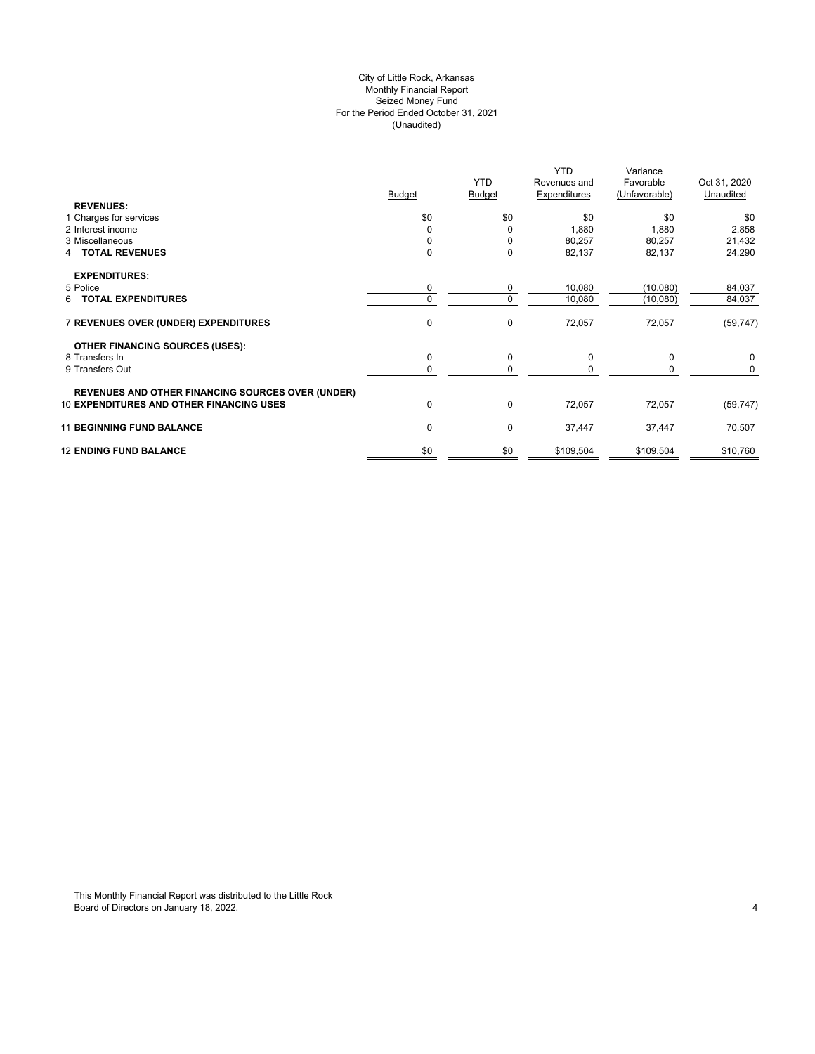# City of Little Rock, Arkansas (Unaudited) For the Period Ended October 31, 2021 Seized Money Fund Monthly Financial Report

| <b>REVENUES:</b>                                         | <b>Budget</b> | <b>YTD</b><br><b>Budget</b> | YTD.<br>Revenues and<br>Expenditures | Variance<br>Favorable<br>(Unfavorable) | Oct 31, 2020<br>Unaudited |
|----------------------------------------------------------|---------------|-----------------------------|--------------------------------------|----------------------------------------|---------------------------|
| 1 Charges for services                                   | \$0           | \$0                         | \$0                                  | \$0                                    | \$0                       |
| 2 Interest income                                        |               | 0                           | 1,880                                | 1,880                                  | 2,858                     |
| 3 Miscellaneous                                          |               | 0                           | 80,257                               | 80,257                                 | 21,432                    |
| <b>TOTAL REVENUES</b><br>4                               |               | 0                           | 82,137                               | 82,137                                 | 24,290                    |
| <b>EXPENDITURES:</b>                                     |               |                             |                                      |                                        |                           |
| 5 Police                                                 | 0             | 0                           | 10,080                               | (10,080)                               | 84,037                    |
| 6 TOTAL EXPENDITURES                                     |               | 0                           | 10,080                               | (10,080)                               | 84,037                    |
| 7 REVENUES OVER (UNDER) EXPENDITURES                     | $\mathbf 0$   | 0                           | 72,057                               | 72,057                                 | (59, 747)                 |
| <b>OTHER FINANCING SOURCES (USES):</b>                   |               |                             |                                      |                                        |                           |
| 8 Transfers In                                           | $\mathbf 0$   | 0                           | 0                                    | 0                                      | 0                         |
| 9 Transfers Out                                          |               | 0                           | $\Omega$                             | 0                                      | 0                         |
| <b>REVENUES AND OTHER FINANCING SOURCES OVER (UNDER)</b> |               |                             |                                      |                                        |                           |
| <b>10 EXPENDITURES AND OTHER FINANCING USES</b>          | $\mathbf 0$   | 0                           | 72,057                               | 72,057                                 | (59, 747)                 |
| <b>11 BEGINNING FUND BALANCE</b>                         | 0             | 0                           | 37,447                               | 37,447                                 | 70,507                    |
| <b>12 ENDING FUND BALANCE</b>                            | \$0           | \$0                         | \$109,504                            | \$109,504                              | \$10,760                  |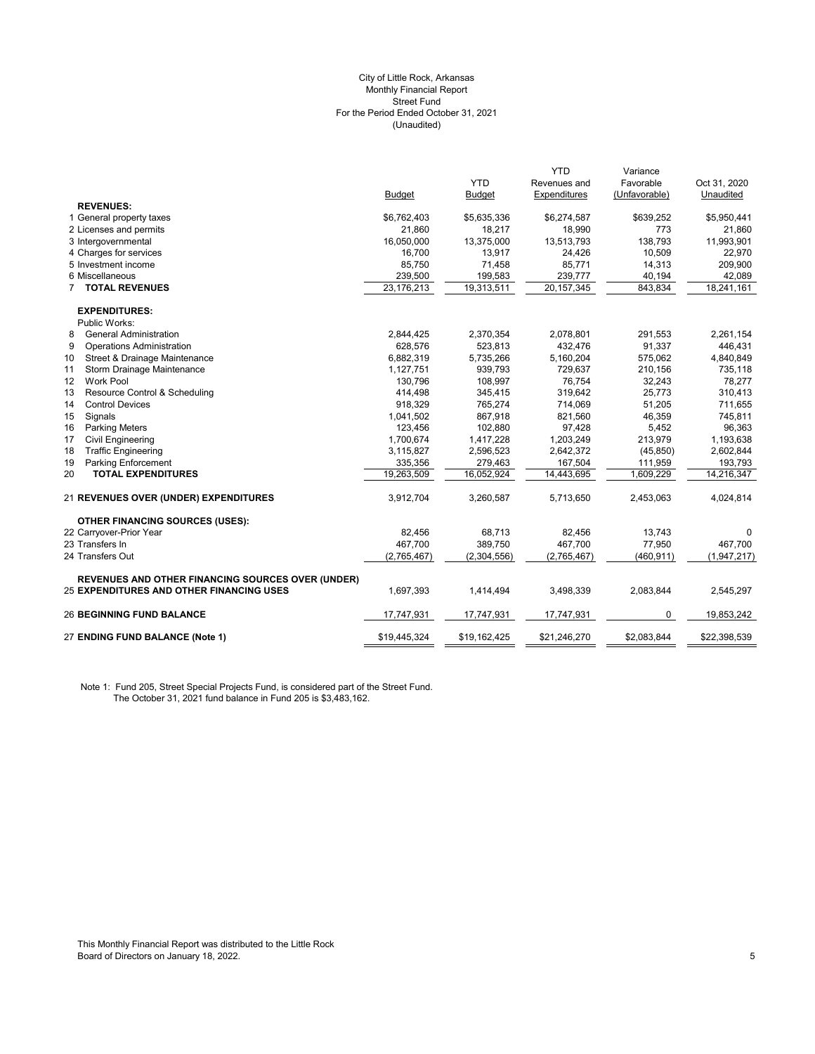#### (Unaudited) City of Little Rock, Arkansas Monthly Financial Report Street Fund For the Period Ended October 31, 2021

| <b>YTD</b><br>Favorable<br>Revenues and<br>Expenditures<br>(Unfavorable)<br><b>Budget</b><br><b>Budget</b><br><b>REVENUES:</b><br>1 General property taxes<br>\$5,635,336<br>\$6,274,587<br>\$639,252<br>\$6,762,403<br>2 Licenses and permits<br>21,860<br>18,217<br>18,990<br>773<br>138,793<br>3 Intergovernmental<br>16,050,000<br>13,375,000<br>13,513,793<br>4 Charges for services<br>16,700<br>13,917<br>24,426<br>10,509<br>5 Investment income<br>85,750<br>71,458<br>85,771<br>14,313<br>6 Miscellaneous<br>239,500<br>239,777<br>199,583<br>40,194<br>23,176,213<br>19,313,511<br><b>7 TOTAL REVENUES</b><br>20, 157, 345<br>843,834<br><b>EXPENDITURES:</b><br>Public Works:<br>8<br><b>General Administration</b><br>2,844,425<br>2,370,354<br>2,078,801<br>291,553<br>523,813<br>432,476<br>91,337<br>9<br><b>Operations Administration</b><br>628,576<br>10<br>Street & Drainage Maintenance<br>6,882,319<br>5,735,266<br>575,062<br>5,160,204<br>939,793<br>11<br>Storm Drainage Maintenance<br>1,127,751<br>729,637<br>210,156<br>12<br><b>Work Pool</b><br>108.997<br>76.754<br>32.243<br>130.796<br>13<br>Resource Control & Scheduling<br>319,642<br>25,773<br>414,498<br>345,415<br>14<br><b>Control Devices</b><br>765,274<br>714,069<br>51,205<br>918,329<br>15<br>867,918<br>46,359<br>Signals<br>1,041,502<br>821,560<br>16<br>123,456<br>102,880<br>97,428<br>5,452<br><b>Parking Meters</b><br>213,979<br>17<br><b>Civil Engineering</b><br>1,417,228<br>1,203,249<br>1,700,674<br><b>Traffic Engineering</b><br>2,642,372<br>18<br>3,115,827<br>2,596,523<br>(45, 850)<br>19<br><b>Parking Enforcement</b><br>335,356<br>279,463<br>167,504<br>111,959<br>19,263,509<br>1,609,229<br>20<br><b>TOTAL EXPENDITURES</b><br>16,052,924<br>14,443,695<br>3,912,704<br>3,260,587<br>5,713,650<br>2,453,063<br>21 REVENUES OVER (UNDER) EXPENDITURES | Oct 31, 2020<br>Unaudited<br>\$5,950,441<br>21,860<br>11,993,901<br>22,970<br>209,900<br>42,089<br>18,241,161<br>2,261,154<br>446,431<br>4,840,849<br>735,118<br>78,277<br>310,413 |
|----------------------------------------------------------------------------------------------------------------------------------------------------------------------------------------------------------------------------------------------------------------------------------------------------------------------------------------------------------------------------------------------------------------------------------------------------------------------------------------------------------------------------------------------------------------------------------------------------------------------------------------------------------------------------------------------------------------------------------------------------------------------------------------------------------------------------------------------------------------------------------------------------------------------------------------------------------------------------------------------------------------------------------------------------------------------------------------------------------------------------------------------------------------------------------------------------------------------------------------------------------------------------------------------------------------------------------------------------------------------------------------------------------------------------------------------------------------------------------------------------------------------------------------------------------------------------------------------------------------------------------------------------------------------------------------------------------------------------------------------------------------------------------------------------------------------------------------------------------------------------|------------------------------------------------------------------------------------------------------------------------------------------------------------------------------------|
|                                                                                                                                                                                                                                                                                                                                                                                                                                                                                                                                                                                                                                                                                                                                                                                                                                                                                                                                                                                                                                                                                                                                                                                                                                                                                                                                                                                                                                                                                                                                                                                                                                                                                                                                                                                                                                                                            |                                                                                                                                                                                    |
|                                                                                                                                                                                                                                                                                                                                                                                                                                                                                                                                                                                                                                                                                                                                                                                                                                                                                                                                                                                                                                                                                                                                                                                                                                                                                                                                                                                                                                                                                                                                                                                                                                                                                                                                                                                                                                                                            |                                                                                                                                                                                    |
|                                                                                                                                                                                                                                                                                                                                                                                                                                                                                                                                                                                                                                                                                                                                                                                                                                                                                                                                                                                                                                                                                                                                                                                                                                                                                                                                                                                                                                                                                                                                                                                                                                                                                                                                                                                                                                                                            |                                                                                                                                                                                    |
|                                                                                                                                                                                                                                                                                                                                                                                                                                                                                                                                                                                                                                                                                                                                                                                                                                                                                                                                                                                                                                                                                                                                                                                                                                                                                                                                                                                                                                                                                                                                                                                                                                                                                                                                                                                                                                                                            |                                                                                                                                                                                    |
|                                                                                                                                                                                                                                                                                                                                                                                                                                                                                                                                                                                                                                                                                                                                                                                                                                                                                                                                                                                                                                                                                                                                                                                                                                                                                                                                                                                                                                                                                                                                                                                                                                                                                                                                                                                                                                                                            |                                                                                                                                                                                    |
|                                                                                                                                                                                                                                                                                                                                                                                                                                                                                                                                                                                                                                                                                                                                                                                                                                                                                                                                                                                                                                                                                                                                                                                                                                                                                                                                                                                                                                                                                                                                                                                                                                                                                                                                                                                                                                                                            |                                                                                                                                                                                    |
|                                                                                                                                                                                                                                                                                                                                                                                                                                                                                                                                                                                                                                                                                                                                                                                                                                                                                                                                                                                                                                                                                                                                                                                                                                                                                                                                                                                                                                                                                                                                                                                                                                                                                                                                                                                                                                                                            |                                                                                                                                                                                    |
|                                                                                                                                                                                                                                                                                                                                                                                                                                                                                                                                                                                                                                                                                                                                                                                                                                                                                                                                                                                                                                                                                                                                                                                                                                                                                                                                                                                                                                                                                                                                                                                                                                                                                                                                                                                                                                                                            |                                                                                                                                                                                    |
|                                                                                                                                                                                                                                                                                                                                                                                                                                                                                                                                                                                                                                                                                                                                                                                                                                                                                                                                                                                                                                                                                                                                                                                                                                                                                                                                                                                                                                                                                                                                                                                                                                                                                                                                                                                                                                                                            |                                                                                                                                                                                    |
|                                                                                                                                                                                                                                                                                                                                                                                                                                                                                                                                                                                                                                                                                                                                                                                                                                                                                                                                                                                                                                                                                                                                                                                                                                                                                                                                                                                                                                                                                                                                                                                                                                                                                                                                                                                                                                                                            |                                                                                                                                                                                    |
|                                                                                                                                                                                                                                                                                                                                                                                                                                                                                                                                                                                                                                                                                                                                                                                                                                                                                                                                                                                                                                                                                                                                                                                                                                                                                                                                                                                                                                                                                                                                                                                                                                                                                                                                                                                                                                                                            |                                                                                                                                                                                    |
|                                                                                                                                                                                                                                                                                                                                                                                                                                                                                                                                                                                                                                                                                                                                                                                                                                                                                                                                                                                                                                                                                                                                                                                                                                                                                                                                                                                                                                                                                                                                                                                                                                                                                                                                                                                                                                                                            |                                                                                                                                                                                    |
|                                                                                                                                                                                                                                                                                                                                                                                                                                                                                                                                                                                                                                                                                                                                                                                                                                                                                                                                                                                                                                                                                                                                                                                                                                                                                                                                                                                                                                                                                                                                                                                                                                                                                                                                                                                                                                                                            |                                                                                                                                                                                    |
|                                                                                                                                                                                                                                                                                                                                                                                                                                                                                                                                                                                                                                                                                                                                                                                                                                                                                                                                                                                                                                                                                                                                                                                                                                                                                                                                                                                                                                                                                                                                                                                                                                                                                                                                                                                                                                                                            |                                                                                                                                                                                    |
|                                                                                                                                                                                                                                                                                                                                                                                                                                                                                                                                                                                                                                                                                                                                                                                                                                                                                                                                                                                                                                                                                                                                                                                                                                                                                                                                                                                                                                                                                                                                                                                                                                                                                                                                                                                                                                                                            |                                                                                                                                                                                    |
|                                                                                                                                                                                                                                                                                                                                                                                                                                                                                                                                                                                                                                                                                                                                                                                                                                                                                                                                                                                                                                                                                                                                                                                                                                                                                                                                                                                                                                                                                                                                                                                                                                                                                                                                                                                                                                                                            |                                                                                                                                                                                    |
|                                                                                                                                                                                                                                                                                                                                                                                                                                                                                                                                                                                                                                                                                                                                                                                                                                                                                                                                                                                                                                                                                                                                                                                                                                                                                                                                                                                                                                                                                                                                                                                                                                                                                                                                                                                                                                                                            |                                                                                                                                                                                    |
|                                                                                                                                                                                                                                                                                                                                                                                                                                                                                                                                                                                                                                                                                                                                                                                                                                                                                                                                                                                                                                                                                                                                                                                                                                                                                                                                                                                                                                                                                                                                                                                                                                                                                                                                                                                                                                                                            |                                                                                                                                                                                    |
|                                                                                                                                                                                                                                                                                                                                                                                                                                                                                                                                                                                                                                                                                                                                                                                                                                                                                                                                                                                                                                                                                                                                                                                                                                                                                                                                                                                                                                                                                                                                                                                                                                                                                                                                                                                                                                                                            | 711,655                                                                                                                                                                            |
|                                                                                                                                                                                                                                                                                                                                                                                                                                                                                                                                                                                                                                                                                                                                                                                                                                                                                                                                                                                                                                                                                                                                                                                                                                                                                                                                                                                                                                                                                                                                                                                                                                                                                                                                                                                                                                                                            | 745,811                                                                                                                                                                            |
|                                                                                                                                                                                                                                                                                                                                                                                                                                                                                                                                                                                                                                                                                                                                                                                                                                                                                                                                                                                                                                                                                                                                                                                                                                                                                                                                                                                                                                                                                                                                                                                                                                                                                                                                                                                                                                                                            | 96,363                                                                                                                                                                             |
|                                                                                                                                                                                                                                                                                                                                                                                                                                                                                                                                                                                                                                                                                                                                                                                                                                                                                                                                                                                                                                                                                                                                                                                                                                                                                                                                                                                                                                                                                                                                                                                                                                                                                                                                                                                                                                                                            | 1,193,638                                                                                                                                                                          |
|                                                                                                                                                                                                                                                                                                                                                                                                                                                                                                                                                                                                                                                                                                                                                                                                                                                                                                                                                                                                                                                                                                                                                                                                                                                                                                                                                                                                                                                                                                                                                                                                                                                                                                                                                                                                                                                                            | 2,602,844                                                                                                                                                                          |
|                                                                                                                                                                                                                                                                                                                                                                                                                                                                                                                                                                                                                                                                                                                                                                                                                                                                                                                                                                                                                                                                                                                                                                                                                                                                                                                                                                                                                                                                                                                                                                                                                                                                                                                                                                                                                                                                            | 193,793                                                                                                                                                                            |
|                                                                                                                                                                                                                                                                                                                                                                                                                                                                                                                                                                                                                                                                                                                                                                                                                                                                                                                                                                                                                                                                                                                                                                                                                                                                                                                                                                                                                                                                                                                                                                                                                                                                                                                                                                                                                                                                            | 14,216,347                                                                                                                                                                         |
|                                                                                                                                                                                                                                                                                                                                                                                                                                                                                                                                                                                                                                                                                                                                                                                                                                                                                                                                                                                                                                                                                                                                                                                                                                                                                                                                                                                                                                                                                                                                                                                                                                                                                                                                                                                                                                                                            | 4,024,814                                                                                                                                                                          |
| <b>OTHER FINANCING SOURCES (USES):</b>                                                                                                                                                                                                                                                                                                                                                                                                                                                                                                                                                                                                                                                                                                                                                                                                                                                                                                                                                                                                                                                                                                                                                                                                                                                                                                                                                                                                                                                                                                                                                                                                                                                                                                                                                                                                                                     |                                                                                                                                                                                    |
| 13,743<br>22 Carryover-Prior Year<br>82,456<br>68,713<br>82,456                                                                                                                                                                                                                                                                                                                                                                                                                                                                                                                                                                                                                                                                                                                                                                                                                                                                                                                                                                                                                                                                                                                                                                                                                                                                                                                                                                                                                                                                                                                                                                                                                                                                                                                                                                                                            | 0                                                                                                                                                                                  |
| 23 Transfers In<br>467,700<br>389,750<br>467,700<br>77,950                                                                                                                                                                                                                                                                                                                                                                                                                                                                                                                                                                                                                                                                                                                                                                                                                                                                                                                                                                                                                                                                                                                                                                                                                                                                                                                                                                                                                                                                                                                                                                                                                                                                                                                                                                                                                 | 467,700                                                                                                                                                                            |
| 24 Transfers Out<br>(2,765,467)<br>(2,304,556)<br>(2,765,467)<br>(460, 911)                                                                                                                                                                                                                                                                                                                                                                                                                                                                                                                                                                                                                                                                                                                                                                                                                                                                                                                                                                                                                                                                                                                                                                                                                                                                                                                                                                                                                                                                                                                                                                                                                                                                                                                                                                                                | (1,947,217)                                                                                                                                                                        |
| <b>REVENUES AND OTHER FINANCING SOURCES OVER (UNDER)</b>                                                                                                                                                                                                                                                                                                                                                                                                                                                                                                                                                                                                                                                                                                                                                                                                                                                                                                                                                                                                                                                                                                                                                                                                                                                                                                                                                                                                                                                                                                                                                                                                                                                                                                                                                                                                                   |                                                                                                                                                                                    |
| 25 EXPENDITURES AND OTHER FINANCING USES<br>1,697,393<br>1,414,494<br>3,498,339<br>2,083,844                                                                                                                                                                                                                                                                                                                                                                                                                                                                                                                                                                                                                                                                                                                                                                                                                                                                                                                                                                                                                                                                                                                                                                                                                                                                                                                                                                                                                                                                                                                                                                                                                                                                                                                                                                               | 2,545,297                                                                                                                                                                          |
| <b>26 BEGINNING FUND BALANCE</b><br>17,747,931<br>17,747,931<br>17,747,931<br>0                                                                                                                                                                                                                                                                                                                                                                                                                                                                                                                                                                                                                                                                                                                                                                                                                                                                                                                                                                                                                                                                                                                                                                                                                                                                                                                                                                                                                                                                                                                                                                                                                                                                                                                                                                                            | 19,853,242                                                                                                                                                                         |
| 27 ENDING FUND BALANCE (Note 1)<br>\$19,445,324<br>\$21,246,270<br>\$2,083,844<br>\$19,162,425                                                                                                                                                                                                                                                                                                                                                                                                                                                                                                                                                                                                                                                                                                                                                                                                                                                                                                                                                                                                                                                                                                                                                                                                                                                                                                                                                                                                                                                                                                                                                                                                                                                                                                                                                                             | \$22,398,539                                                                                                                                                                       |

Note 1: Fund 205, Street Special Projects Fund, is considered part of the Street Fund. The October 31, 2021 fund balance in Fund 205 is \$3,483,162.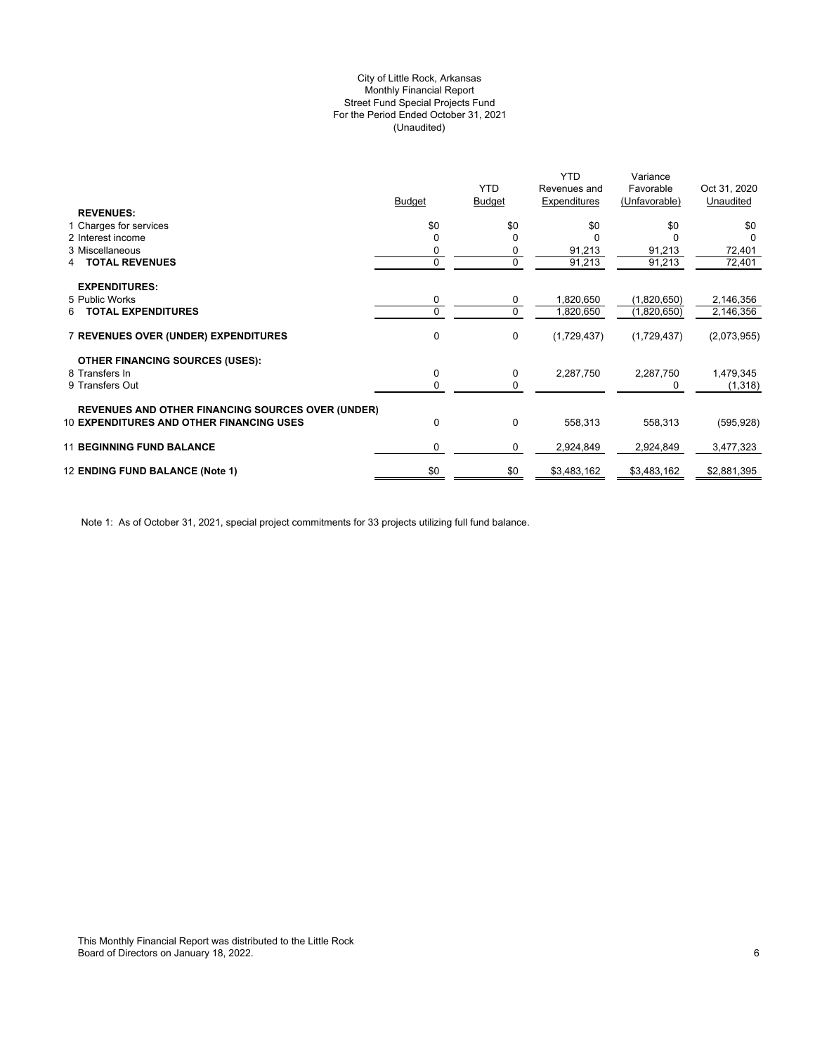# (Unaudited) City of Little Rock, Arkansas Monthly Financial Report Street Fund Special Projects Fund For the Period Ended October 31, 2021

|                                                          |             |               | <b>YTD</b>   | Variance      |              |
|----------------------------------------------------------|-------------|---------------|--------------|---------------|--------------|
|                                                          |             | <b>YTD</b>    | Revenues and | Favorable     | Oct 31, 2020 |
| <b>REVENUES:</b>                                         | Budget      | <b>Budget</b> | Expenditures | (Unfavorable) | Unaudited    |
| 1 Charges for services                                   | \$0         | \$0           | \$0          | \$0           | \$0          |
| 2 Interest income                                        |             | $\Omega$      |              |               |              |
| 3 Miscellaneous                                          | 0           | 0             | 91,213       | 91,213        | 72,401       |
| <b>TOTAL REVENUES</b><br>4                               | $\mathbf 0$ | 0             | 91,213       | 91,213        | 72,401       |
|                                                          |             |               |              |               |              |
| <b>EXPENDITURES:</b>                                     |             |               |              |               |              |
| 5 Public Works                                           | 0           | 0             | 1,820,650    | (1,820,650)   | 2,146,356    |
| <b>TOTAL EXPENDITURES</b><br>6                           | 0           | 0             | 1,820,650    | (1,820,650)   | 2,146,356    |
|                                                          |             |               |              |               |              |
| 7 REVENUES OVER (UNDER) EXPENDITURES                     | 0           | 0             | (1,729,437)  | (1,729,437)   | (2,073,955)  |
|                                                          |             |               |              |               |              |
| <b>OTHER FINANCING SOURCES (USES):</b>                   |             |               |              |               |              |
| 8 Transfers In                                           | 0           | 0             | 2,287,750    | 2,287,750     | 1,479,345    |
| 9 Transfers Out                                          | 0           | 0             |              | 0             | (1, 318)     |
|                                                          |             |               |              |               |              |
| <b>REVENUES AND OTHER FINANCING SOURCES OVER (UNDER)</b> |             |               |              |               |              |
| <b>10 EXPENDITURES AND OTHER FINANCING USES</b>          | 0           | 0             | 558,313      | 558,313       | (595, 928)   |
|                                                          |             |               |              |               |              |
| <b>11 BEGINNING FUND BALANCE</b>                         | $\Omega$    | 0             | 2,924,849    | 2,924,849     | 3,477,323    |
| 12 ENDING FUND BALANCE (Note 1)                          | \$0         | \$0           | \$3,483,162  | \$3,483,162   | \$2,881,395  |
|                                                          |             |               |              |               |              |

Note 1: As of October 31, 2021, special project commitments for 33 projects utilizing full fund balance.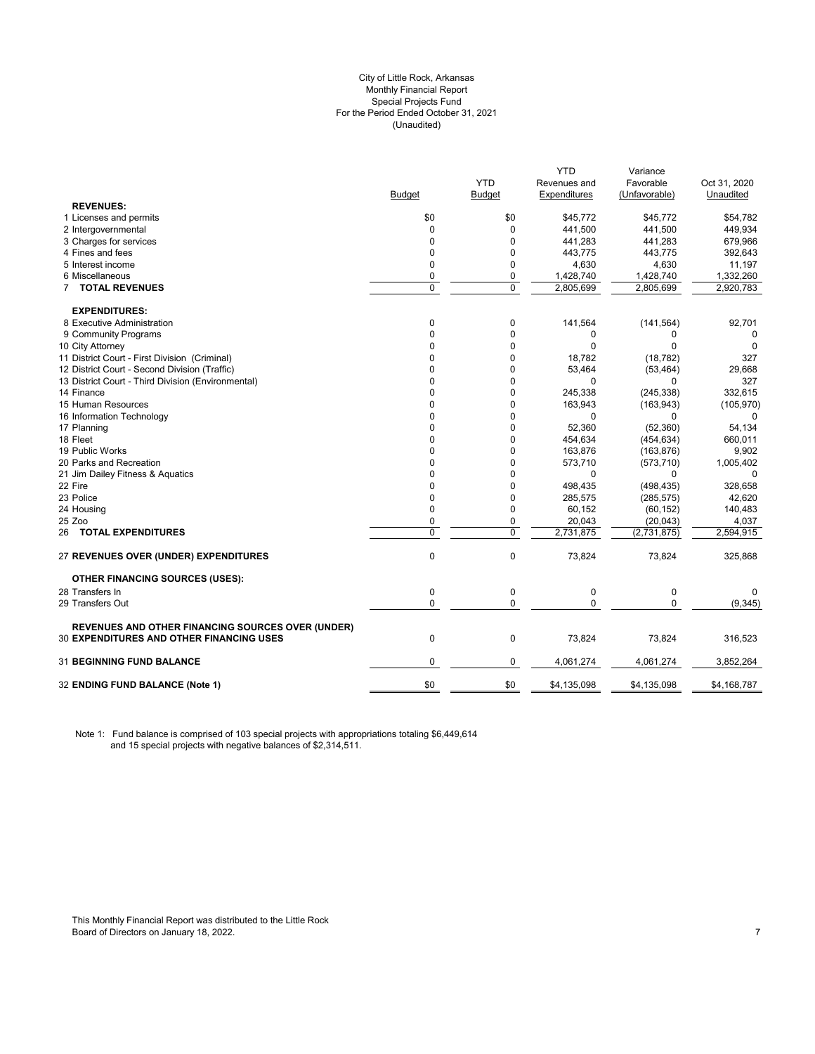### City of Little Rock, Arkansas (Unaudited) For the Period Ended October 31, 2021 Special Projects Fund Monthly Financial Report

|                                                          |               |               | <b>YTD</b>   | Variance      |              |
|----------------------------------------------------------|---------------|---------------|--------------|---------------|--------------|
|                                                          |               | <b>YTD</b>    | Revenues and | Favorable     | Oct 31, 2020 |
|                                                          | <b>Budget</b> | <b>Budget</b> | Expenditures | (Unfavorable) | Unaudited    |
| <b>REVENUES:</b>                                         |               |               |              |               |              |
| 1 Licenses and permits                                   | \$0           | \$0           | \$45,772     | \$45,772      | \$54,782     |
| 2 Intergovernmental                                      | 0             | $\Omega$      | 441,500      | 441,500       | 449,934      |
| 3 Charges for services                                   | $\Omega$      | 0             | 441,283      | 441,283       | 679,966      |
| 4 Fines and fees                                         | 0             | 0             | 443,775      | 443,775       | 392,643      |
| 5 Interest income                                        | $\mathbf 0$   | 0             | 4,630        | 4,630         | 11,197       |
| 6 Miscellaneous                                          | 0             | 0             | 1,428,740    | 1,428,740     | 1,332,260    |
| <b>7 TOTAL REVENUES</b>                                  | $\mathbf 0$   | $\mathbf 0$   | 2,805,699    | 2,805,699     | 2,920,783    |
| <b>EXPENDITURES:</b>                                     |               |               |              |               |              |
| 8 Executive Administration                               | 0             | 0             | 141,564      | (141, 564)    | 92,701       |
| 9 Community Programs                                     | 0             | 0             | 0            | 0             | 0            |
| 10 City Attorney                                         | $\Omega$      | 0             | $\Omega$     | 0             | $\Omega$     |
| 11 District Court - First Division (Criminal)            | $\mathbf 0$   | $\mathbf 0$   | 18,782       | (18, 782)     | 327          |
| 12 District Court - Second Division (Traffic)            | $\Omega$      | 0             | 53,464       | (53, 464)     | 29,668       |
| 13 District Court - Third Division (Environmental)       | $\Omega$      | 0             | $\Omega$     | $\Omega$      | 327          |
| 14 Finance                                               | $\Omega$      | 0             | 245,338      | (245, 338)    | 332,615      |
| 15 Human Resources                                       | $\Omega$      | 0             | 163,943      | (163, 943)    | (105, 970)   |
| 16 Information Technology                                | $\Omega$      | 0             | $\Omega$     | 0             | 0            |
| 17 Planning                                              | 0             | 0             | 52,360       | (52, 360)     | 54,134       |
| 18 Fleet                                                 | 0             | 0             | 454,634      | (454, 634)    | 660,011      |
| 19 Public Works                                          | $\Omega$      | 0             | 163,876      | (163, 876)    | 9,902        |
| 20 Parks and Recreation                                  | $\mathbf 0$   | 0             | 573,710      | (573, 710)    | 1,005,402    |
| 21 Jim Dailey Fitness & Aquatics                         | 0             | 0             | 0            | 0             | 0            |
| 22 Fire                                                  | $\Omega$      | 0             | 498,435      | (498, 435)    | 328,658      |
| 23 Police                                                | 0             | 0             | 285,575      | (285, 575)    | 42,620       |
| 24 Housing                                               | $\Omega$      | 0             | 60,152       | (60, 152)     | 140,483      |
| 25 Zoo                                                   | $\mathbf 0$   | 0             | 20,043       | (20, 043)     | 4,037        |
| <b>26 TOTAL EXPENDITURES</b>                             | $\mathbf 0$   | $\mathbf 0$   | 2,731,875    | (2,731,875)   | 2,594,915    |
| 27 REVENUES OVER (UNDER) EXPENDITURES                    | $\mathbf 0$   | $\pmb{0}$     | 73,824       | 73,824        | 325,868      |
| <b>OTHER FINANCING SOURCES (USES):</b>                   |               |               |              |               |              |
| 28 Transfers In                                          | $\mathbf 0$   | $\pmb{0}$     | $\mathbf 0$  | 0             | 0            |
| 29 Transfers Out                                         | $\mathbf 0$   | $\mathbf 0$   | $\Omega$     | $\mathbf 0$   | (9, 345)     |
| <b>REVENUES AND OTHER FINANCING SOURCES OVER (UNDER)</b> |               |               |              |               |              |
| <b>30 EXPENDITURES AND OTHER FINANCING USES</b>          | $\mathbf 0$   | 0             | 73,824       | 73,824        | 316,523      |
| 31 BEGINNING FUND BALANCE                                | $\mathbf 0$   | 0             | 4,061,274    | 4,061,274     | 3,852,264    |
| 32 ENDING FUND BALANCE (Note 1)                          | \$0           | \$0           | \$4,135,098  | \$4,135,098   | \$4,168,787  |
|                                                          |               |               |              |               |              |

Note 1: Fund balance is comprised of 103 special projects with appropriations totaling \$6,449,614 and 15 special projects with negative balances of \$2,314,511.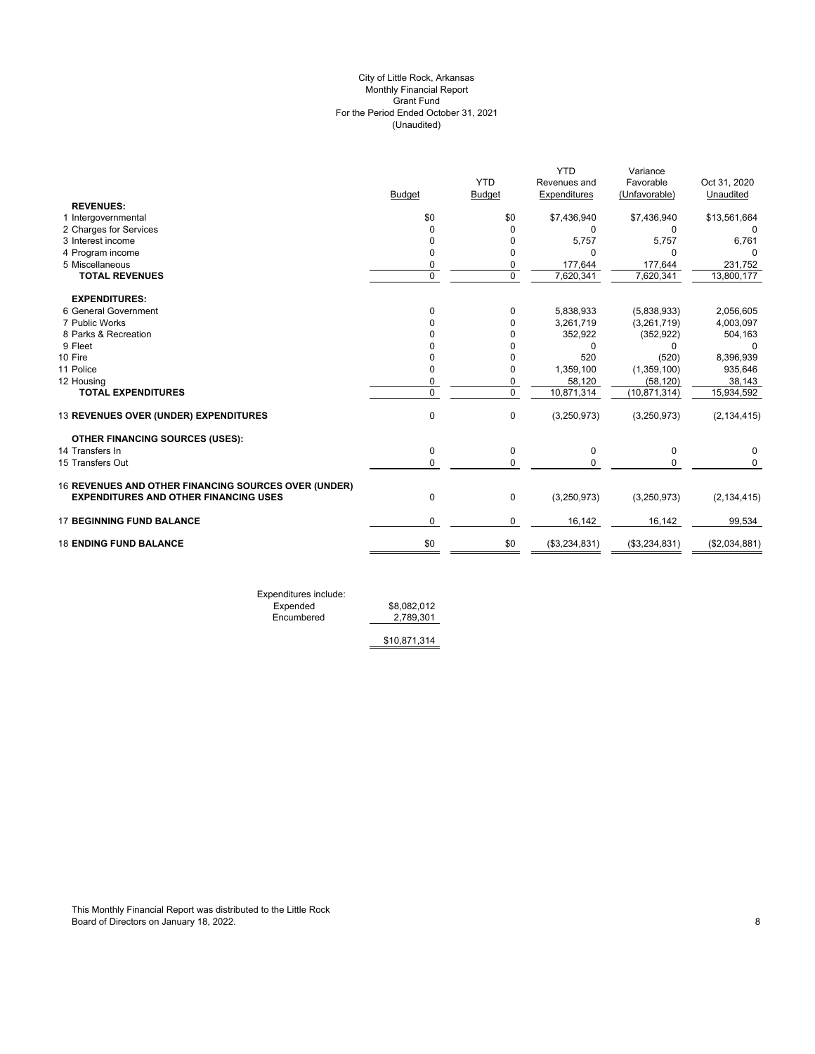# (Unaudited) City of Little Rock, Arkansas Monthly Financial Report Grant Fund For the Period Ended October 31, 2021

|             |                           |                                                        |                                                         | Oct 31, 2020                                                                        |
|-------------|---------------------------|--------------------------------------------------------|---------------------------------------------------------|-------------------------------------------------------------------------------------|
|             |                           |                                                        |                                                         | Unaudited                                                                           |
|             |                           |                                                        |                                                         |                                                                                     |
| \$0         | \$0                       | \$7,436,940                                            | \$7,436,940                                             | \$13,561,664                                                                        |
| $\Omega$    | 0                         | 0                                                      | 0                                                       | 0                                                                                   |
| 0           | 0                         | 5,757                                                  | 5,757                                                   | 6,761                                                                               |
| $\Omega$    | $\Omega$                  | U                                                      | $\Omega$                                                | $\Omega$                                                                            |
| 0           | 0                         | 177,644                                                | 177,644                                                 | 231,752                                                                             |
|             |                           |                                                        |                                                         | 13,800,177                                                                          |
|             |                           |                                                        |                                                         |                                                                                     |
| $\Omega$    | 0                         | 5,838,933                                              | (5,838,933)                                             | 2,056,605                                                                           |
| U           | 0                         | 3,261,719                                              | (3,261,719)                                             | 4,003,097                                                                           |
|             | 0                         | 352,922                                                | (352, 922)                                              | 504,163                                                                             |
|             | 0                         | 0                                                      | 0                                                       | 0                                                                                   |
|             | 0                         | 520                                                    | (520)                                                   | 8,396,939                                                                           |
| $\Omega$    | 0                         | 1,359,100                                              | (1,359,100)                                             | 935,646                                                                             |
| $\mathbf 0$ | 0                         | 58,120                                                 | (58, 120)                                               | 38,143                                                                              |
| $\Omega$    |                           |                                                        |                                                         | 15,934,592                                                                          |
| $\mathbf 0$ | $\mathbf 0$               | (3,250,973)                                            | (3,250,973)                                             | (2, 134, 415)                                                                       |
|             |                           |                                                        |                                                         |                                                                                     |
| 0           | 0                         | 0                                                      | 0                                                       | 0                                                                                   |
| $\mathbf 0$ | $\mathbf 0$               | $\Omega$                                               | $\mathbf 0$                                             | 0                                                                                   |
|             |                           |                                                        |                                                         |                                                                                     |
| $\mathbf 0$ | 0                         | (3,250,973)                                            | (3,250,973)                                             | (2, 134, 415)                                                                       |
| $\Omega$    | 0                         | 16,142                                                 | 16,142                                                  | 99,534                                                                              |
| \$0         | \$0                       | (\$3,234,831)                                          | (\$3,234,831)                                           | (\$2,034,881)                                                                       |
|             | <b>Budget</b><br>$\Omega$ | <b>YTD</b><br><b>Budget</b><br>$\Omega$<br>$\mathbf 0$ | Revenues and<br>Expenditures<br>7,620,341<br>10,871,314 | <b>YTD</b><br>Variance<br>Favorable<br>(Unfavorable)<br>7,620,341<br>(10, 871, 314) |

Expenditures include: Expended \$8,082,012 Expended \$8,082,012<br>Encumbered <u>\$8,082,012</u>

\$10,871,314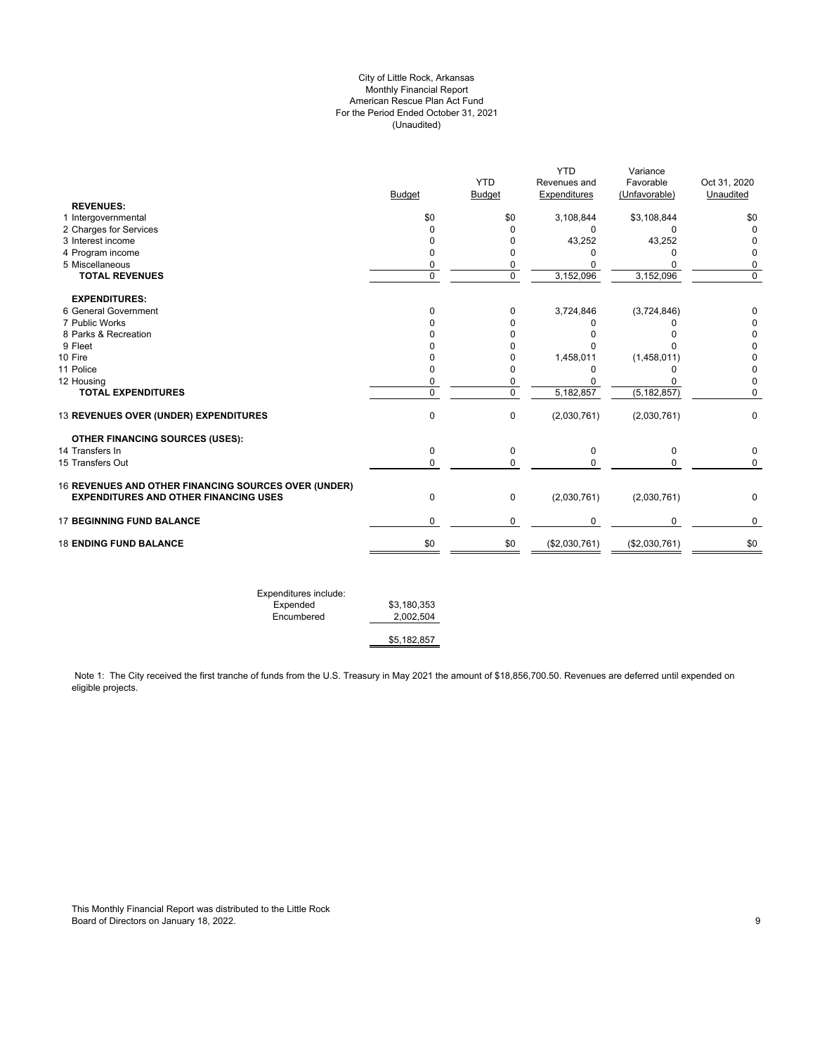# City of Little Rock, Arkansas Monthly Financial Report American Rescue Plan Act Fund For the Period Ended October 31, 2021 (Unaudited)

|                | <b>YTD</b>                                                                   |                    |                                  |                                                   |
|----------------|------------------------------------------------------------------------------|--------------------|----------------------------------|---------------------------------------------------|
|                |                                                                              | Revenues and       | Favorable                        | Oct 31, 2020                                      |
| <b>Budget</b>  | <b>Budget</b>                                                                | Expenditures       | (Unfavorable)                    | Unaudited                                         |
|                |                                                                              |                    |                                  |                                                   |
|                |                                                                              |                    |                                  | \$0                                               |
| 0              |                                                                              | 0                  | 0                                | 0                                                 |
|                |                                                                              |                    |                                  | $\Omega$                                          |
| 0              | 0                                                                            | 0                  | 0                                | 0                                                 |
| 0              | 0                                                                            | $\Omega$           | $\Omega$                         | 0                                                 |
|                |                                                                              |                    |                                  | 0                                                 |
|                |                                                                              |                    |                                  |                                                   |
| 0              | 0                                                                            | 3,724,846          | (3,724,846)                      | 0                                                 |
| O              | 0                                                                            | 0                  | 0                                | 0                                                 |
| n              | 0                                                                            | O                  | $\Omega$                         | 0                                                 |
| n              | 0                                                                            | U                  | ŋ                                | 0                                                 |
| n              | 0                                                                            | 1,458,011          |                                  | 0                                                 |
| 0              | 0                                                                            | $\Omega$           | ŋ                                | 0                                                 |
| 0              | 0                                                                            | 0                  | 0                                | $\mathbf 0$                                       |
| $\overline{0}$ | $\overline{0}$                                                               | 5,182,857          | (5, 182, 857)                    | 0                                                 |
| $\mathbf 0$    | 0                                                                            | (2,030,761)        | (2,030,761)                      | $\mathbf 0$                                       |
|                |                                                                              |                    |                                  |                                                   |
| 0              | 0                                                                            | 0                  | 0                                | $\mathbf 0$                                       |
| $\Omega$       | 0                                                                            | $\Omega$           | $\Omega$                         | $\mathbf 0$                                       |
|                |                                                                              |                    |                                  |                                                   |
| $\mathbf 0$    | 0                                                                            | (2,030,761)        | (2,030,761)                      | $\mathbf 0$                                       |
| $\mathbf 0$    | 0                                                                            | 0                  | $\mathbf 0$                      | 0                                                 |
| \$0            | \$0                                                                          | (\$2,030,761)      | (\$2,030,761)                    | \$0                                               |
|                | \$0<br>$\Omega$<br>0<br>16 REVENUES AND OTHER FINANCING SOURCES OVER (UNDER) | \$0<br>0<br>0<br>0 | 3,108,844<br>43,252<br>3,152,096 | \$3,108,844<br>43,252<br>3,152,096<br>(1,458,011) |

Note 1: The City received the first tranche of funds from the U.S. Treasury in May 2021 the amount of \$18,856,700.50. Revenues are deferred until expended on eligible projects.

\$5,182,857

This Monthly Financial Report was distributed to the Little Rock Board of Directors on January 18, 2022. 2002. The state of the state of the state of Directors on January 18, 2022.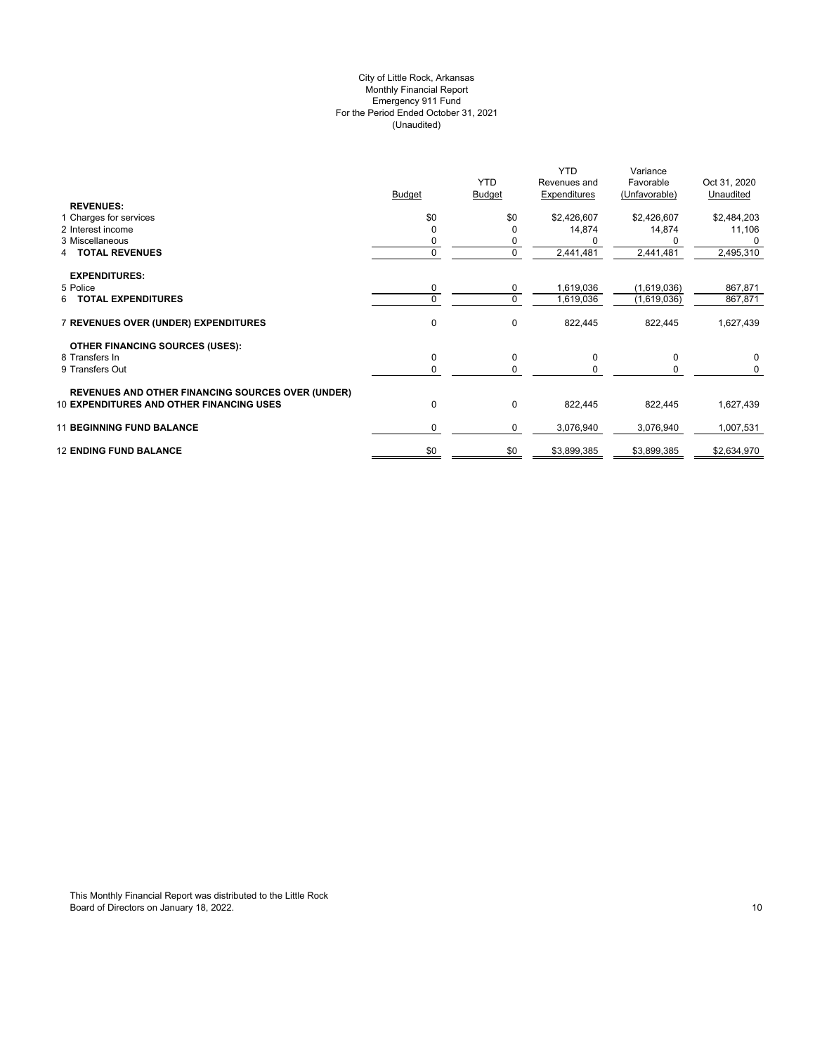# (Unaudited) City of Little Rock, Arkansas Monthly Financial Report Emergency 911 Fund For the Period Ended October 31, 2021

|                                                          | <b>Budget</b> | <b>YTD</b><br><b>Budget</b> | <b>YTD</b><br>Revenues and<br>Expenditures | Variance<br>Favorable<br>(Unfavorable) | Oct 31, 2020<br>Unaudited |
|----------------------------------------------------------|---------------|-----------------------------|--------------------------------------------|----------------------------------------|---------------------------|
| <b>REVENUES:</b><br>1 Charges for services               | \$0           | \$0                         | \$2,426,607                                | \$2,426,607                            | \$2,484,203               |
| 2 Interest income                                        | $\Omega$      |                             | 14,874                                     | 14,874                                 | 11,106                    |
| 3 Miscellaneous                                          |               | 0                           |                                            |                                        | $\Omega$                  |
| <b>TOTAL REVENUES</b><br>4                               | 0             | 0                           | 2,441,481                                  | 2,441,481                              | 2,495,310                 |
| <b>EXPENDITURES:</b>                                     |               |                             |                                            |                                        |                           |
| 5 Police                                                 | 0             | $\mathbf 0$                 | 1,619,036                                  | (1,619,036)                            | 867,871                   |
| <b>TOTAL EXPENDITURES</b><br>6                           | $\Omega$      | $\mathbf 0$                 | 1,619,036                                  | (1,619,036)                            | 867,871                   |
| 7 REVENUES OVER (UNDER) EXPENDITURES                     | 0             | 0                           | 822,445                                    | 822,445                                | 1,627,439                 |
| <b>OTHER FINANCING SOURCES (USES):</b>                   |               |                             |                                            |                                        |                           |
| 8 Transfers In                                           | 0             | 0                           | 0                                          | 0                                      | $\mathbf 0$               |
| 9 Transfers Out                                          | 0             | $\Omega$                    |                                            |                                        | 0                         |
| <b>REVENUES AND OTHER FINANCING SOURCES OVER (UNDER)</b> |               |                             |                                            |                                        |                           |
| <b>10 EXPENDITURES AND OTHER FINANCING USES</b>          | 0             | 0                           | 822,445                                    | 822,445                                | 1,627,439                 |
| <b>11 BEGINNING FUND BALANCE</b>                         | 0             | 0                           | 3,076,940                                  | 3,076,940                              | 1,007,531                 |
| <b>12 ENDING FUND BALANCE</b>                            | \$0           | \$0                         | \$3,899,385                                | \$3,899,385                            | \$2,634,970               |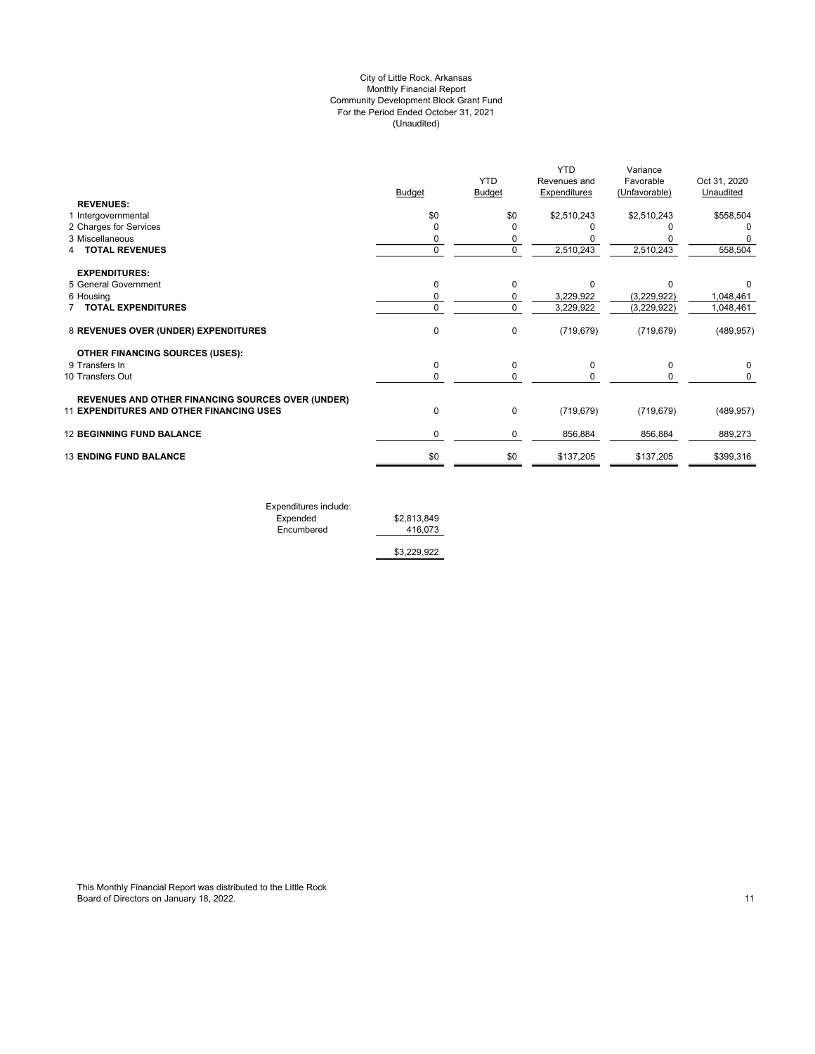# (Unaudited) City of Little Rock, Arkansas Monthly Financial Report Community Development Block Grant Fund For the Period Ended October 31, 2021

|                                                          |               | <b>YTD</b>    | <b>YTD</b><br>Revenues and | Variance<br>Favorable | Oct 31, 2020 |
|----------------------------------------------------------|---------------|---------------|----------------------------|-----------------------|--------------|
|                                                          | <b>Budget</b> | <b>Budget</b> | <b>Expenditures</b>        | (Unfavorable)         | Unaudited    |
| <b>REVENUES:</b>                                         |               |               |                            |                       |              |
| 1 Intergovernmental                                      | \$0           | \$0           | \$2,510,243                | \$2,510,243           | \$558,504    |
| 2 Charges for Services                                   | 0             |               |                            |                       |              |
| 3 Miscellaneous                                          | 0             | 0             |                            |                       |              |
| <b>TOTAL REVENUES</b>                                    | 0             | 0             | 2,510,243                  | 2,510,243             | 558,504      |
| <b>EXPENDITURES:</b>                                     |               |               |                            |                       |              |
| 5 General Government                                     | 0             | $\Omega$      | $\Omega$                   | C                     | 0            |
| 6 Housing                                                | 0             | 0             | 3,229,922                  | (3,229,922)           | 1,048,461    |
| <b>TOTAL EXPENDITURES</b>                                | 0             | $\Omega$      | 3,229,922                  | (3,229,922)           | 1,048,461    |
| 8 REVENUES OVER (UNDER) EXPENDITURES                     | 0             | 0             | (719, 679)                 | (719, 679)            | (489, 957)   |
| <b>OTHER FINANCING SOURCES (USES):</b>                   |               |               |                            |                       |              |
| 9 Transfers In                                           | 0             | 0             | $\Omega$                   | 0                     |              |
| 10 Transfers Out                                         | 0             | 0             |                            |                       | 0            |
| <b>REVENUES AND OTHER FINANCING SOURCES OVER (UNDER)</b> |               |               |                            |                       |              |
| <b>11 EXPENDITURES AND OTHER FINANCING USES</b>          | 0             | 0             | (719, 679)                 | (719, 679)            | (489, 957)   |
| <b>12 BEGINNING FUND BALANCE</b>                         | 0             | 0             | 856,884                    | 856,884               | 889,273      |
| <b>13 ENDING FUND BALANCE</b>                            | \$0           | \$0           | \$137,205                  | \$137,205             | \$399,316    |
|                                                          |               |               |                            |                       |              |

Expenditures include: Expended \$2,813,849 Encumbered 416,073

\$3,229,922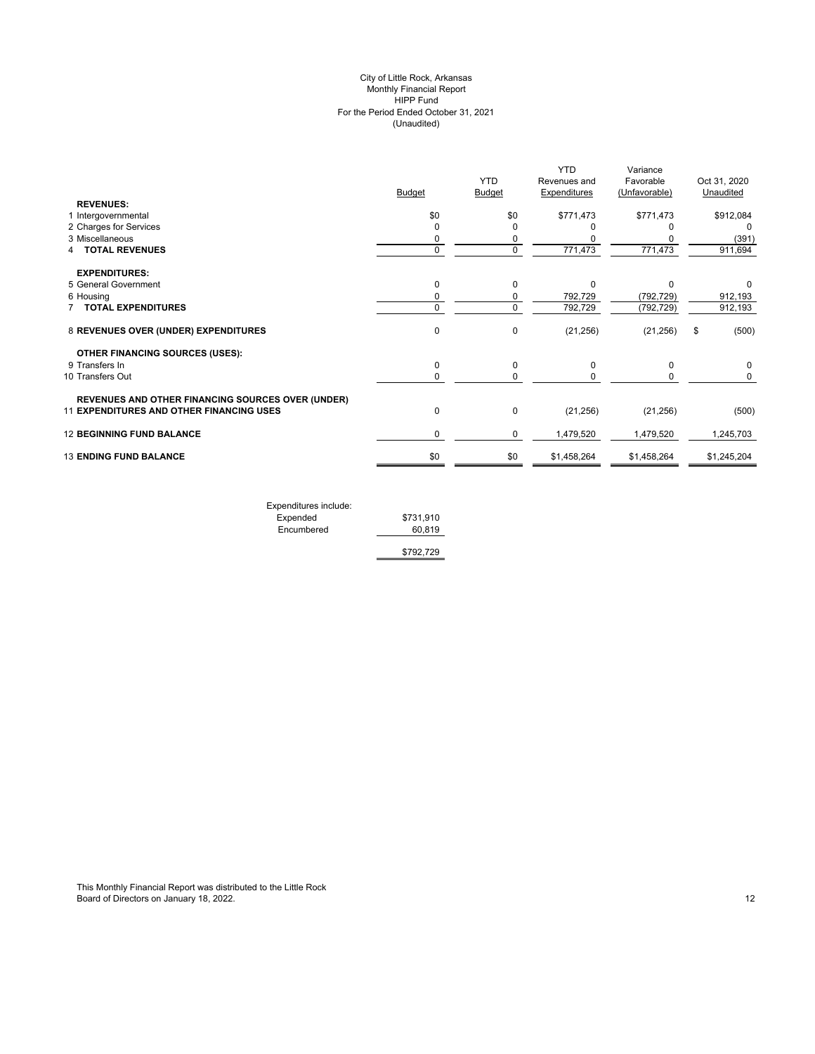#### (Unaudited) City of Little Rock, Arkansas Monthly Financial Report HIPP Fund For the Period Ended October 31, 2021

| <b>REVENUES:</b>                                                                                     | Budget      | <b>YTD</b><br>Budget | <b>YTD</b><br>Revenues and<br><b>Expenditures</b> | Variance<br>Favorable<br>(Unfavorable) | Oct 31, 2020<br>Unaudited |
|------------------------------------------------------------------------------------------------------|-------------|----------------------|---------------------------------------------------|----------------------------------------|---------------------------|
| 1 Intergovernmental                                                                                  | \$0         | \$0                  | \$771,473                                         | \$771,473                              | \$912,084                 |
| 2 Charges for Services                                                                               | $\mathbf 0$ | $\Omega$             |                                                   |                                        | $\Omega$                  |
| 3 Miscellaneous                                                                                      | 0           | 0                    |                                                   |                                        | (391)                     |
| <b>TOTAL REVENUES</b>                                                                                | $\mathbf 0$ | 0                    | 771,473                                           | 771,473                                | 911,694                   |
| <b>EXPENDITURES:</b>                                                                                 |             |                      |                                                   |                                        |                           |
| 5 General Government                                                                                 | $\mathbf 0$ | $\Omega$             | $\Omega$                                          | $\Omega$                               | 0                         |
| 6 Housing                                                                                            | 0           | 0                    | 792,729                                           | (792, 729)                             | 912,193                   |
| <b>TOTAL EXPENDITURES</b>                                                                            | 0           | $\Omega$             | 792,729                                           | (792, 729)                             | 912,193                   |
| 8 REVENUES OVER (UNDER) EXPENDITURES                                                                 | 0           | $\mathbf 0$          | (21, 256)                                         | (21, 256)                              | (500)<br>\$               |
| <b>OTHER FINANCING SOURCES (USES):</b>                                                               |             |                      |                                                   |                                        |                           |
| 9 Transfers In                                                                                       | 0           | 0                    | 0                                                 | 0                                      | 0                         |
| 10 Transfers Out                                                                                     | 0           | 0                    | $\Omega$                                          | 0                                      | 0                         |
| <b>REVENUES AND OTHER FINANCING SOURCES OVER (UNDER)</b><br>11 EXPENDITURES AND OTHER FINANCING USES | $\mathbf 0$ | $\Omega$             | (21, 256)                                         | (21, 256)                              | (500)                     |
| <b>12 BEGINNING FUND BALANCE</b>                                                                     | 0           | $\mathbf 0$          | 1,479,520                                         | 1,479,520                              | 1,245,703                 |
| <b>13 ENDING FUND BALANCE</b>                                                                        | \$0         | \$0                  | \$1,458,264                                       | \$1,458,264                            | \$1,245,204               |
|                                                                                                      |             |                      |                                                   |                                        |                           |

| Expenditures include: |           |
|-----------------------|-----------|
| Expended              | \$731,910 |
| Encumbered            | 60.819    |
|                       | \$792,729 |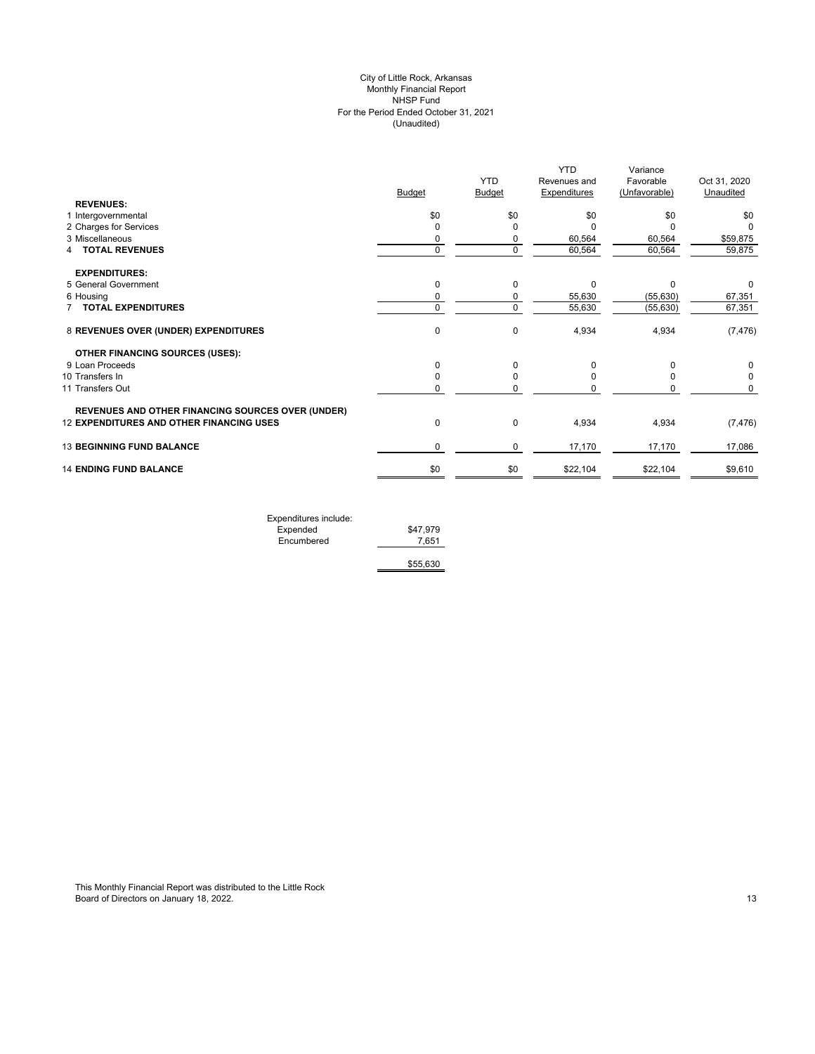# (Unaudited) City of Little Rock, Arkansas Monthly Financial Report NHSP Fund For the Period Ended October 31, 2021

|                                                          |             | <b>YTD</b>    | <b>YTD</b><br>Revenues and | Variance<br>Favorable | Oct 31, 2020 |
|----------------------------------------------------------|-------------|---------------|----------------------------|-----------------------|--------------|
| <b>REVENUES:</b>                                         | Budget      | <b>Budget</b> | <b>Expenditures</b>        | (Unfavorable)         | Unaudited    |
| 1 Intergovernmental                                      | \$0         | \$0           | \$0                        | \$0                   | \$0          |
| 2 Charges for Services                                   | 0           | 0             | C                          | O                     | O            |
| 3 Miscellaneous                                          | 0           | 0             | 60,564                     | 60,564                | \$59,875     |
| <b>TOTAL REVENUES</b><br>4                               | $\mathbf 0$ | $\Omega$      | 60,564                     | 60,564                | 59,875       |
| <b>EXPENDITURES:</b>                                     |             |               |                            |                       |              |
| 5 General Government                                     | 0           | 0             | 0                          | 0                     | 0            |
| 6 Housing                                                | 0           | 0             | 55,630                     | (55, 630)             | 67,351       |
| <b>TOTAL EXPENDITURES</b>                                | 0           | $\mathbf 0$   | 55,630                     | (55, 630)             | 67,351       |
| 8 REVENUES OVER (UNDER) EXPENDITURES                     | 0           | $\Omega$      | 4,934                      | 4,934                 | (7, 476)     |
| <b>OTHER FINANCING SOURCES (USES):</b>                   |             |               |                            |                       |              |
| 9 Loan Proceeds                                          | 0           | $\Omega$      | O                          | $\Omega$              | 0            |
| 10 Transfers In                                          | 0           | $\Omega$      |                            |                       | 0            |
| 11 Transfers Out                                         | 0           | 0             |                            | 0                     | 0            |
| <b>REVENUES AND OTHER FINANCING SOURCES OVER (UNDER)</b> |             |               |                            |                       |              |
| <b>12 EXPENDITURES AND OTHER FINANCING USES</b>          | 0           | 0             | 4,934                      | 4,934                 | (7, 476)     |
| <b>13 BEGINNING FUND BALANCE</b>                         | 0           | $\mathbf 0$   | 17,170                     | 17,170                | 17,086       |
| <b>14 ENDING FUND BALANCE</b>                            | \$0         | \$0           | \$22,104                   | \$22,104              | \$9,610      |
|                                                          |             |               |                            |                       |              |

| Expenditures include: |          |
|-----------------------|----------|
| Expended              | \$47.979 |
| Encumbered            | 7.651    |
|                       |          |
|                       | \$55,630 |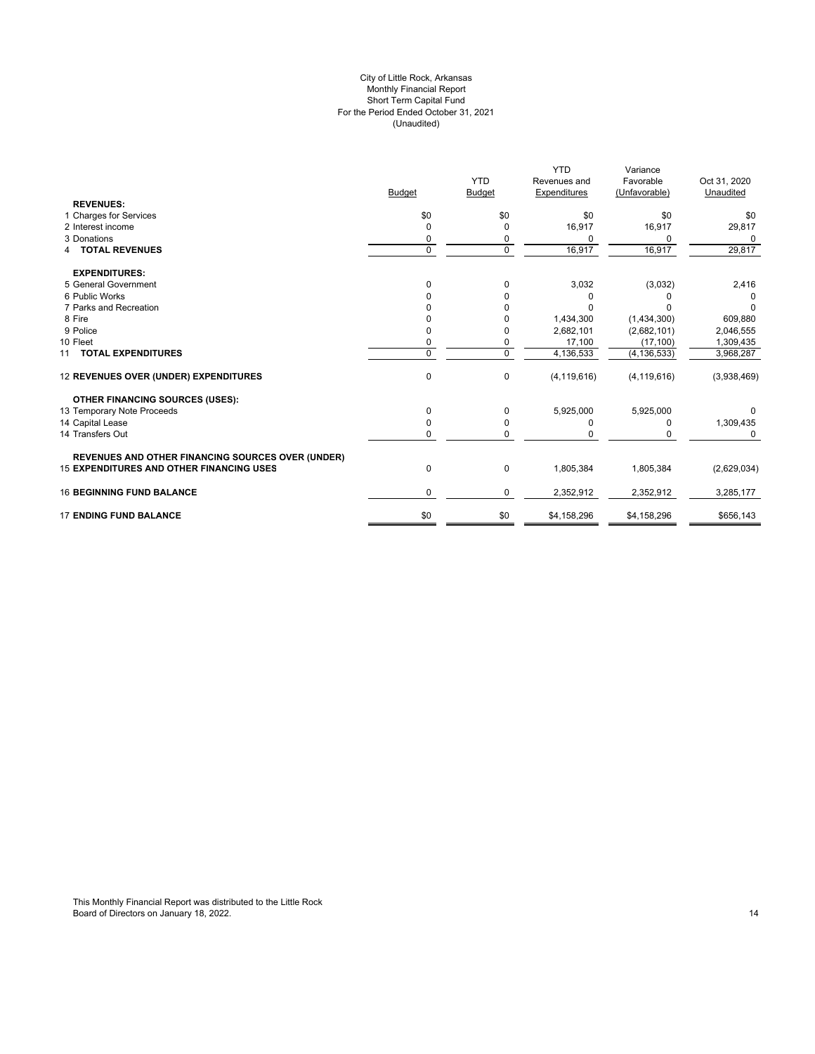### For the Period Ended October 31, 2021 (Unaudited) City of Little Rock, Arkansas Monthly Financial Report Short Term Capital Fund

|                                                          |               |               | <b>YTD</b>    | Variance      |              |
|----------------------------------------------------------|---------------|---------------|---------------|---------------|--------------|
|                                                          |               | <b>YTD</b>    | Revenues and  | Favorable     | Oct 31, 2020 |
|                                                          | <b>Budget</b> | <b>Budget</b> | Expenditures  | (Unfavorable) | Unaudited    |
| <b>REVENUES:</b>                                         |               |               |               |               |              |
| 1 Charges for Services                                   | \$0           | \$0           | \$0           | \$0           | \$0          |
| 2 Interest income                                        | 0             | 0             | 16,917        | 16,917        | 29,817       |
| 3 Donations                                              | 0             | 0             |               | <sup>0</sup>  | O            |
| 4 TOTAL REVENUES                                         | 0             | 0             | 16,917        | 16,917        | 29,817       |
| <b>EXPENDITURES:</b>                                     |               |               |               |               |              |
| 5 General Government                                     | 0             | 0             | 3,032         | (3,032)       | 2,416        |
| 6 Public Works                                           | ŋ             | <sup>0</sup>  | 0             |               |              |
| 7 Parks and Recreation                                   |               |               | $\Omega$      |               | 0            |
| 8 Fire                                                   |               |               | 1,434,300     | (1,434,300)   | 609,880      |
| 9 Police                                                 |               |               | 2,682,101     | (2,682,101)   | 2,046,555    |
| 10 Fleet                                                 | 0             | 0             | 17,100        | (17, 100)     | 1,309,435    |
| 11 TOTAL EXPENDITURES                                    | $\Omega$      | 0             | 4,136,533     | (4, 136, 533) | 3,968,287    |
| 12 REVENUES OVER (UNDER) EXPENDITURES                    | 0             | 0             | (4, 119, 616) | (4, 119, 616) | (3,938,469)  |
| <b>OTHER FINANCING SOURCES (USES):</b>                   |               |               |               |               |              |
| 13 Temporary Note Proceeds                               | 0             | 0             | 5,925,000     | 5,925,000     |              |
| 14 Capital Lease                                         | 0             | 0             | 0             | 0             | 1,309,435    |
| 14 Transfers Out                                         | 0             | 0             |               |               | $\Omega$     |
| <b>REVENUES AND OTHER FINANCING SOURCES OVER (UNDER)</b> |               |               |               |               |              |
| <b>15 EXPENDITURES AND OTHER FINANCING USES</b>          | 0             | 0             | 1,805,384     | 1,805,384     | (2,629,034)  |
| <b>16 BEGINNING FUND BALANCE</b>                         | 0             | 0             | 2,352,912     | 2,352,912     | 3,285,177    |
| <b>17 ENDING FUND BALANCE</b>                            | \$0           | \$0           | \$4,158,296   | \$4,158,296   | \$656,143    |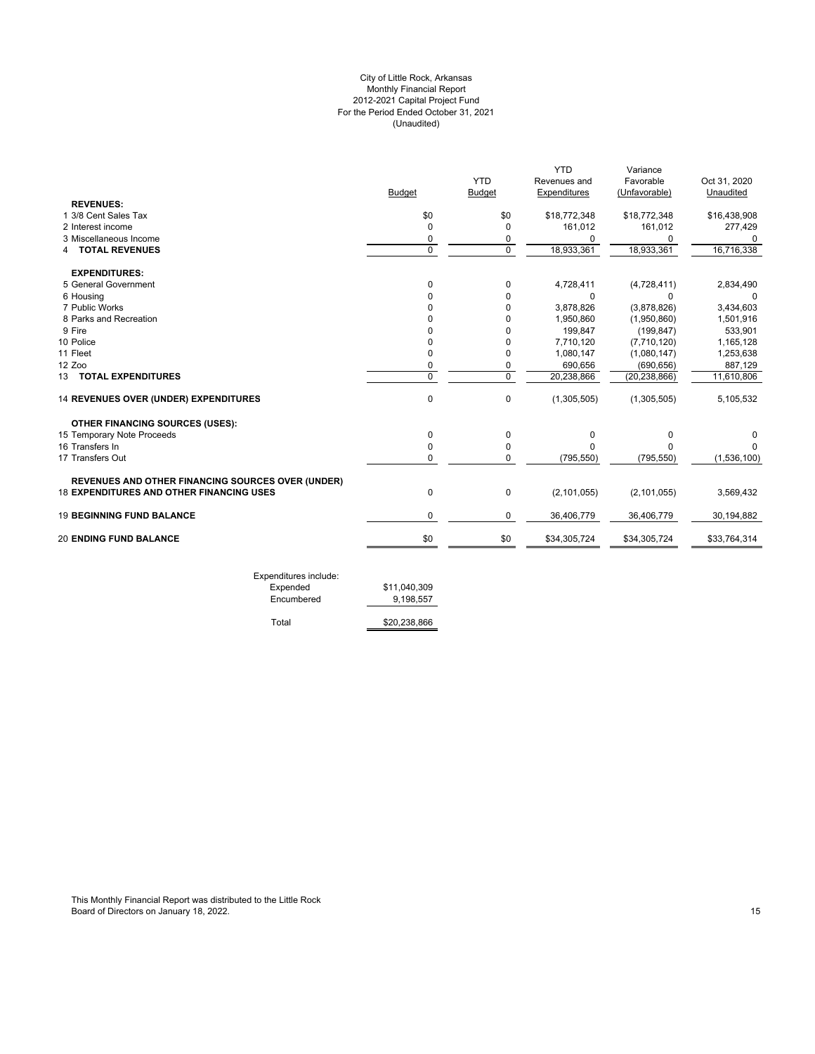# For the Period Ended October 31, 2021 (Unaudited) City of Little Rock, Arkansas Monthly Financial Report 2012-2021 Capital Project Fund

|                                                   |                |                | <b>YTD</b>    | Variance       |              |
|---------------------------------------------------|----------------|----------------|---------------|----------------|--------------|
|                                                   |                | <b>YTD</b>     | Revenues and  | Favorable      | Oct 31, 2020 |
|                                                   | <b>Budget</b>  | <b>Budget</b>  | Expenditures  | (Unfavorable)  | Unaudited    |
| <b>REVENUES:</b>                                  |                |                |               |                |              |
| 1 3/8 Cent Sales Tax                              | \$0            | \$0            | \$18,772,348  | \$18,772,348   | \$16,438,908 |
| 2 Interest income                                 | 0              | <sup>0</sup>   | 161,012       | 161,012        | 277,429      |
| 3 Miscellaneous Income                            | 0              | 0              | $\Omega$      | $\Omega$       | U            |
| <b>TOTAL REVENUES</b>                             | $\mathbf 0$    | $\mathbf 0$    | 18,933,361    | 18,933,361     | 16,716,338   |
| <b>EXPENDITURES:</b>                              |                |                |               |                |              |
| 5 General Government                              | 0              | 0              | 4,728,411     | (4,728,411)    | 2,834,490    |
| 6 Housing                                         | O              | 0              | 0             | $\Omega$       | 0            |
| 7 Public Works                                    |                | 0              | 3,878,826     | (3,878,826)    | 3,434,603    |
| 8 Parks and Recreation                            |                | 0              | 1,950,860     | (1,950,860)    | 1,501,916    |
| 9 Fire                                            |                |                | 199,847       | (199.847)      | 533,901      |
| 10 Police                                         |                |                | 7,710,120     | (7,710,120)    | 1,165,128    |
| 11 Fleet                                          | 0              | 0              | 1,080,147     | (1,080,147)    | 1,253,638    |
| 12 Zoo                                            | 0              | 0              | 690,656       | (690, 656)     | 887,129      |
| 13 TOTAL EXPENDITURES                             | $\overline{0}$ | $\overline{0}$ | 20,238,866    | (20, 238, 866) | 11,610,806   |
| 14 REVENUES OVER (UNDER) EXPENDITURES             | 0              | 0              | (1,305,505)   | (1,305,505)    | 5,105,532    |
| <b>OTHER FINANCING SOURCES (USES):</b>            |                |                |               |                |              |
| 15 Temporary Note Proceeds                        | 0              | 0              | 0             | 0              |              |
| 16 Transfers In                                   | 0              | 0              | ŋ             | $\Omega$       | n            |
| 17 Transfers Out                                  | 0              | $\Omega$       | (795, 550)    | (795, 550)     | (1,536,100)  |
| REVENUES AND OTHER FINANCING SOURCES OVER (UNDER) |                |                |               |                |              |
| <b>18 EXPENDITURES AND OTHER FINANCING USES</b>   | $\mathbf 0$    | 0              | (2, 101, 055) | (2, 101, 055)  | 3,569,432    |
| <b>19 BEGINNING FUND BALANCE</b>                  | 0              | 0              | 36,406,779    | 36,406,779     | 30,194,882   |
| <b>20 ENDING FUND BALANCE</b>                     | \$0            | \$0            | \$34,305,724  | \$34,305,724   | \$33,764,314 |

Expenditures include: Encumbered

Total \$20,238,866

\$11,040,309<br>9,198,557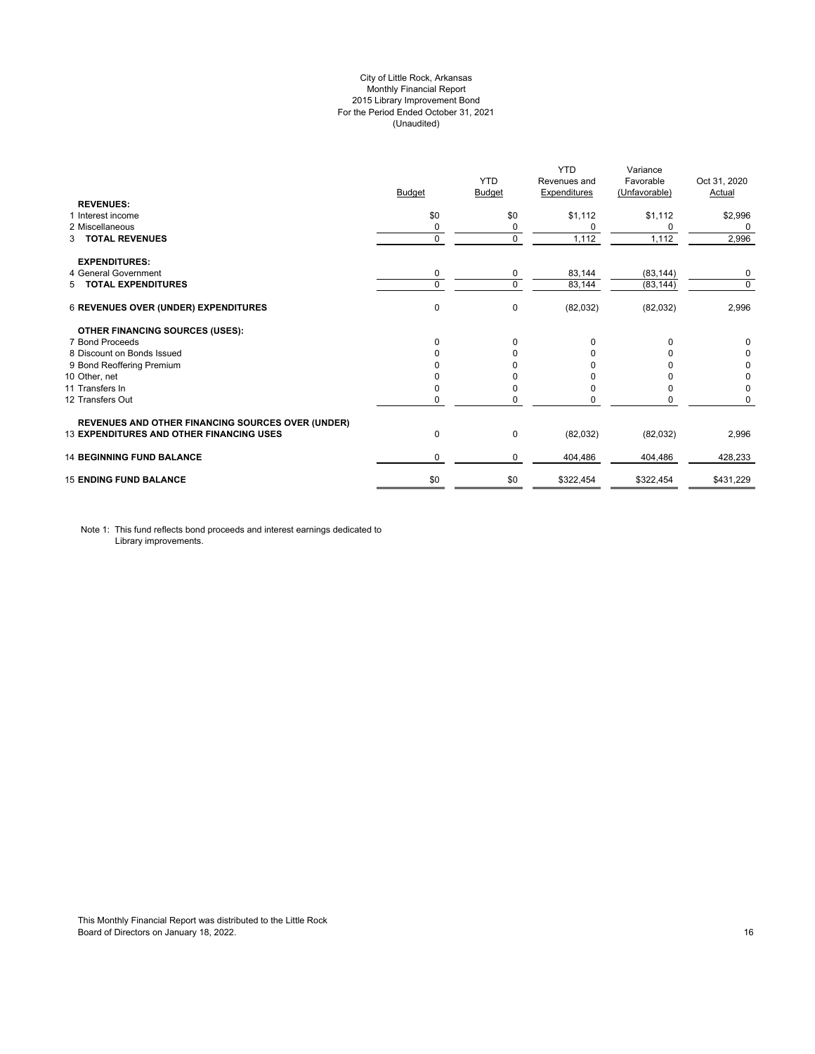# City of Little Rock, Arkansas Monthly Financial Report 2015 Library Improvement Bond For the Period Ended October 31, 2021 (Unaudited)

| <b>REVENUES:</b>                                         | <b>Budget</b> | <b>YTD</b><br>Budget | <b>YTD</b><br>Revenues and<br><b>Expenditures</b> | Variance<br>Favorable<br>(Unfavorable) | Oct 31, 2020<br>Actual |
|----------------------------------------------------------|---------------|----------------------|---------------------------------------------------|----------------------------------------|------------------------|
| 1 Interest income                                        | \$0           | \$0                  | \$1,112                                           | \$1,112                                | \$2,996                |
| 2 Miscellaneous                                          | 0             | 0                    | 0                                                 | 0                                      | 0                      |
| <b>TOTAL REVENUES</b><br>3                               | $\mathbf 0$   | $\Omega$             | 1,112                                             | 1,112                                  | 2,996                  |
| <b>EXPENDITURES:</b>                                     |               |                      |                                                   |                                        |                        |
| 4 General Government                                     | 0             | 0                    | 83,144                                            | (83, 144)                              | 0                      |
| 5 TOTAL EXPENDITURES                                     | 0             | $\Omega$             | 83,144                                            | (83, 144)                              | $\mathbf 0$            |
| <b>6 REVENUES OVER (UNDER) EXPENDITURES</b>              | 0             | 0                    | (82,032)                                          | (82,032)                               | 2,996                  |
| <b>OTHER FINANCING SOURCES (USES):</b>                   |               |                      |                                                   |                                        |                        |
| 7 Bond Proceeds                                          | $\Omega$      | $\Omega$             | 0                                                 | $\Omega$                               | 0                      |
| 8 Discount on Bonds Issued                               | $\Omega$      | <sup>0</sup>         | <sup>0</sup>                                      |                                        | 0                      |
| 9 Bond Reoffering Premium                                |               |                      |                                                   |                                        | 0                      |
| 10 Other, net                                            |               |                      |                                                   |                                        | 0                      |
| 11 Transfers In                                          | 0             |                      | <sup>0</sup>                                      | <sup>0</sup>                           | 0                      |
| 12 Transfers Out                                         | 0             |                      |                                                   | 0                                      | $\Omega$               |
| <b>REVENUES AND OTHER FINANCING SOURCES OVER (UNDER)</b> |               |                      |                                                   |                                        |                        |
| <b>13 EXPENDITURES AND OTHER FINANCING USES</b>          | 0             | 0                    | (82,032)                                          | (82,032)                               | 2,996                  |
| <b>14 BEGINNING FUND BALANCE</b>                         | $\Omega$      | 0                    | 404,486                                           | 404,486                                | 428.233                |
| <b>15 ENDING FUND BALANCE</b>                            | \$0           | \$0                  | \$322,454                                         | \$322,454                              | \$431,229              |

Note 1: This fund reflects bond proceeds and interest earnings dedicated to Library improvements.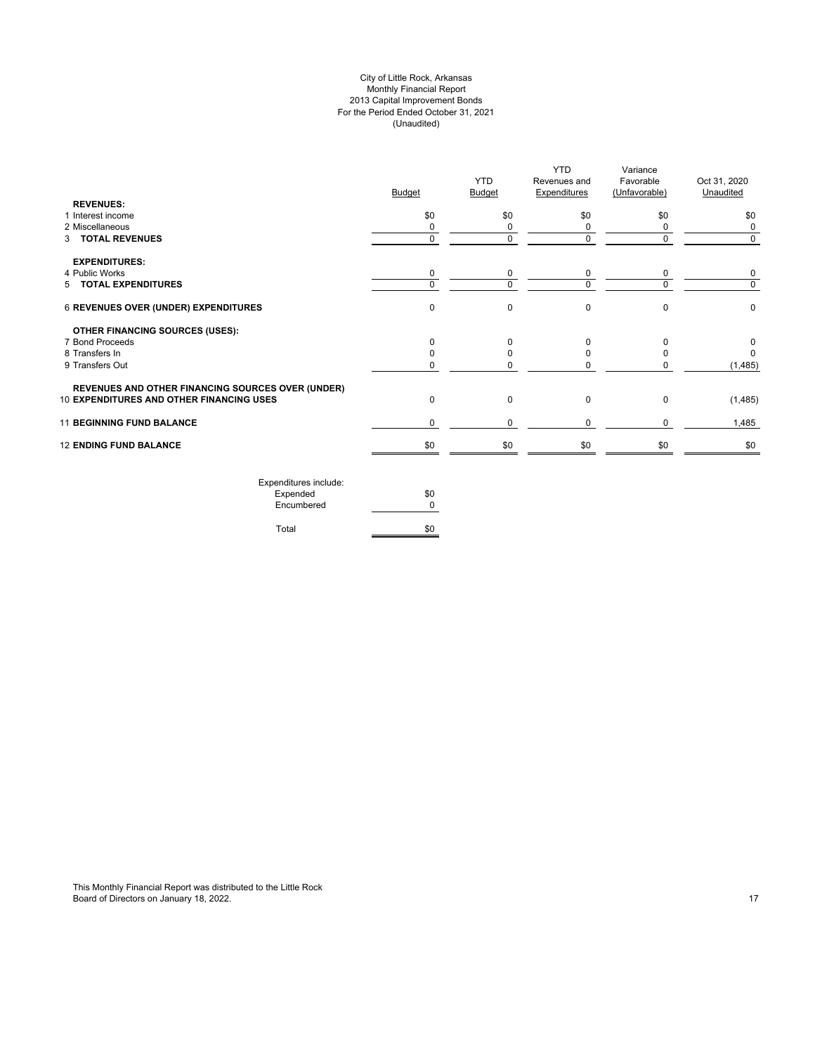# City of Little Rock, Arkansas Monthly Financial Report 2013 Capital Improvement Bonds For the Period Ended October 31, 2021 (Unaudited)

| <b>REVENUES:</b>                                         | <b>Budget</b> | <b>YTD</b><br>Budget | <b>YTD</b><br>Revenues and<br><b>Expenditures</b> | Variance<br>Favorable<br>(Unfavorable) | Oct 31, 2020<br>Unaudited |
|----------------------------------------------------------|---------------|----------------------|---------------------------------------------------|----------------------------------------|---------------------------|
| 1 Interest income                                        | \$0           | \$0                  | \$0                                               | \$0                                    | \$0                       |
| 2 Miscellaneous                                          | 0             | 0                    | 0                                                 | 0                                      | 0                         |
| 3 TOTAL REVENUES                                         | $\Omega$      | $\Omega$             | $\Omega$                                          | $\Omega$                               | $\Omega$                  |
| <b>EXPENDITURES:</b>                                     |               |                      |                                                   |                                        |                           |
| 4 Public Works                                           | 0             | 0                    | 0                                                 | 0                                      | 0                         |
| 5 TOTAL EXPENDITURES                                     | $\Omega$      | $\Omega$             | $\Omega$                                          | $\Omega$                               | $\Omega$                  |
| 6 REVENUES OVER (UNDER) EXPENDITURES                     | $\mathbf 0$   | 0                    | $\mathbf 0$                                       | $\Omega$                               | 0                         |
| <b>OTHER FINANCING SOURCES (USES):</b>                   |               |                      |                                                   |                                        |                           |
| 7 Bond Proceeds                                          | $\Omega$      | 0                    | $\Omega$                                          | $\Omega$                               | 0                         |
| 8 Transfers In                                           |               |                      | 0                                                 |                                        | $\Omega$                  |
| 9 Transfers Out                                          | 0             | O                    | 0                                                 |                                        | (1, 485)                  |
| <b>REVENUES AND OTHER FINANCING SOURCES OVER (UNDER)</b> |               |                      |                                                   |                                        |                           |
| 10 EXPENDITURES AND OTHER FINANCING USES                 | $\mathbf 0$   | 0                    | 0                                                 | $\mathbf 0$                            | (1, 485)                  |
| <b>11 BEGINNING FUND BALANCE</b>                         | $\mathbf 0$   | 0                    | $\mathbf 0$                                       | $\Omega$                               | 1,485                     |
| <b>12 ENDING FUND BALANCE</b>                            | \$0           | \$0                  | \$0                                               | \$0                                    | \$0                       |
| Expenditures include:                                    |               |                      |                                                   |                                        |                           |
|                                                          |               |                      |                                                   |                                        |                           |

| LAPCHURGICS INCIDE. |     |
|---------------------|-----|
| Expended            | \$0 |
| Encumbered          | ŋ   |
|                     |     |
| Total               | \$0 |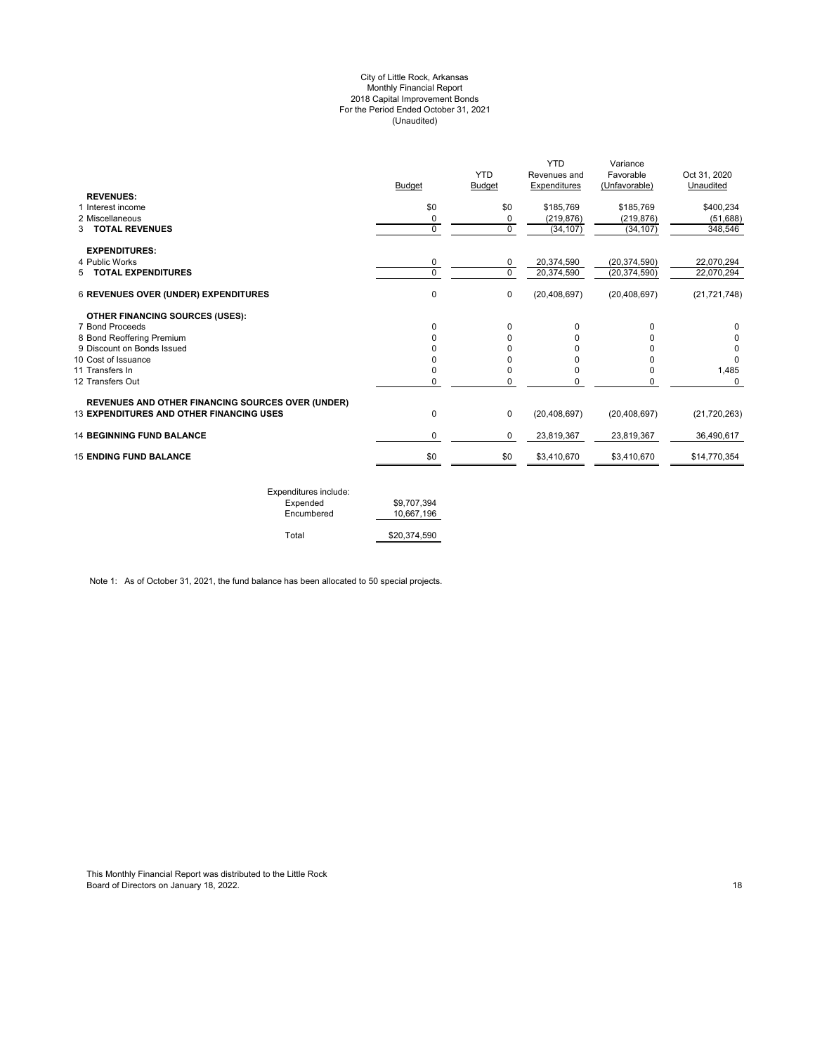#### City of Little Rock, Arkansas Monthly Financial Report 2018 Capital Improvement Bonds For the Period Ended October 31, 2021 (Unaudited)

|                                                          | <b>Budget</b> | <b>YTD</b><br>Budget | <b>YTD</b><br>Revenues and<br>Expenditures | Variance<br>Favorable<br>(Unfavorable) | Oct 31, 2020<br>Unaudited |
|----------------------------------------------------------|---------------|----------------------|--------------------------------------------|----------------------------------------|---------------------------|
| <b>REVENUES:</b><br>1 Interest income                    |               |                      |                                            |                                        |                           |
| 2 Miscellaneous                                          | \$0           | \$0                  | \$185,769                                  | \$185,769                              | \$400,234                 |
| 3 TOTAL REVENUES                                         | 0<br>0        | 0<br>0               | (219, 876)<br>(34, 107)                    | (219, 876)<br>(34, 107)                | (51, 688)<br>348,546      |
| <b>EXPENDITURES:</b>                                     |               |                      |                                            |                                        |                           |
| 4 Public Works                                           | 0             | 0                    | 20,374,590                                 | (20, 374, 590)                         | 22,070,294                |
| <b>TOTAL EXPENDITURES</b><br>5                           | 0             | $\Omega$             | 20,374,590                                 | (20, 374, 590)                         | 22,070,294                |
| <b>6 REVENUES OVER (UNDER) EXPENDITURES</b>              | 0             | $\mathbf 0$          | (20, 408, 697)                             | (20, 408, 697)                         | (21, 721, 748)            |
| OTHER FINANCING SOURCES (USES):                          |               |                      |                                            |                                        |                           |
| 7 Bond Proceeds                                          | 0             | $\Omega$             | 0                                          | $\Omega$                               | $\Omega$                  |
| 8 Bond Reoffering Premium                                | O             | $\Omega$             | 0                                          | U                                      | 0                         |
| 9 Discount on Bonds Issued                               |               | 0                    | 0                                          |                                        | 0                         |
| 10 Cost of Issuance                                      | ŋ             | 0                    | O                                          |                                        | $\Omega$                  |
| 11 Transfers In                                          |               | 0                    | 0                                          | 0                                      | 1,485                     |
| 12 Transfers Out                                         | 0             | 0                    | 0                                          | 0                                      | $\Omega$                  |
| <b>REVENUES AND OTHER FINANCING SOURCES OVER (UNDER)</b> |               |                      |                                            |                                        |                           |
| <b>13 EXPENDITURES AND OTHER FINANCING USES</b>          | 0             | $\mathbf 0$          | (20, 408, 697)                             | (20, 408, 697)                         | (21, 720, 263)            |
| <b>14 BEGINNING FUND BALANCE</b>                         | 0             | 0                    | 23,819,367                                 | 23,819,367                             | 36,490,617                |
|                                                          | \$0           | \$0                  | \$3,410,670                                | \$3,410,670                            | \$14,770,354              |
| <b>15 ENDING FUND BALANCE</b>                            |               |                      |                                            |                                        |                           |

| Expenditures include: |              |
|-----------------------|--------------|
| Expended              | \$9.707.394  |
| Encumbered            | 10.667.196   |
|                       |              |
| Total                 | \$20,374,590 |

Note 1: As of October 31, 2021, the fund balance has been allocated to 50 special projects.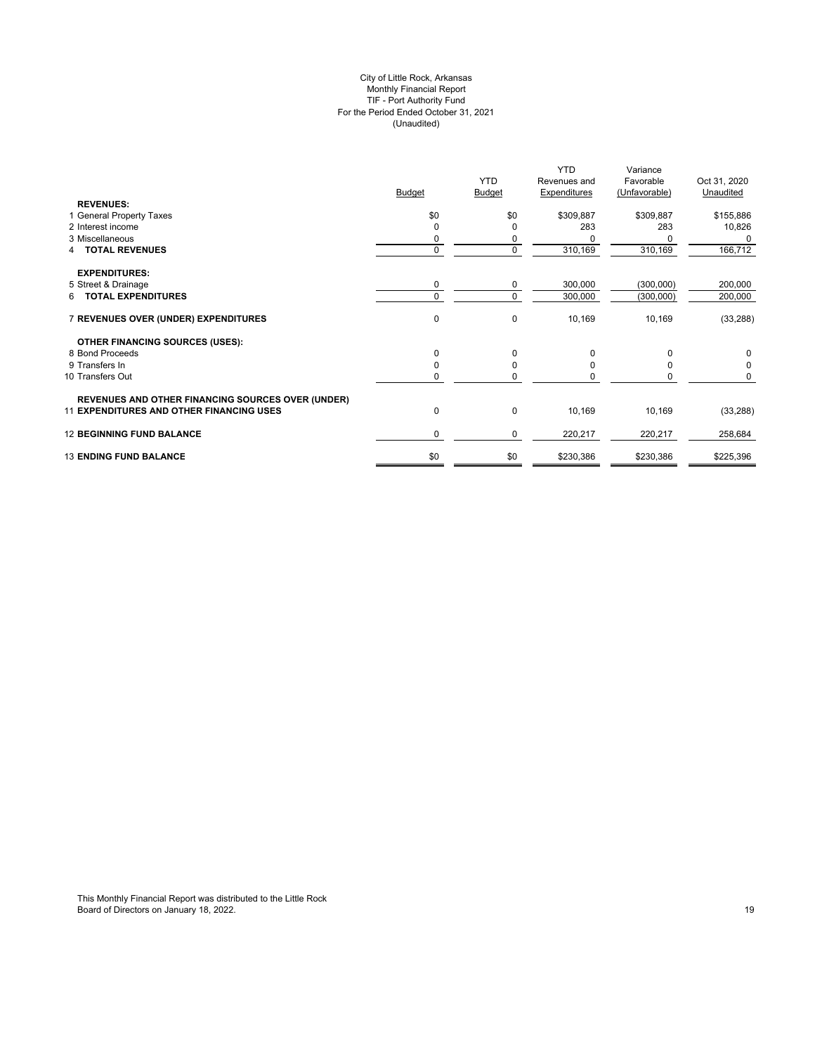#### City of Little Rock, Arkansas Monthly Financial Report TIF - Port Authority Fund For the Period Ended October 31, 2021 (Unaudited)

|                                                          |               |             | <b>YTD</b>          | Variance      |              |
|----------------------------------------------------------|---------------|-------------|---------------------|---------------|--------------|
|                                                          |               | <b>YTD</b>  | Revenues and        | Favorable     | Oct 31, 2020 |
|                                                          | <b>Budget</b> | Budget      | <b>Expenditures</b> | (Unfavorable) | Unaudited    |
| <b>REVENUES:</b>                                         |               |             |                     |               |              |
| 1 General Property Taxes                                 | \$0           | \$0         | \$309,887           | \$309,887     | \$155,886    |
| 2 Interest income                                        | $\Omega$      | O           | 283                 | 283           | 10,826       |
| 3 Miscellaneous                                          | 0             |             |                     |               |              |
| 4 TOTAL REVENUES                                         | $\mathbf 0$   | 0           | 310,169             | 310,169       | 166,712      |
| <b>EXPENDITURES:</b>                                     |               |             |                     |               |              |
| 5 Street & Drainage                                      | 0             | 0           | 300,000             | (300,000)     | 200,000      |
| <b>TOTAL EXPENDITURES</b><br>6.                          | $\mathbf 0$   | $\Omega$    | 300,000             | (300,000)     | 200,000      |
| 7 REVENUES OVER (UNDER) EXPENDITURES                     | 0             | $\mathbf 0$ | 10,169              | 10,169        | (33, 288)    |
| <b>OTHER FINANCING SOURCES (USES):</b>                   |               |             |                     |               |              |
| 8 Bond Proceeds                                          | $\mathbf 0$   | $\Omega$    | $\Omega$            | 0             | 0            |
| 9 Transfers In                                           | 0             | O           |                     |               | 0            |
| 10 Transfers Out                                         | $\mathbf 0$   | 0           |                     | 0             | 0            |
| <b>REVENUES AND OTHER FINANCING SOURCES OVER (UNDER)</b> |               |             |                     |               |              |
| <b>11 EXPENDITURES AND OTHER FINANCING USES</b>          | 0             | $\mathbf 0$ | 10,169              | 10,169        | (33, 288)    |
| <b>12 BEGINNING FUND BALANCE</b>                         | 0             | 0           | 220,217             | 220,217       | 258,684      |
| <b>13 ENDING FUND BALANCE</b>                            | \$0           | \$0         | \$230,386           | \$230,386     | \$225,396    |
|                                                          |               |             |                     |               |              |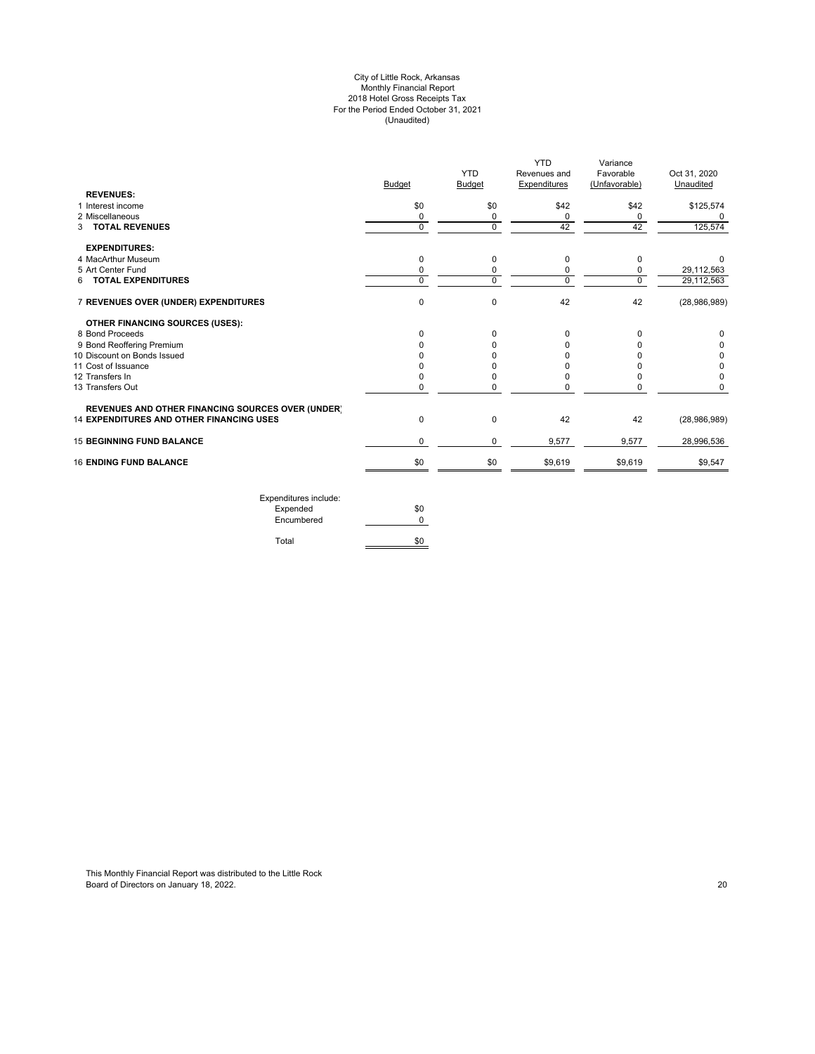#### City of Little Rock, Arkansas Monthly Financial Report 2018 Hotel Gross Receipts Tax For the Period Ended October 31, 2021 (Unaudited)

|                                                          | <b>Budget</b> | <b>YTD</b><br><b>Budget</b> | YTD<br>Revenues and<br>Expenditures | Variance<br>Favorable<br>(Unfavorable) | Oct 31, 2020<br>Unaudited |
|----------------------------------------------------------|---------------|-----------------------------|-------------------------------------|----------------------------------------|---------------------------|
| <b>REVENUES:</b>                                         |               |                             |                                     |                                        |                           |
| 1 Interest income                                        | \$0           | \$0                         | \$42                                | \$42                                   | \$125,574                 |
| 2 Miscellaneous                                          | 0             | 0                           | 0                                   | 0                                      |                           |
| <b>3 TOTAL REVENUES</b>                                  | $\mathbf 0$   | 0                           | 42                                  | 42                                     | 125,574                   |
| <b>EXPENDITURES:</b>                                     |               |                             |                                     |                                        |                           |
| 4 MacArthur Museum                                       | 0             | 0                           | 0                                   | 0                                      | $\Omega$                  |
| 5 Art Center Fund                                        | 0             | 0                           | 0                                   | 0                                      | 29,112,563                |
| 6 TOTAL EXPENDITURES                                     | $\Omega$      | 0                           | $\mathbf 0$                         | $\Omega$                               | 29,112,563                |
| 7 REVENUES OVER (UNDER) EXPENDITURES                     | $\Omega$      | 0                           | 42                                  | 42                                     | (28,986,989)              |
| OTHER FINANCING SOURCES (USES):                          |               |                             |                                     |                                        |                           |
| 8 Bond Proceeds                                          | $\Omega$      | $\Omega$                    | 0                                   | $\Omega$                               | 0                         |
| 9 Bond Reoffering Premium                                |               | 0                           | <sup>0</sup>                        | 0                                      | 0                         |
| 10 Discount on Bonds Issued                              |               |                             | n                                   |                                        | 0                         |
| 11 Cost of Issuance                                      |               | <sup>0</sup>                | O                                   |                                        | 0                         |
| 12 Transfers In                                          |               | 0                           | 0                                   |                                        | 0                         |
| 13 Transfers Out                                         | 0             | 0                           | 0                                   | 0                                      | $\Omega$                  |
| <b>REVENUES AND OTHER FINANCING SOURCES OVER (UNDER)</b> |               |                             |                                     |                                        |                           |
| <b>14 EXPENDITURES AND OTHER FINANCING USES</b>          | $\mathbf 0$   | 0                           | 42                                  | 42                                     | (28,986,989)              |
| <b>15 BEGINNING FUND BALANCE</b>                         | 0             | 0                           | 9,577                               | 9,577                                  | 28,996,536                |
| <b>16 ENDING FUND BALANCE</b>                            | \$0           | \$0                         | \$9,619                             | \$9,619                                | \$9,547                   |

Expenditures include: Expended \$0 Encumbered 0 Total \$0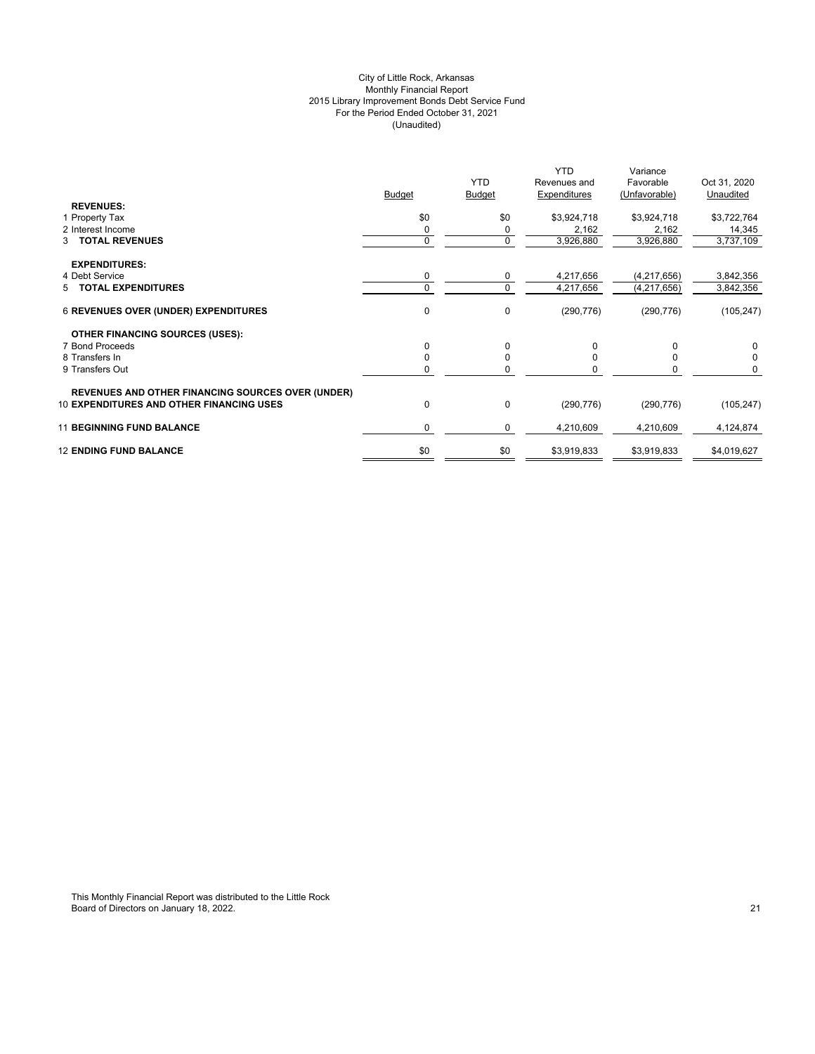# City of Little Rock, Arkansas Monthly Financial Report 2015 Library Improvement Bonds Debt Service Fund For the Period Ended October 31, 2021 (Unaudited)

|                                                                                                             | <b>Budget</b> | <b>YTD</b><br><b>Budget</b> | <b>YTD</b><br>Revenues and<br>Expenditures | Variance<br>Favorable<br>(Unfavorable) | Oct 31, 2020<br>Unaudited |
|-------------------------------------------------------------------------------------------------------------|---------------|-----------------------------|--------------------------------------------|----------------------------------------|---------------------------|
| <b>REVENUES:</b><br>1 Property Tax                                                                          | \$0           | \$0                         | \$3,924,718                                | \$3,924,718                            | \$3,722,764               |
| 2 Interest Income                                                                                           |               | 0                           | 2,162                                      | 2,162                                  | 14,345                    |
| 3 TOTAL REVENUES                                                                                            | $\Omega$      | 0                           | 3,926,880                                  | 3,926,880                              | 3,737,109                 |
| <b>EXPENDITURES:</b>                                                                                        |               |                             |                                            |                                        |                           |
| 4 Debt Service                                                                                              | 0             | 0                           | 4,217,656                                  | (4, 217, 656)                          | 3,842,356                 |
| 5 TOTAL EXPENDITURES                                                                                        | $\Omega$      | 0                           | 4,217,656                                  | (4, 217, 656)                          | 3,842,356                 |
| <b>6 REVENUES OVER (UNDER) EXPENDITURES</b>                                                                 | 0             | $\mathbf 0$                 | (290, 776)                                 | (290, 776)                             | (105, 247)                |
| <b>OTHER FINANCING SOURCES (USES):</b>                                                                      |               |                             |                                            |                                        |                           |
| 7 Bond Proceeds                                                                                             | 0             | 0                           | 0                                          |                                        | 0                         |
| 8 Transfers In                                                                                              | U             | 0                           |                                            |                                        | 0                         |
| 9 Transfers Out                                                                                             |               | 0                           |                                            |                                        | 0                         |
| <b>REVENUES AND OTHER FINANCING SOURCES OVER (UNDER)</b><br><b>10 EXPENDITURES AND OTHER FINANCING USES</b> | 0             | 0                           | (290, 776)                                 | (290, 776)                             | (105, 247)                |
| <b>11 BEGINNING FUND BALANCE</b>                                                                            | 0             | 0                           | 4,210,609                                  | 4,210,609                              | 4,124,874                 |
| <b>12 ENDING FUND BALANCE</b>                                                                               | \$0           | \$0                         | \$3,919,833                                | \$3,919,833                            | \$4,019,627               |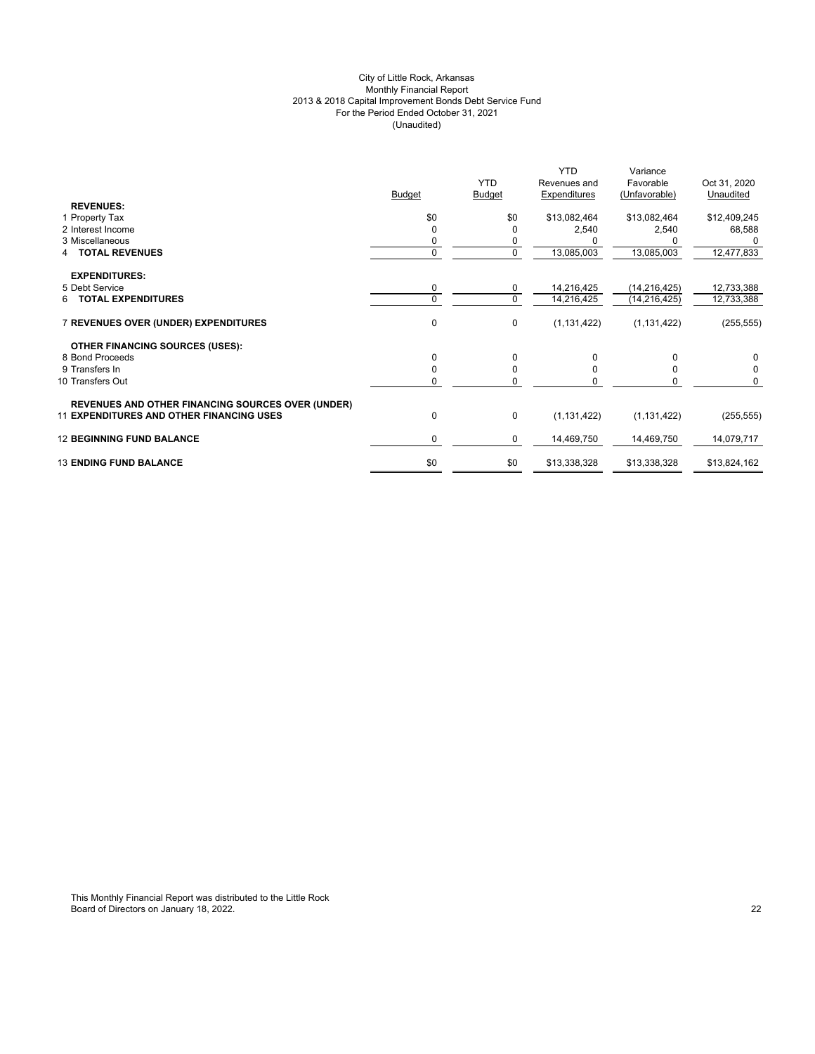# City of Little Rock, Arkansas Monthly Financial Report 2013 & 2018 Capital Improvement Bonds Debt Service Fund For the Period Ended October 31, 2021 (Unaudited)

|                                                          | <b>Budget</b> | <b>YTD</b><br><b>Budget</b> | <b>YTD</b><br>Revenues and<br>Expenditures | Variance<br>Favorable<br>(Unfavorable) | Oct 31, 2020<br>Unaudited |
|----------------------------------------------------------|---------------|-----------------------------|--------------------------------------------|----------------------------------------|---------------------------|
| <b>REVENUES:</b>                                         |               |                             |                                            |                                        |                           |
| 1 Property Tax                                           | \$0           | \$0                         | \$13,082,464                               | \$13,082,464                           | \$12,409,245              |
| 2 Interest Income                                        | $\Omega$      | 0                           | 2,540                                      | 2,540                                  | 68,588                    |
| 3 Miscellaneous                                          | 0             | 0                           |                                            |                                        |                           |
| <b>TOTAL REVENUES</b><br>4                               | $\mathbf 0$   | 0                           | 13,085,003                                 | 13,085,003                             | 12,477,833                |
| <b>EXPENDITURES:</b>                                     |               |                             |                                            |                                        |                           |
| 5 Debt Service                                           | 0             | $\mathbf 0$                 | 14,216,425                                 | (14, 216, 425)                         | 12,733,388                |
| <b>TOTAL EXPENDITURES</b><br>6.                          | $\Omega$      | $\mathbf 0$                 | 14,216,425                                 | (14, 216, 425)                         | 12,733,388                |
| 7 REVENUES OVER (UNDER) EXPENDITURES                     | 0             | 0                           | (1, 131, 422)                              | (1, 131, 422)                          | (255, 555)                |
| <b>OTHER FINANCING SOURCES (USES):</b>                   |               |                             |                                            |                                        |                           |
| 8 Bond Proceeds                                          | $\Omega$      | 0                           | 0                                          | $\Omega$                               | 0                         |
| 9 Transfers In                                           | $\Omega$      | $\mathbf 0$                 | $\Omega$                                   | $\Omega$                               | 0                         |
| 10 Transfers Out                                         | 0             | 0                           | <sup>0</sup>                               | $\Omega$                               | $\Omega$                  |
| <b>REVENUES AND OTHER FINANCING SOURCES OVER (UNDER)</b> |               |                             |                                            |                                        |                           |
| <b>11 EXPENDITURES AND OTHER FINANCING USES</b>          | 0             | 0                           | (1, 131, 422)                              | (1, 131, 422)                          | (255, 555)                |
| <b>12 BEGINNING FUND BALANCE</b>                         | $\mathbf 0$   | 0                           | 14,469,750                                 | 14,469,750                             | 14,079,717                |
| <b>13 ENDING FUND BALANCE</b>                            | \$0           | \$0                         | \$13,338,328                               | \$13,338,328                           | \$13,824,162              |
|                                                          |               |                             |                                            |                                        |                           |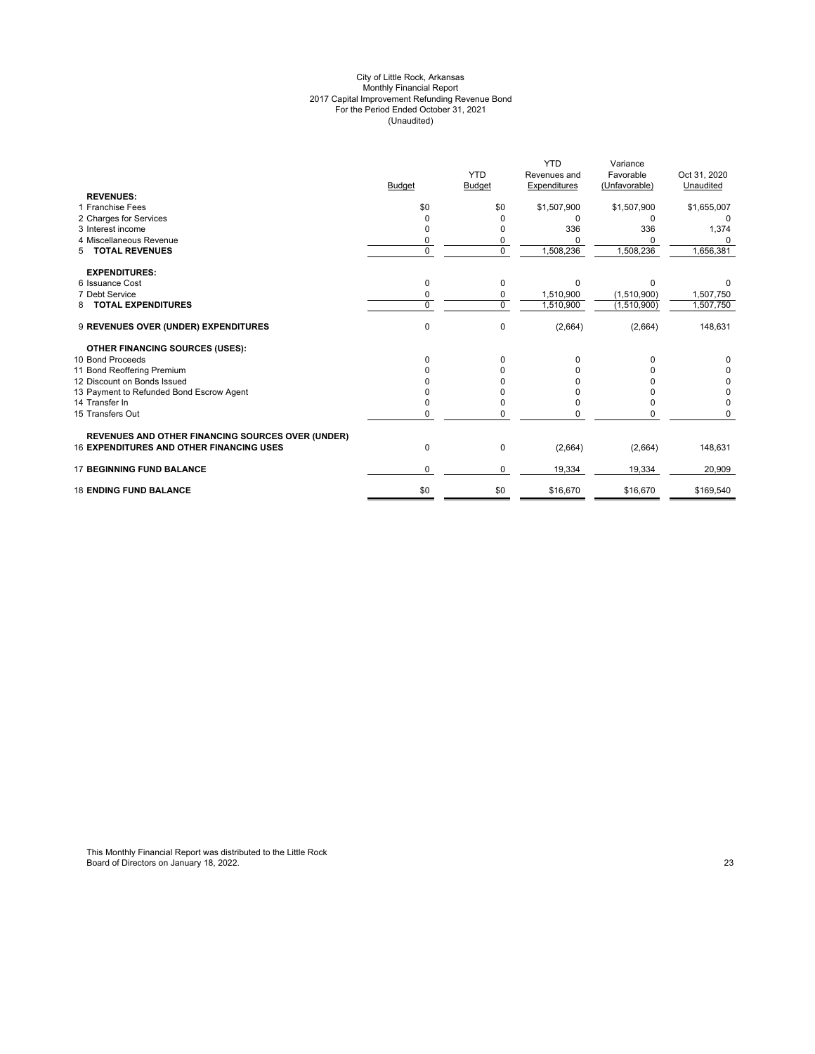#### City of Little Rock, Arkansas Monthly Financial Report 2017 Capital Improvement Refunding Revenue Bond For the Period Ended October 31, 2021 (Unaudited)

|                                                          |               |                     | <b>YTD</b>   | Variance      |              |
|----------------------------------------------------------|---------------|---------------------|--------------|---------------|--------------|
|                                                          |               | <b>YTD</b>          | Revenues and | Favorable     | Oct 31, 2020 |
|                                                          | <b>Budget</b> | Budget              | Expenditures | (Unfavorable) | Unaudited    |
| <b>REVENUES:</b><br>1 Franchise Fees                     |               |                     |              |               |              |
|                                                          | \$0           | \$0                 | \$1,507,900  | \$1,507,900   | \$1,655,007  |
| 2 Charges for Services<br>3 Interest income              |               |                     |              | O             |              |
| 4 Miscellaneous Revenue                                  | O             |                     | 336          | 336           | 1,374        |
| <b>TOTAL REVENUES</b>                                    | 0<br>$\Omega$ | 0<br>$\overline{0}$ |              |               |              |
| 5                                                        |               |                     | 1,508,236    | 1,508,236     | 1,656,381    |
| <b>EXPENDITURES:</b>                                     |               |                     |              |               |              |
| 6 Issuance Cost                                          | $\Omega$      | 0                   | $\Omega$     | $\Omega$      |              |
| 7 Debt Service                                           | 0             | 0                   | 1,510,900    | (1,510,900)   | 1,507,750    |
| <b>TOTAL EXPENDITURES</b><br>8                           | $\Omega$      | 0                   | 1,510,900    | (1,510,900)   | 1,507,750    |
| 9 REVENUES OVER (UNDER) EXPENDITURES                     | $\mathbf 0$   | 0                   | (2,664)      | (2,664)       | 148,631      |
| <b>OTHER FINANCING SOURCES (USES):</b>                   |               |                     |              |               |              |
| 10 Bond Proceeds                                         | <sup>0</sup>  | 0                   |              |               |              |
| 11 Bond Reoffering Premium                               |               |                     |              |               |              |
| 12 Discount on Bonds Issued                              |               |                     |              |               | 0            |
| 13 Payment to Refunded Bond Escrow Agent                 |               |                     |              |               | 0            |
| 14 Transfer In                                           |               |                     |              |               | $\Omega$     |
| 15 Transfers Out                                         | 0             | O                   |              |               |              |
| <b>REVENUES AND OTHER FINANCING SOURCES OVER (UNDER)</b> |               |                     |              |               |              |
| <b>16 EXPENDITURES AND OTHER FINANCING USES</b>          | 0             | 0                   | (2,664)      | (2,664)       | 148,631      |
| <b>17 BEGINNING FUND BALANCE</b>                         | $\Omega$      | 0                   | 19,334       | 19,334        | 20,909       |
| <b>18 ENDING FUND BALANCE</b>                            | \$0           | \$0                 | \$16,670     | \$16,670      | \$169,540    |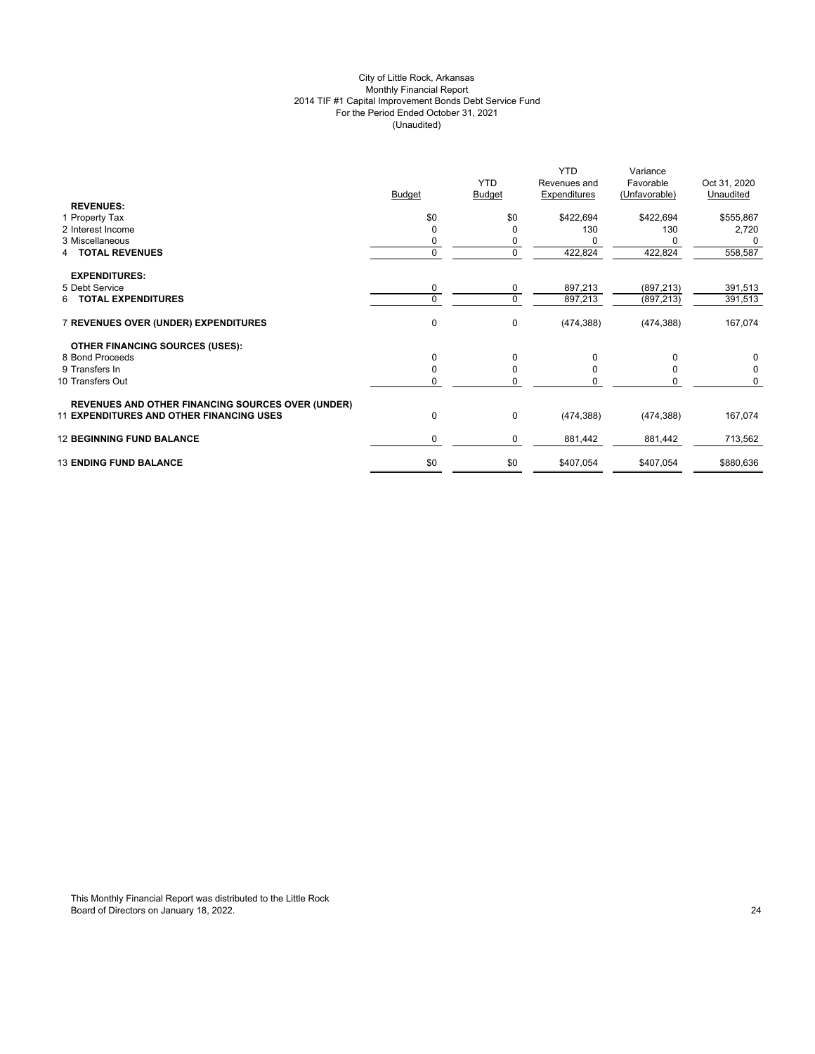# City of Little Rock, Arkansas Monthly Financial Report 2014 TIF #1 Capital Improvement Bonds Debt Service Fund For the Period Ended October 31, 2021 (Unaudited)

|                                                          | <b>Budget</b> | <b>YTD</b><br><b>Budget</b> | <b>YTD</b><br>Revenues and<br>Expenditures | Variance<br>Favorable<br>(Unfavorable) | Oct 31, 2020<br>Unaudited |
|----------------------------------------------------------|---------------|-----------------------------|--------------------------------------------|----------------------------------------|---------------------------|
| <b>REVENUES:</b>                                         |               |                             |                                            |                                        |                           |
| 1 Property Tax                                           | \$0           | \$0                         | \$422,694                                  | \$422,694                              | \$555,867                 |
| 2 Interest Income                                        | $\Omega$      | 0                           | 130                                        | 130                                    | 2,720                     |
| 3 Miscellaneous                                          | 0             | 0                           |                                            |                                        | 0                         |
| <b>TOTAL REVENUES</b><br>4                               | $\mathbf{0}$  | 0                           | 422,824                                    | 422,824                                | 558,587                   |
| <b>EXPENDITURES:</b>                                     |               |                             |                                            |                                        |                           |
| 5 Debt Service                                           | 0             | 0                           | 897,213                                    | (897, 213)                             | 391,513                   |
| <b>6 TOTAL EXPENDITURES</b>                              | $\Omega$      | $\mathbf 0$                 | 897,213                                    | (897, 213)                             | 391,513                   |
| 7 REVENUES OVER (UNDER) EXPENDITURES                     | 0             | 0                           | (474, 388)                                 | (474, 388)                             | 167,074                   |
| <b>OTHER FINANCING SOURCES (USES):</b>                   |               |                             |                                            |                                        |                           |
| 8 Bond Proceeds                                          | $\Omega$      | 0                           | 0                                          | $\Omega$                               | 0                         |
| 9 Transfers In                                           | $\Omega$      | $\mathbf 0$                 | $\Omega$                                   | $\Omega$                               | $\mathbf 0$               |
| 10 Transfers Out                                         | 0             | 0                           | O                                          | ŋ                                      | $\Omega$                  |
| <b>REVENUES AND OTHER FINANCING SOURCES OVER (UNDER)</b> |               |                             |                                            |                                        |                           |
| <b>11 EXPENDITURES AND OTHER FINANCING USES</b>          | 0             | $\pmb{0}$                   | (474, 388)                                 | (474, 388)                             | 167,074                   |
| <b>12 BEGINNING FUND BALANCE</b>                         | $\mathbf 0$   | 0                           | 881,442                                    | 881,442                                | 713,562                   |
| <b>13 ENDING FUND BALANCE</b>                            | \$0           | \$0                         | \$407,054                                  | \$407,054                              | \$880,636                 |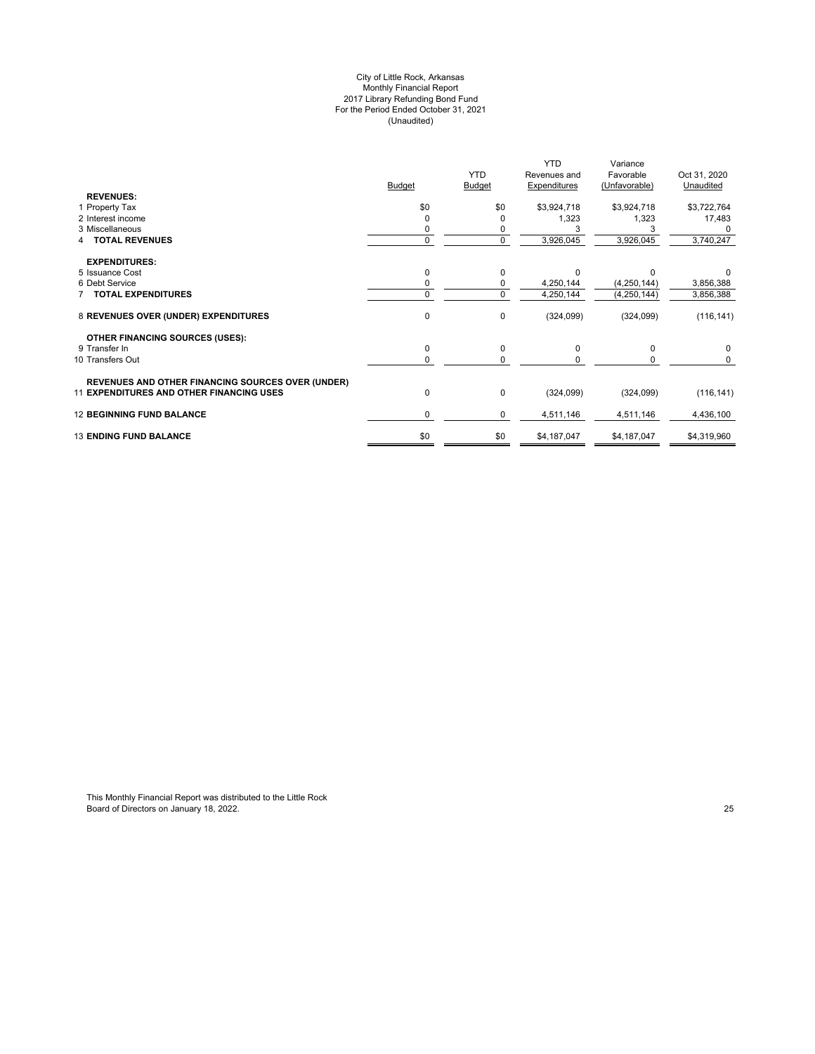#### City of Little Rock, Arkansas Monthly Financial Report 2017 Library Refunding Bond Fund For the Period Ended October 31, 2021 (Unaudited)

| <b>YTD</b><br>Favorable<br>Revenues and<br><b>Budget</b><br>Expenditures<br><b>Budget</b><br>(Unfavorable)<br><b>REVENUES:</b><br>\$0<br>\$0<br>\$3,924,718<br>\$3,924,718<br>1 Property Tax<br>1,323<br>1,323<br>2 Interest income<br>3 Miscellaneous<br>0<br><b>TOTAL REVENUES</b><br>3,926,045<br>3,926,045<br>$\Omega$<br><b>EXPENDITURES:</b><br>5 Issuance Cost<br>0<br>0<br>6 Debt Service<br>4,250,144<br>(4,250,144)<br>0<br>0<br><b>TOTAL EXPENDITURES</b><br>$\Omega$<br>4,250,144<br>(4,250,144)<br>0<br>8 REVENUES OVER (UNDER) EXPENDITURES<br>$\mathbf 0$<br>(324,099)<br>(324,099) | Oct 31, 2020<br>Unaudited<br>\$3,722,764<br>17,483 |
|----------------------------------------------------------------------------------------------------------------------------------------------------------------------------------------------------------------------------------------------------------------------------------------------------------------------------------------------------------------------------------------------------------------------------------------------------------------------------------------------------------------------------------------------------------------------------------------------------|----------------------------------------------------|
|                                                                                                                                                                                                                                                                                                                                                                                                                                                                                                                                                                                                    |                                                    |
|                                                                                                                                                                                                                                                                                                                                                                                                                                                                                                                                                                                                    |                                                    |
|                                                                                                                                                                                                                                                                                                                                                                                                                                                                                                                                                                                                    |                                                    |
|                                                                                                                                                                                                                                                                                                                                                                                                                                                                                                                                                                                                    |                                                    |
|                                                                                                                                                                                                                                                                                                                                                                                                                                                                                                                                                                                                    |                                                    |
|                                                                                                                                                                                                                                                                                                                                                                                                                                                                                                                                                                                                    | 3,740,247                                          |
|                                                                                                                                                                                                                                                                                                                                                                                                                                                                                                                                                                                                    |                                                    |
|                                                                                                                                                                                                                                                                                                                                                                                                                                                                                                                                                                                                    |                                                    |
|                                                                                                                                                                                                                                                                                                                                                                                                                                                                                                                                                                                                    | 3,856,388                                          |
|                                                                                                                                                                                                                                                                                                                                                                                                                                                                                                                                                                                                    | 3,856,388                                          |
|                                                                                                                                                                                                                                                                                                                                                                                                                                                                                                                                                                                                    | (116, 141)                                         |
| <b>OTHER FINANCING SOURCES (USES):</b>                                                                                                                                                                                                                                                                                                                                                                                                                                                                                                                                                             |                                                    |
| 0<br>0<br>9 Transfer In<br>$\Omega$<br>$\Omega$                                                                                                                                                                                                                                                                                                                                                                                                                                                                                                                                                    | $\Omega$                                           |
| 10 Transfers Out<br>$\Omega$<br>0                                                                                                                                                                                                                                                                                                                                                                                                                                                                                                                                                                  |                                                    |
| <b>REVENUES AND OTHER FINANCING SOURCES OVER (UNDER)</b>                                                                                                                                                                                                                                                                                                                                                                                                                                                                                                                                           |                                                    |
| <b>11 EXPENDITURES AND OTHER FINANCING USES</b><br>0<br>$\mathbf 0$<br>(324,099)<br>(324,099)                                                                                                                                                                                                                                                                                                                                                                                                                                                                                                      | (116, 141)                                         |
| <b>12 BEGINNING FUND BALANCE</b><br>0<br>0<br>4,511,146<br>4,511,146                                                                                                                                                                                                                                                                                                                                                                                                                                                                                                                               | 4,436,100                                          |
| \$0<br><b>13 ENDING FUND BALANCE</b><br>\$0<br>\$4,187,047<br>\$4,187,047                                                                                                                                                                                                                                                                                                                                                                                                                                                                                                                          | \$4,319,960                                        |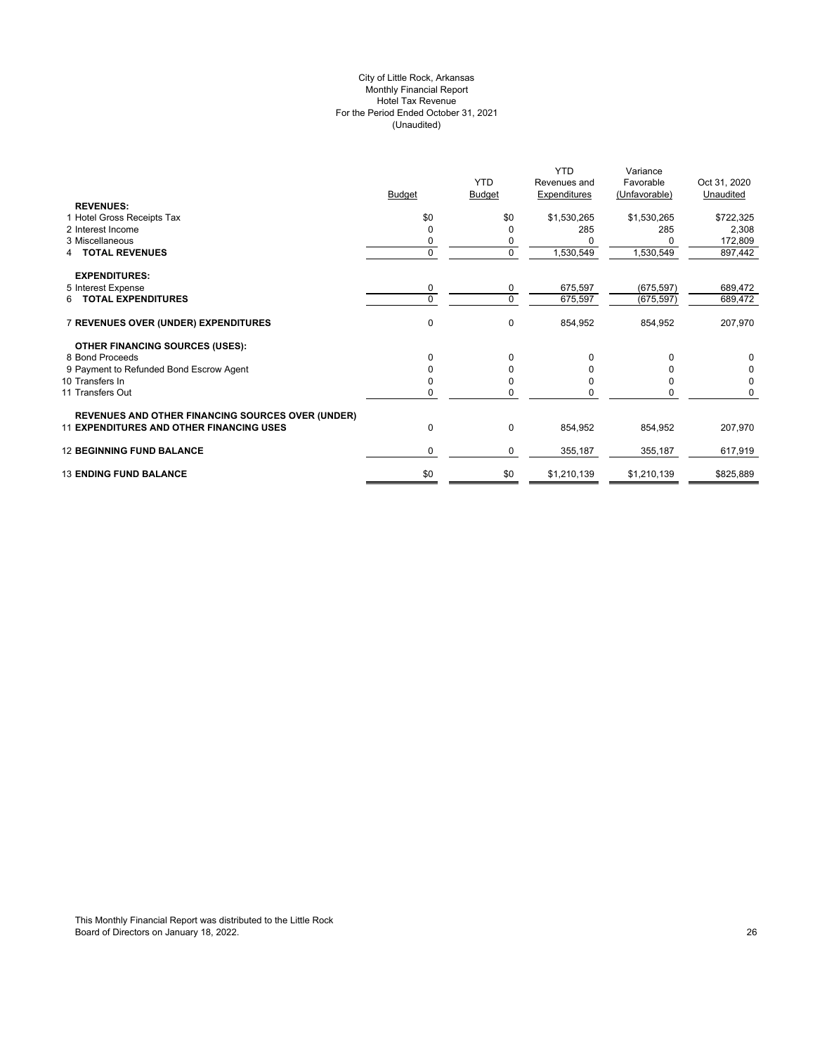# City of Little Rock, Arkansas Monthly Financial Report Hotel Tax Revenue For the Period Ended October 31, 2021 (Unaudited)

|                                                          |               |               | <b>YTD</b>   | Variance      |              |
|----------------------------------------------------------|---------------|---------------|--------------|---------------|--------------|
|                                                          |               | <b>YTD</b>    | Revenues and | Favorable     | Oct 31, 2020 |
|                                                          | <b>Budget</b> | <b>Budget</b> | Expenditures | (Unfavorable) | Unaudited    |
| <b>REVENUES:</b>                                         |               |               |              |               |              |
| 1 Hotel Gross Receipts Tax                               | \$0           | \$0           | \$1,530,265  | \$1,530,265   | \$722,325    |
| 2 Interest Income                                        | 0             | <sup>0</sup>  | 285          | 285           | 2,308        |
| 3 Miscellaneous                                          |               | 0             |              |               | 172,809      |
| <b>TOTAL REVENUES</b>                                    | 0             | $\mathbf 0$   | 1,530,549    | 1,530,549     | 897,442      |
| <b>EXPENDITURES:</b>                                     |               |               |              |               |              |
| 5 Interest Expense                                       | 0             | 0             | 675,597      | (675, 597)    | 689,472      |
| 6 TOTAL EXPENDITURES                                     | $\Omega$      | $\mathbf 0$   | 675,597      | (675, 597)    | 689,472      |
| 7 REVENUES OVER (UNDER) EXPENDITURES                     | 0             | $\mathbf 0$   | 854,952      | 854,952       | 207,970      |
| <b>OTHER FINANCING SOURCES (USES):</b>                   |               |               |              |               |              |
| 8 Bond Proceeds                                          | 0             | 0             |              | $\Omega$      | 0            |
| 9 Payment to Refunded Bond Escrow Agent                  |               | 0             |              |               | 0            |
| 10 Transfers In                                          |               | 0             |              |               | 0            |
| 11 Transfers Out                                         | 0             | $\Omega$      |              | n             | 0            |
| <b>REVENUES AND OTHER FINANCING SOURCES OVER (UNDER)</b> |               |               |              |               |              |
| <b>11 EXPENDITURES AND OTHER FINANCING USES</b>          | 0             | $\mathbf 0$   | 854,952      | 854,952       | 207,970      |
| <b>12 BEGINNING FUND BALANCE</b>                         | 0             | 0             | 355,187      | 355,187       | 617,919      |
| <b>13 ENDING FUND BALANCE</b>                            | \$0           | \$0           | \$1,210,139  | \$1,210,139   | \$825,889    |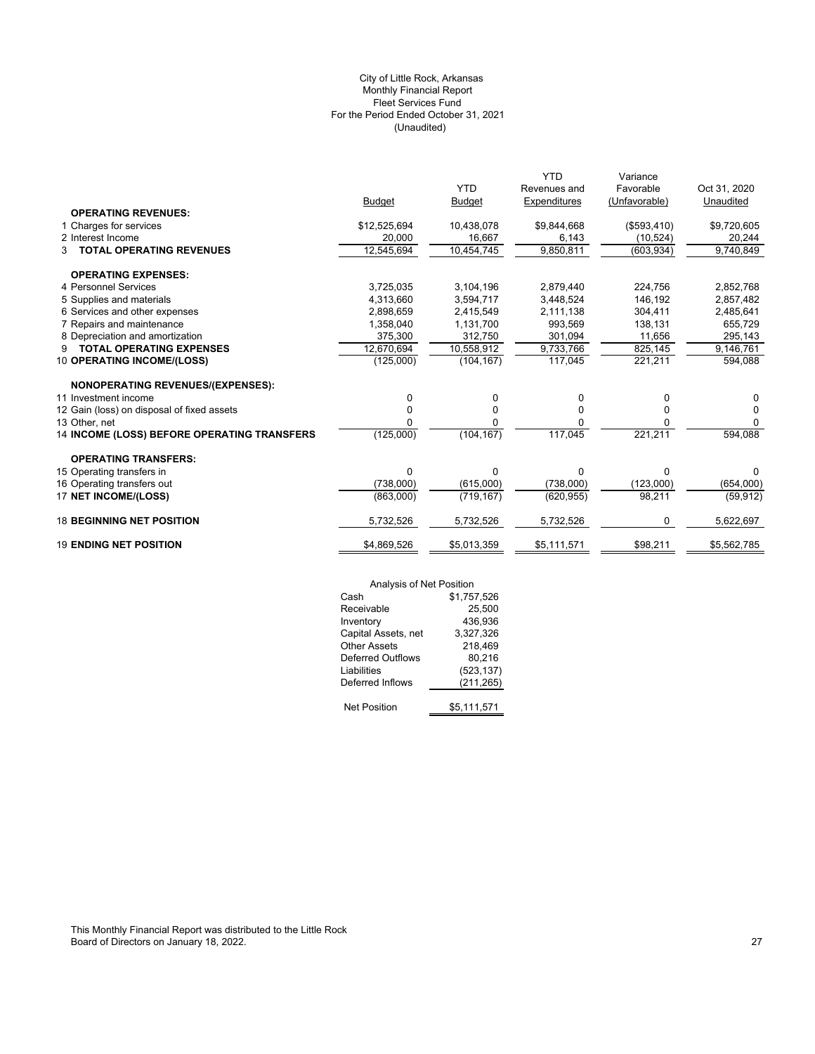# (Unaudited) City of Little Rock, Arkansas Monthly Financial Report Fleet Services Fund For the Period Ended October 31, 2021

|                                             |               |               | <b>YTD</b>   | Variance      |              |
|---------------------------------------------|---------------|---------------|--------------|---------------|--------------|
|                                             |               | <b>YTD</b>    | Revenues and | Favorable     | Oct 31, 2020 |
|                                             | <b>Budget</b> | <b>Budget</b> | Expenditures | (Unfavorable) | Unaudited    |
| <b>OPERATING REVENUES:</b>                  |               |               |              |               |              |
| 1 Charges for services                      | \$12,525,694  | 10,438,078    | \$9,844,668  | (\$593,410)   | \$9,720,605  |
| 2 Interest Income                           | 20,000        | 16,667        | 6,143        | (10, 524)     | 20,244       |
| <b>TOTAL OPERATING REVENUES</b><br>3        | 12,545,694    | 10,454,745    | 9,850,811    | (603, 934)    | 9,740,849    |
| <b>OPERATING EXPENSES:</b>                  |               |               |              |               |              |
| 4 Personnel Services                        | 3,725,035     | 3,104,196     | 2,879,440    | 224,756       | 2,852,768    |
| 5 Supplies and materials                    | 4,313,660     | 3,594,717     | 3,448,524    | 146,192       | 2,857,482    |
| 6 Services and other expenses               | 2,898,659     | 2,415,549     | 2,111,138    | 304,411       | 2,485,641    |
| 7 Repairs and maintenance                   | 1.358.040     | 1.131.700     | 993.569      | 138,131       | 655,729      |
| 8 Depreciation and amortization             | 375,300       | 312,750       | 301.094      | 11,656        | 295,143      |
| <b>TOTAL OPERATING EXPENSES</b><br>9        | 12,670,694    | 10,558,912    | 9,733,766    | 825,145       | 9,146,761    |
| 10 OPERATING INCOME/(LOSS)                  | (125,000)     | (104, 167)    | 117,045      | 221,211       | 594,088      |
| NONOPERATING REVENUES/(EXPENSES):           |               |               |              |               |              |
| 11 Investment income                        | 0             | 0             | 0            | 0             | 0            |
| 12 Gain (loss) on disposal of fixed assets  | 0             | 0             | $\Omega$     | $\Omega$      | $\Omega$     |
| 13 Other, net                               | n             | 0             | 0            | 0             | 0            |
| 14 INCOME (LOSS) BEFORE OPERATING TRANSFERS | (125,000)     | (104, 167)    | 117,045      | 221,211       | 594,088      |
| <b>OPERATING TRANSFERS:</b>                 |               |               |              |               |              |
| 15 Operating transfers in                   | 0             | 0             | $\Omega$     | 0             | 0            |
| 16 Operating transfers out                  | (738,000)     | (615,000)     | (738,000)    | (123,000)     | (654,000)    |
| 17 NET INCOME/(LOSS)                        | (863,000)     | (719, 167)    | (620, 955)   | 98,211        | (59, 912)    |
| <b>18 BEGINNING NET POSITION</b>            | 5,732,526     | 5,732,526     | 5,732,526    | 0             | 5,622,697    |
| <b>19 ENDING NET POSITION</b>               | \$4,869,526   | \$5,013,359   | \$5,111,571  | \$98,211      | \$5,562,785  |
|                                             |               |               |              |               |              |

| Analysis of Net Position |             |
|--------------------------|-------------|
| Cash                     | \$1,757,526 |
| Receivable               | 25,500      |
| Inventory                | 436,936     |
| Capital Assets, net      | 3,327,326   |
| <b>Other Assets</b>      | 218,469     |
| <b>Deferred Outflows</b> | 80.216      |
| Liabilities              | (523, 137)  |
| Deferred Inflows         | (211, 265)  |
| <b>Net Position</b>      | \$5,111,571 |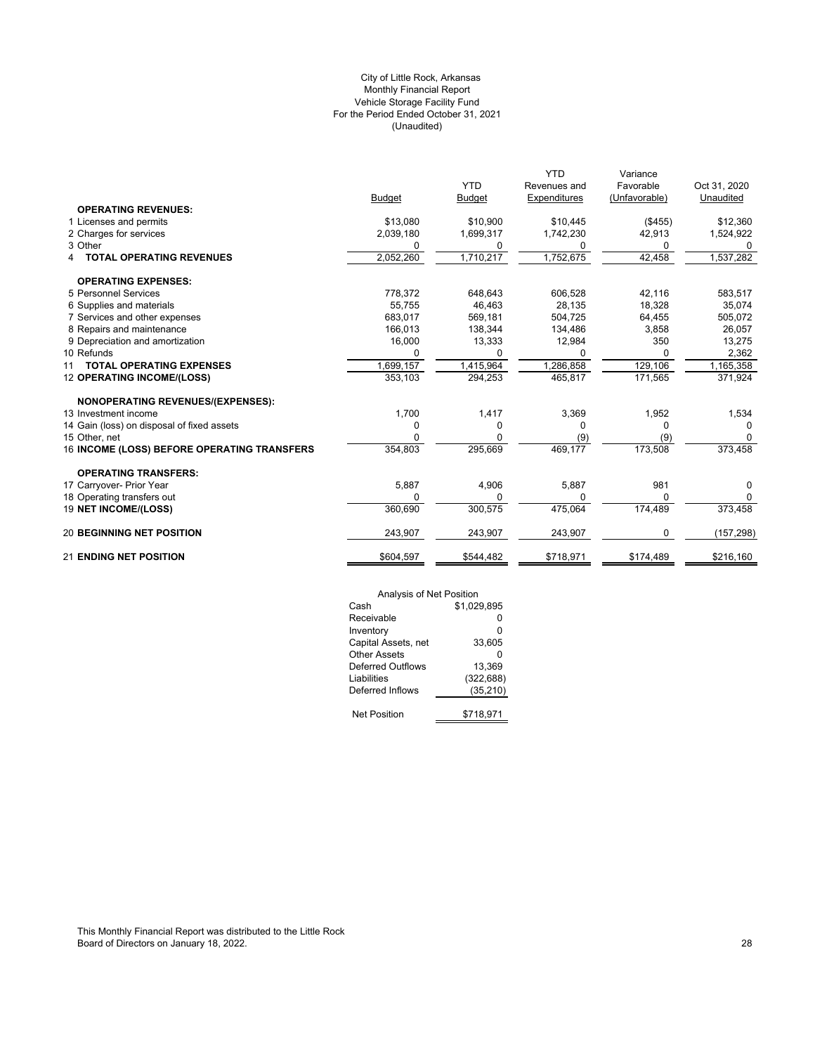# (Unaudited) City of Little Rock, Arkansas Monthly Financial Report Vehicle Storage Facility Fund For the Period Ended October 31, 2021

|                                             |               |               | <b>YTD</b>   | Variance      |              |
|---------------------------------------------|---------------|---------------|--------------|---------------|--------------|
|                                             |               | <b>YTD</b>    | Revenues and | Favorable     | Oct 31, 2020 |
|                                             | <b>Budget</b> | <b>Budget</b> | Expenditures | (Unfavorable) | Unaudited    |
| <b>OPERATING REVENUES:</b>                  |               |               |              |               |              |
| 1 Licenses and permits                      | \$13,080      | \$10,900      | \$10,445     | (\$455)       | \$12,360     |
| 2 Charges for services                      | 2,039,180     | 1,699,317     | 1,742,230    | 42,913        | 1,524,922    |
| 3 Other                                     | 0             | 0             | 0            | 0             | 0            |
| <b>TOTAL OPERATING REVENUES</b><br>4        | 2,052,260     | 1,710,217     | 1,752,675    | 42,458        | 1,537,282    |
| <b>OPERATING EXPENSES:</b>                  |               |               |              |               |              |
| 5 Personnel Services                        | 778,372       | 648,643       | 606,528      | 42,116        | 583,517      |
| 6 Supplies and materials                    | 55,755        | 46,463        | 28,135       | 18,328        | 35,074       |
| 7 Services and other expenses               | 683.017       | 569,181       | 504.725      | 64.455        | 505,072      |
| 8 Repairs and maintenance                   | 166,013       | 138,344       | 134,486      | 3,858         | 26,057       |
| 9 Depreciation and amortization             | 16,000        | 13,333        | 12,984       | 350           | 13,275       |
| 10 Refunds                                  | 0             | O             | <sup>0</sup> | 0             | 2,362        |
| <b>TOTAL OPERATING EXPENSES</b><br>11       | 1,699,157     | 1,415,964     | ,286,858     | 129,106       | 1,165,358    |
| 12 OPERATING INCOME/(LOSS)                  | 353,103       | 294,253       | 465,817      | 171,565       | 371,924      |
| <b>NONOPERATING REVENUES/(EXPENSES):</b>    |               |               |              |               |              |
| 13 Investment income                        | 1,700         | 1,417         | 3,369        | 1,952         | 1,534        |
| 14 Gain (loss) on disposal of fixed assets  | 0             | 0             | $\Omega$     | O             |              |
| 15 Other, net                               | 0             | 0             | (9)          | (9)           | 0            |
| 16 INCOME (LOSS) BEFORE OPERATING TRANSFERS | 354,803       | 295,669       | 469,177      | 173,508       | 373,458      |
| <b>OPERATING TRANSFERS:</b>                 |               |               |              |               |              |
| 17 Carryover- Prior Year                    | 5,887         | 4,906         | 5,887        | 981           | 0            |
| 18 Operating transfers out                  | $\Omega$      | $\Omega$      | $\Omega$     | $\Omega$      | 0            |
| 19 NET INCOME/(LOSS)                        | 360,690       | 300,575       | 475,064      | 174,489       | 373,458      |
| <b>20 BEGINNING NET POSITION</b>            | 243,907       | 243,907       | 243,907      | 0             | (157, 298)   |
| <b>21 ENDING NET POSITION</b>               | \$604,597     | \$544,482     | \$718,971    | \$174.489     | \$216,160    |

| Analysis of Net Position |             |
|--------------------------|-------------|
| Cash                     | \$1,029,895 |
| Receivable               | ŋ           |
| Inventory                | 0           |
| Capital Assets, net      | 33,605      |
| Other Assets             | ŋ           |
| Deferred Outflows        | 13.369      |
| Liabilities              | (322, 688)  |
| Deferred Inflows         | (35, 210)   |
|                          |             |
| <b>Net Position</b>      | \$718,971   |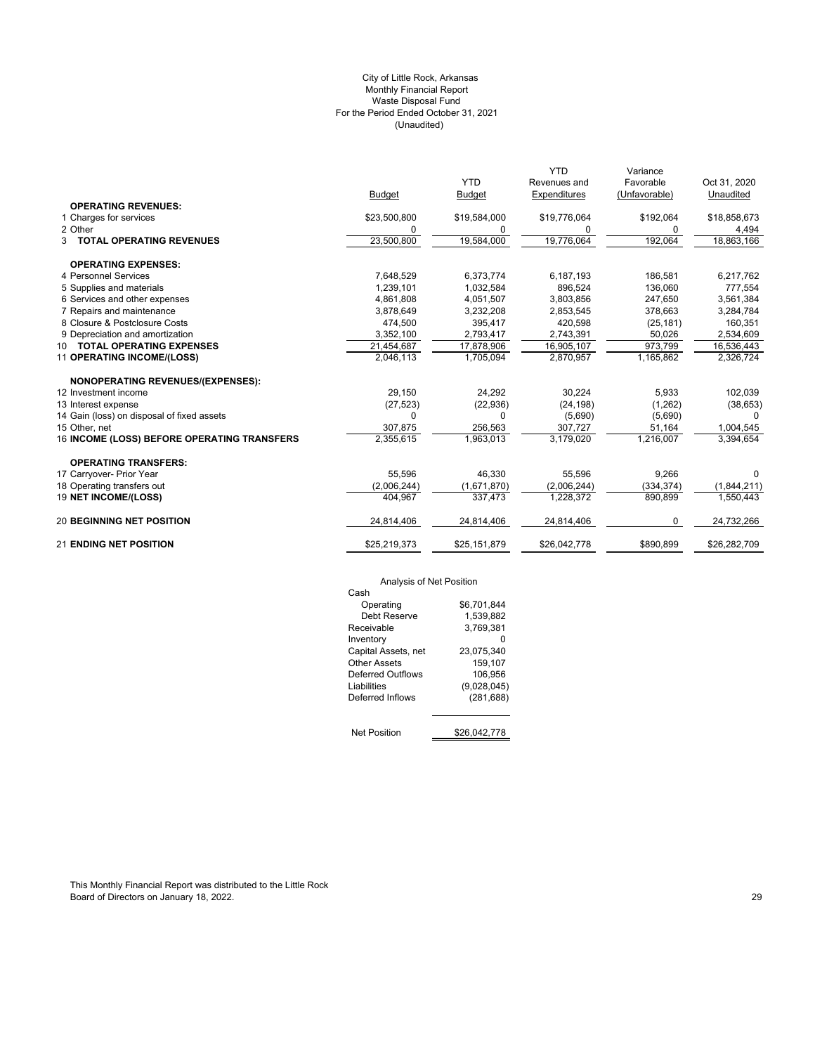# (Unaudited) City of Little Rock, Arkansas Monthly Financial Report Waste Disposal Fund For the Period Ended October 31, 2021

|                                             |               |               | <b>YTD</b>   | Variance      |              |
|---------------------------------------------|---------------|---------------|--------------|---------------|--------------|
|                                             |               | <b>YTD</b>    | Revenues and | Favorable     | Oct 31, 2020 |
|                                             | <b>Budget</b> | <b>Budget</b> | Expenditures | (Unfavorable) | Unaudited    |
| <b>OPERATING REVENUES:</b>                  |               |               |              |               |              |
| 1 Charges for services                      | \$23,500,800  | \$19,584,000  | \$19,776,064 | \$192,064     | \$18,858,673 |
| 2 Other                                     | 0             | 0             | 0            | 0             | 4,494        |
| 3 TOTAL OPERATING REVENUES                  | 23,500,800    | 19,584,000    | 19,776,064   | 192,064       | 18,863,166   |
| <b>OPERATING EXPENSES:</b>                  |               |               |              |               |              |
| 4 Personnel Services                        | 7,648,529     | 6,373,774     | 6,187,193    | 186,581       | 6,217,762    |
| 5 Supplies and materials                    | 1,239,101     | 1,032,584     | 896,524      | 136,060       | 777,554      |
| 6 Services and other expenses               | 4,861,808     | 4,051,507     | 3.803.856    | 247.650       | 3,561,384    |
| 7 Repairs and maintenance                   | 3,878,649     | 3,232,208     | 2,853,545    | 378.663       | 3,284,784    |
| 8 Closure & Postclosure Costs               | 474,500       | 395,417       | 420,598      | (25, 181)     | 160,351      |
| 9 Depreciation and amortization             | 3,352,100     | 2,793,417     | 2,743,391    | 50,026        | 2,534,609    |
| 10 TOTAL OPERATING EXPENSES                 | 21,454,687    | 17,878,906    | 16,905,107   | 973,799       | 16,536,443   |
| 11 OPERATING INCOME/(LOSS)                  | 2,046,113     | 1,705,094     | 2,870,957    | 1,165,862     | 2,326,724    |
| NONOPERATING REVENUES/(EXPENSES):           |               |               |              |               |              |
| 12 Investment income                        | 29,150        | 24,292        | 30,224       | 5,933         | 102,039      |
| 13 Interest expense                         | (27, 523)     | (22, 936)     | (24, 198)    | (1,262)       | (38, 653)    |
| 14 Gain (loss) on disposal of fixed assets  | $\Omega$      | 0             | (5,690)      | (5,690)       |              |
| 15 Other, net                               | 307,875       | 256,563       | 307,727      | 51,164        | 1,004,545    |
| 16 INCOME (LOSS) BEFORE OPERATING TRANSFERS | 2,355,615     | 1,963,013     | 3,179,020    | 1,216,007     | 3,394,654    |
| <b>OPERATING TRANSFERS:</b>                 |               |               |              |               |              |
| 17 Carryover- Prior Year                    | 55,596        | 46.330        | 55,596       | 9,266         | 0            |
| 18 Operating transfers out                  | (2,006,244)   | (1,671,870)   | (2,006,244)  | (334, 374)    | (1,844,211)  |
| 19 NET INCOME/(LOSS)                        | 404,967       | 337,473       | 1,228,372    | 890,899       | 1,550,443    |
| <b>20 BEGINNING NET POSITION</b>            | 24,814,406    | 24,814,406    | 24,814,406   | 0             | 24,732,266   |
| <b>21 ENDING NET POSITION</b>               | \$25,219,373  | \$25,151,879  | \$26,042,778 | \$890,899     | \$26,282,709 |
|                                             |               |               |              |               |              |

# Analysis of Net Position

| Analysis of Net Position |              |
|--------------------------|--------------|
| Cash                     |              |
| Operating                | \$6.701.844  |
| Debt Reserve             | 1.539.882    |
| Receivable               | 3.769.381    |
| Inventory                |              |
| Capital Assets, net      | 23,075,340   |
| Other Assets             | 159,107      |
| Deferred Outflows        | 106,956      |
| Liabilities              | (9,028,045)  |
| Deferred Inflows         | (281, 688)   |
|                          |              |
| <b>Net Position</b>      | \$26.042.778 |

This Monthly Financial Report was distributed to the Little Rock Board of Directors on January 18, 2022. 29 and 2022 and 2012 12:30 and 2012 12:30 and 2012 12:30 and 2012 12:30 and 2012 12:30 and 2012 12:30 and 2013 12:30 and 2013 12:30 and 2013 12:30 and 2013 12:30 and 2013 12:30 and 2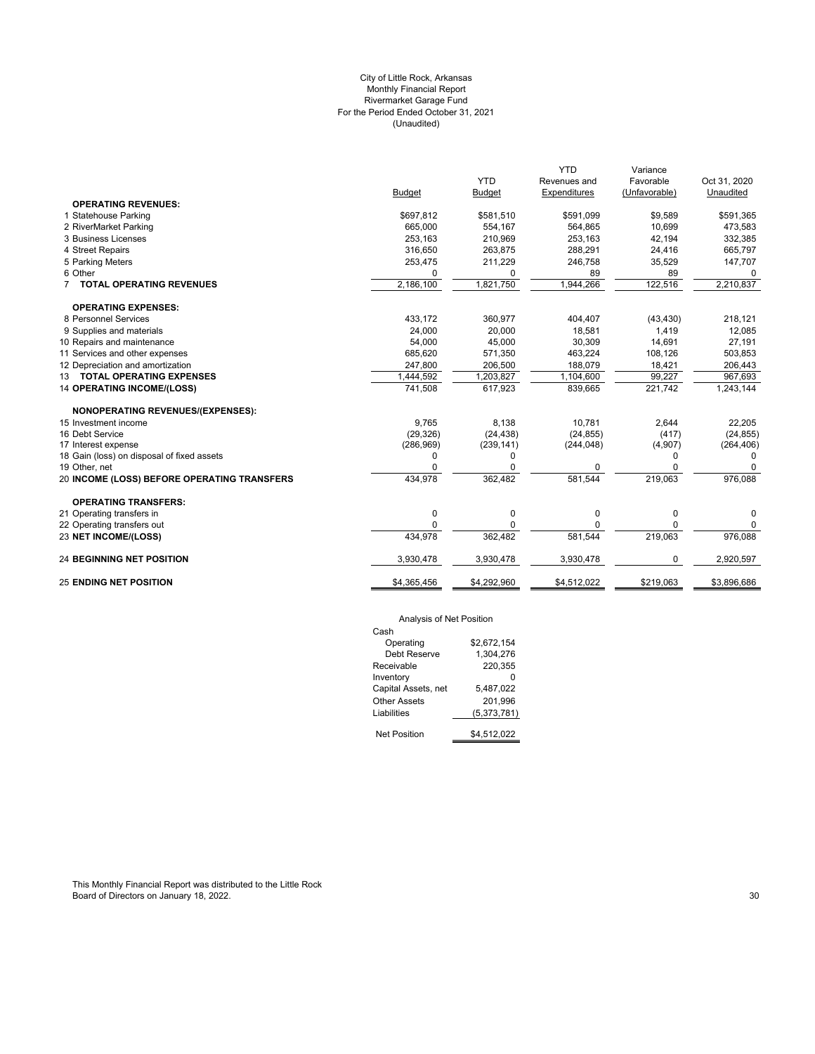# City of Little Rock, Arkansas Monthly Financial Report Rivermarket Garage Fund For the Period Ended October 31, 2021 (Unaudited)

|                                             |               |               | <b>YTD</b>   | Variance      |              |
|---------------------------------------------|---------------|---------------|--------------|---------------|--------------|
|                                             |               | <b>YTD</b>    | Revenues and | Favorable     | Oct 31, 2020 |
|                                             | <b>Budget</b> | <b>Budget</b> | Expenditures | (Unfavorable) | Unaudited    |
| <b>OPERATING REVENUES:</b>                  |               |               |              |               |              |
| 1 Statehouse Parking                        | \$697,812     | \$581,510     | \$591,099    | \$9,589       | \$591,365    |
| 2 RiverMarket Parking                       | 665,000       | 554,167       | 564,865      | 10,699        | 473,583      |
| 3 Business Licenses                         | 253,163       | 210,969       | 253,163      | 42,194        | 332,385      |
| 4 Street Repairs                            | 316,650       | 263,875       | 288,291      | 24,416        | 665,797      |
| 5 Parking Meters                            | 253,475       | 211,229       | 246,758      | 35,529        | 147,707      |
| 6 Other                                     | $\Omega$      | 0             | 89           | 89            | $\Omega$     |
| 7 TOTAL OPERATING REVENUES                  | 2,186,100     | 1,821,750     | 1,944,266    | 122,516       | 2,210,837    |
| <b>OPERATING EXPENSES:</b>                  |               |               |              |               |              |
| 8 Personnel Services                        | 433,172       | 360,977       | 404,407      | (43, 430)     | 218,121      |
| 9 Supplies and materials                    | 24,000        | 20.000        | 18,581       | 1,419         | 12,085       |
| 10 Repairs and maintenance                  | 54,000        | 45,000        | 30,309       | 14,691        | 27,191       |
| 11 Services and other expenses              | 685,620       | 571,350       | 463,224      | 108,126       | 503,853      |
| 12 Depreciation and amortization            | 247,800       | 206,500       | 188,079      | 18,421        | 206,443      |
| 13 TOTAL OPERATING EXPENSES                 | 1,444,592     | 1,203,827     | 1,104,600    | 99,227        | 967,693      |
| <b>14 OPERATING INCOME/(LOSS)</b>           | 741,508       | 617,923       | 839,665      | 221,742       | 1,243,144    |
| <b>NONOPERATING REVENUES/(EXPENSES):</b>    |               |               |              |               |              |
| 15 Investment income                        | 9,765         | 8,138         | 10.781       | 2,644         | 22,205       |
| 16 Debt Service                             | (29, 326)     | (24, 438)     | (24, 855)    | (417)         | (24, 855)    |
| 17 Interest expense                         | (286, 969)    | (239, 141)    | (244, 048)   | (4,907)       | (264, 406)   |
| 18 Gain (loss) on disposal of fixed assets  | $\Omega$      | 0             |              | 0             | 0            |
| 19 Other, net                               | $\Omega$      | 0             | 0            | 0             | 0            |
| 20 INCOME (LOSS) BEFORE OPERATING TRANSFERS | 434,978       | 362,482       | 581.544      | 219,063       | 976,088      |
| <b>OPERATING TRANSFERS:</b>                 |               |               |              |               |              |
| 21 Operating transfers in                   | 0             | 0             | 0            | $\mathbf 0$   | 0            |
| 22 Operating transfers out                  | $\Omega$      | 0             | 0            | $\mathbf 0$   | 0            |
| 23 NET INCOME/(LOSS)                        | 434,978       | 362.482       | 581.544      | 219,063       | 976,088      |
| <b>24 BEGINNING NET POSITION</b>            | 3,930,478     | 3,930,478     | 3,930,478    | 0             | 2,920,597    |
| <b>25 ENDING NET POSITION</b>               | \$4,365,456   | \$4,292,960   | \$4,512,022  | \$219,063     | \$3,896,686  |
|                                             |               |               |              |               |              |

# Analysis of Net Position

| Cash                |             |
|---------------------|-------------|
| Operating           | \$2.672.154 |
| Debt Reserve        | 1.304.276   |
| Receivable          | 220,355     |
| Inventory           |             |
| Capital Assets, net | 5,487,022   |
| Other Assets        | 201.996     |
| Liabilities         | (5,373,781) |
|                     |             |
| Net Position        | \$4.512.022 |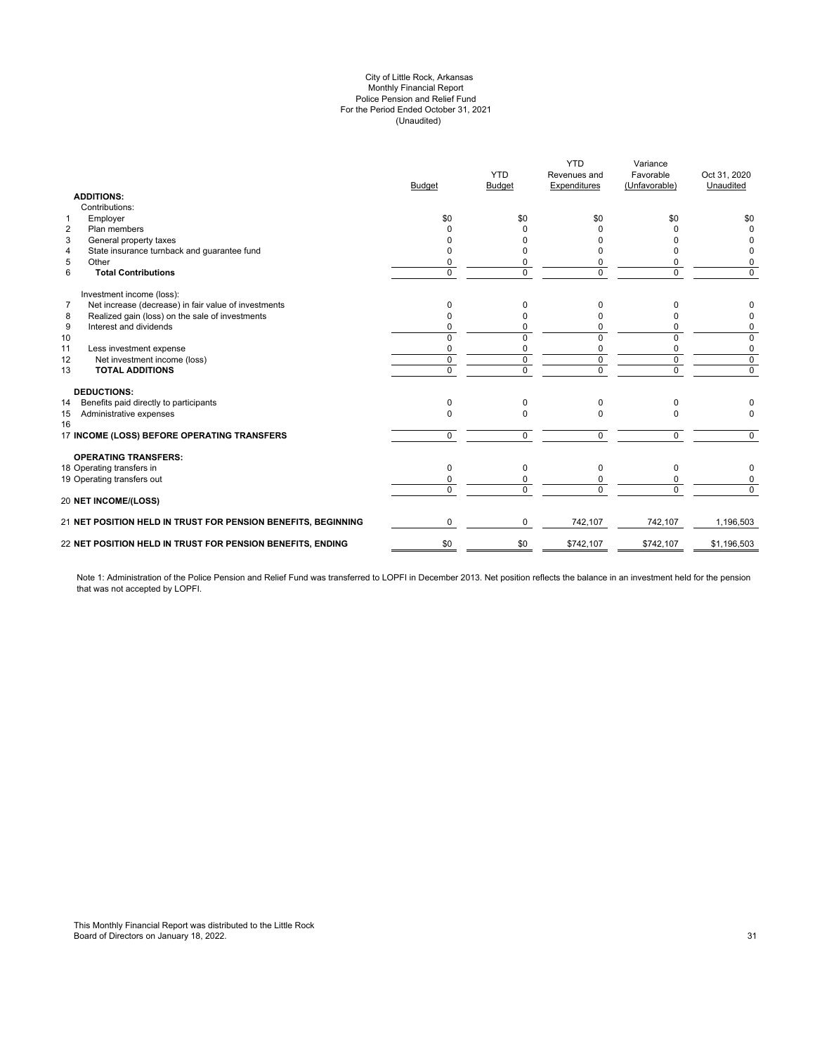### (Unaudited) City of Little Rock, Arkansas Monthly Financial Report Police Pension and Relief Fund For the Period Ended October 31, 2021

|                | <b>ADDITIONS:</b>                                             | <b>Budget</b>  | <b>YTD</b><br><b>Budget</b> | <b>YTD</b><br>Revenues and<br>Expenditures | Variance<br>Favorable<br>(Unfavorable) | Oct 31, 2020<br>Unaudited |
|----------------|---------------------------------------------------------------|----------------|-----------------------------|--------------------------------------------|----------------------------------------|---------------------------|
|                | Contributions:                                                |                |                             |                                            |                                        |                           |
| $\mathbf{1}$   | Employer                                                      | \$0            | \$0                         | \$0                                        | \$0                                    | \$0                       |
| $\overline{2}$ | Plan members                                                  | <sup>0</sup>   | <sup>0</sup>                | n                                          | n                                      | $\Omega$                  |
| 3              | General property taxes                                        | n              | U                           |                                            |                                        | 0                         |
| $\overline{4}$ | State insurance turnback and guarantee fund                   |                | 0                           |                                            |                                        | 0                         |
| 5              | Other                                                         | $\Omega$       | 0                           |                                            | 0                                      | 0                         |
| 6              | <b>Total Contributions</b>                                    | $\Omega$       | $\Omega$                    | $\Omega$                                   | 0                                      | $\Omega$                  |
|                | Investment income (loss):                                     |                |                             |                                            |                                        |                           |
| $\overline{7}$ | Net increase (decrease) in fair value of investments          | $\Omega$       | 0                           | 0                                          | n                                      | 0                         |
| 8              | Realized gain (loss) on the sale of investments               | $\Omega$       | $\Omega$                    |                                            | O                                      | 0                         |
| 9              | Interest and dividends                                        | 0              | 0                           | 0                                          | 0                                      | 0                         |
| 10             |                                                               | 0              | 0                           | $\Omega$                                   | 0                                      | 0                         |
| 11             | Less investment expense                                       | 0              | 0                           | $\Omega$                                   | 0                                      | 0                         |
| 12             | Net investment income (loss)                                  | $\mathbf 0$    | $\mathbf 0$                 | $\mathbf 0$                                | 0                                      | $\mathbf 0$               |
| 13             | <b>TOTAL ADDITIONS</b>                                        | $\overline{0}$ | $\overline{0}$              | $\mathbf 0$                                | 0                                      | $\overline{0}$            |
|                | <b>DEDUCTIONS:</b>                                            |                |                             |                                            |                                        |                           |
| 14             | Benefits paid directly to participants                        | 0              | 0                           | 0                                          | 0                                      |                           |
| 15<br>16       | Administrative expenses                                       | $\Omega$       | $\Omega$                    | $\Omega$                                   | 0                                      | $\Omega$                  |
|                | 17 INCOME (LOSS) BEFORE OPERATING TRANSFERS                   | $\mathbf 0$    | $\Omega$                    | $\Omega$                                   | $\mathbf 0$                            | $\Omega$                  |
|                | <b>OPERATING TRANSFERS:</b>                                   |                |                             |                                            |                                        |                           |
|                | 18 Operating transfers in                                     | $\Omega$       | $\Omega$                    | $\Omega$                                   | 0                                      | 0                         |
|                | 19 Operating transfers out                                    | 0              | 0                           | <sup>0</sup>                               | 0                                      | 0                         |
|                | 20 NET INCOME/(LOSS)                                          | $\Omega$       | $\Omega$                    | $\Omega$                                   | 0                                      | $\Omega$                  |
|                | 21 NET POSITION HELD IN TRUST FOR PENSION BENEFITS, BEGINNING | $\mathbf 0$    | 0                           | 742,107                                    | 742,107                                | 1,196,503                 |
|                | 22 NET POSITION HELD IN TRUST FOR PENSION BENEFITS, ENDING    | \$0            | \$0                         | \$742,107                                  | \$742,107                              | \$1,196,503               |
|                |                                                               |                |                             |                                            |                                        |                           |

Note 1: Administration of the Police Pension and Relief Fund was transferred to LOPFI in December 2013. Net position reflects the balance in an investment held for the pension that was not accepted by LOPFI.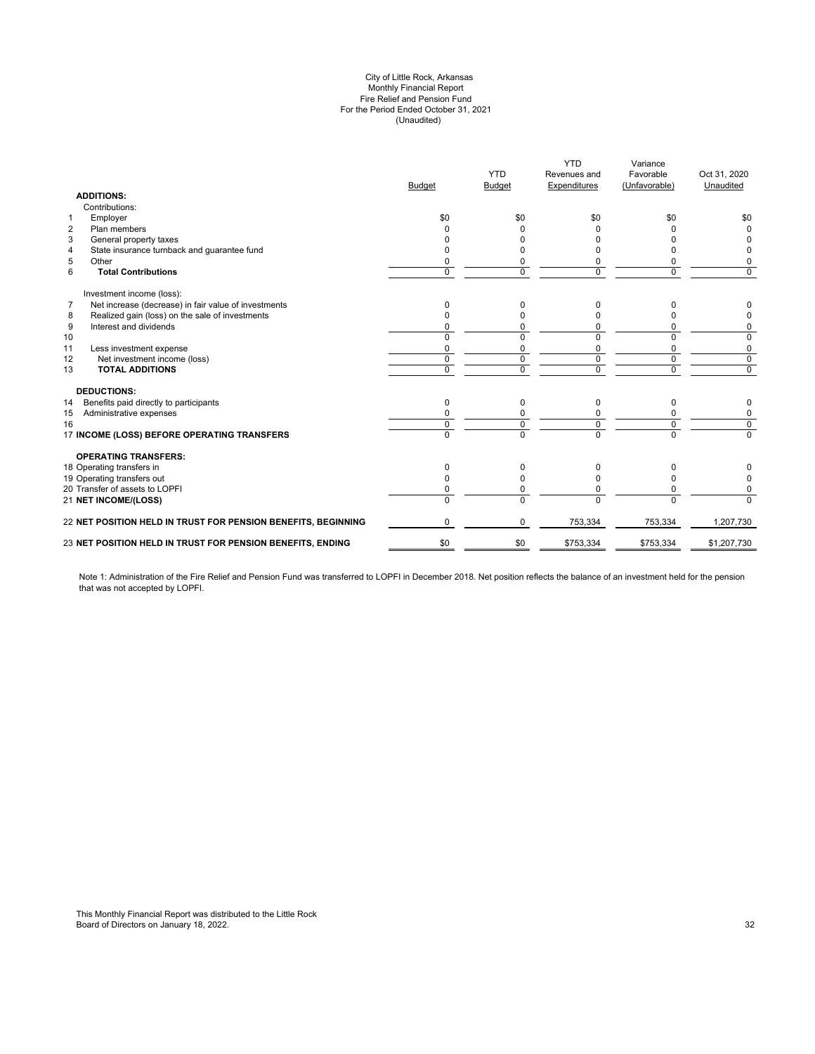### (Unaudited) City of Little Rock, Arkansas Monthly Financial Report Fire Relief and Pension Fund For the Period Ended October 31, 2021

|                | <b>ADDITIONS:</b>                                             | <b>Budget</b> | <b>YTD</b><br><b>Budget</b> | <b>YTD</b><br>Revenues and<br>Expenditures | Variance<br>Favorable<br>(Unfavorable) | Oct 31, 2020<br>Unaudited |
|----------------|---------------------------------------------------------------|---------------|-----------------------------|--------------------------------------------|----------------------------------------|---------------------------|
|                | Contributions:                                                |               |                             |                                            |                                        |                           |
| $\mathbf{1}$   | Employer                                                      | \$0           | \$0                         | \$0                                        | \$0                                    | \$0                       |
| $\overline{2}$ | Plan members                                                  |               |                             |                                            |                                        | <sup>0</sup>              |
| 3              | General property taxes                                        |               |                             |                                            |                                        |                           |
| 4              | State insurance turnback and guarantee fund                   |               |                             |                                            |                                        | 0                         |
| 5              | Other                                                         |               | 0                           |                                            | 0                                      | 0                         |
| 6              | <b>Total Contributions</b>                                    | $\Omega$      | $\Omega$                    | $\Omega$                                   | $\Omega$                               | 0                         |
|                | Investment income (loss):                                     |               |                             |                                            |                                        |                           |
| $\overline{7}$ | Net increase (decrease) in fair value of investments          | 0             | 0                           | <sup>0</sup>                               | 0                                      | 0                         |
| 8              | Realized gain (loss) on the sale of investments               |               | O                           |                                            | n                                      | 0                         |
| 9              | Interest and dividends                                        |               | 0                           | 0                                          | 0                                      | 0                         |
| 10             |                                                               | $\Omega$      | $\Omega$                    | $\Omega$                                   | $\Omega$                               | 0                         |
| 11             | Less investment expense                                       | O             | $\Omega$                    | $\Omega$                                   | $\mathbf 0$                            | 0                         |
| 12             | Net investment income (loss)                                  | $\mathbf 0$   | 0                           | $\mathbf 0$                                | $\mathbf 0$                            | $\mathbf 0$               |
| 13             | <b>TOTAL ADDITIONS</b>                                        | $\Omega$      | $\Omega$                    | $\Omega$                                   | $\Omega$                               | $\mathbf 0$               |
|                | <b>DEDUCTIONS:</b>                                            |               |                             |                                            |                                        |                           |
| 14             | Benefits paid directly to participants                        | $\Omega$      | $\Omega$                    | $\Omega$                                   | 0                                      | 0                         |
| 15             | Administrative expenses                                       |               |                             |                                            | 0                                      | 0                         |
| 16             |                                                               | $\Omega$      | 0                           | $\Omega$                                   | $\mathbf 0$                            | $\overline{0}$            |
|                | 17 INCOME (LOSS) BEFORE OPERATING TRANSFERS                   | $\Omega$      | $\overline{0}$              | $\Omega$                                   | $\overline{0}$                         | $\Omega$                  |
|                | <b>OPERATING TRANSFERS:</b>                                   |               |                             |                                            |                                        |                           |
|                | 18 Operating transfers in                                     | $\Omega$      | 0                           | 0                                          | 0                                      |                           |
|                | 19 Operating transfers out                                    |               | O                           | <sup>0</sup>                               | ŋ                                      | 0                         |
|                | 20 Transfer of assets to LOPFI                                |               | 0                           | 0                                          | $\Omega$                               | 0                         |
|                | <b>21 NET INCOME/(LOSS)</b>                                   | $\Omega$      | $\Omega$                    | $\Omega$                                   | $\Omega$                               | $\Omega$                  |
|                | 22 NET POSITION HELD IN TRUST FOR PENSION BENEFITS, BEGINNING | $\Omega$      | $\Omega$                    | 753,334                                    | 753,334                                | 1,207,730                 |
|                | 23 NET POSITION HELD IN TRUST FOR PENSION BENEFITS, ENDING    | \$0           | \$0                         | \$753,334                                  | \$753,334                              | \$1,207,730               |
|                |                                                               |               |                             |                                            |                                        |                           |

Note 1: Administration of the Fire Relief and Pension Fund was transferred to LOPFI in December 2018. Net position reflects the balance of an investment held for the pension that was not accepted by LOPFI.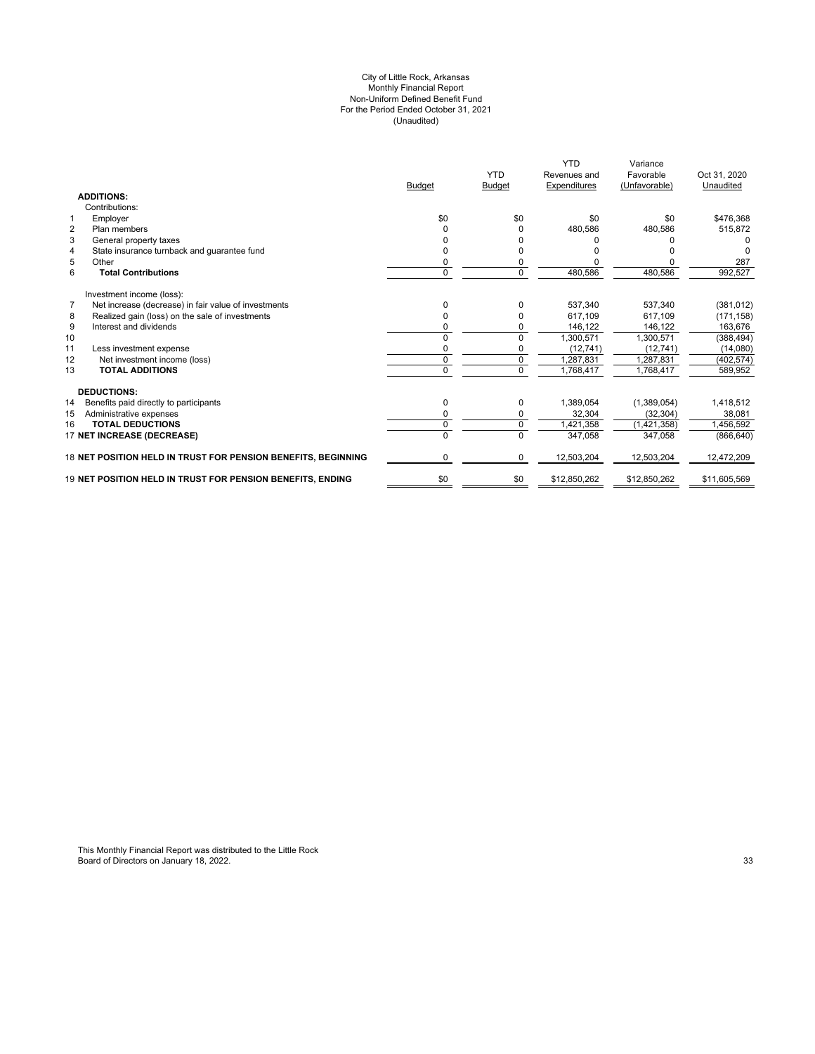#### (Unaudited) For the Period Ended October 31, 2021 City of Little Rock, Arkansas Monthly Financial Report Non-Uniform Defined Benefit Fund

|                                                                        | <b>Budget</b> | <b>YTD</b><br><b>Budget</b> | <b>YTD</b><br>Revenues and<br>Expenditures | Variance<br>Favorable<br>(Unfavorable) | Oct 31, 2020<br>Unaudited |
|------------------------------------------------------------------------|---------------|-----------------------------|--------------------------------------------|----------------------------------------|---------------------------|
| <b>ADDITIONS:</b>                                                      |               |                             |                                            |                                        |                           |
| Contributions:                                                         |               |                             |                                            |                                        |                           |
| Employer<br>1                                                          | \$0           | \$0                         | \$0                                        | \$0                                    | \$476,368                 |
| $\overline{2}$<br>Plan members                                         | $\Omega$      | 0                           | 480,586                                    | 480,586                                | 515,872                   |
| 3<br>General property taxes                                            |               |                             |                                            |                                        |                           |
| State insurance turnback and guarantee fund<br>4                       |               |                             |                                            |                                        |                           |
| 5<br>Other                                                             | 0             | 0                           |                                            |                                        | 287                       |
| 6<br><b>Total Contributions</b>                                        | $\mathbf 0$   | 0                           | 480,586                                    | 480,586                                | 992,527                   |
| Investment income (loss):                                              |               |                             |                                            |                                        |                           |
| $\overline{7}$<br>Net increase (decrease) in fair value of investments | 0             | 0                           | 537.340                                    | 537.340                                | (381, 012)                |
| Realized gain (loss) on the sale of investments<br>8                   | 0             |                             | 617.109                                    | 617.109                                | (171, 158)                |
| 9<br>Interest and dividends                                            | 0             |                             | 146,122                                    | 146,122                                | 163,676                   |
| 10                                                                     |               | 0                           | 1.300.571                                  | 1.300.571                              | (388, 494)                |
| 11<br>Less investment expense                                          | $\Omega$      | 0                           | (12, 741)                                  | (12, 741)                              | (14,080)                  |
| 12<br>Net investment income (loss)                                     | $\mathbf 0$   | 0                           | 1,287,831                                  | ,287,831                               | (402, 574)                |
| 13<br><b>TOTAL ADDITIONS</b>                                           | $\Omega$      | $\Omega$                    | 1,768,417                                  | 1,768,417                              | 589,952                   |
| <b>DEDUCTIONS:</b>                                                     |               |                             |                                            |                                        |                           |
| 14<br>Benefits paid directly to participants                           | 0             | 0                           | 1,389,054                                  | (1,389,054)                            | 1,418,512                 |
| 15<br>Administrative expenses                                          | 0             | 0                           | 32,304                                     | (32, 304)                              | 38,081                    |
| <b>TOTAL DEDUCTIONS</b><br>16                                          | $\mathbf 0$   | 0                           | 1,421,358                                  | (1,421,358)                            | 1,456,592                 |
| <b>17 NET INCREASE (DECREASE)</b>                                      | $\Omega$      | $\Omega$                    | 347,058                                    | 347,058                                | (866, 640)                |
| 18 NET POSITION HELD IN TRUST FOR PENSION BENEFITS, BEGINNING          | $\Omega$      | $\Omega$                    | 12,503,204                                 | 12,503,204                             | 12,472,209                |
| 19 NET POSITION HELD IN TRUST FOR PENSION BENEFITS. ENDING             | \$0           | \$0                         | \$12,850,262                               | \$12,850,262                           | \$11,605,569              |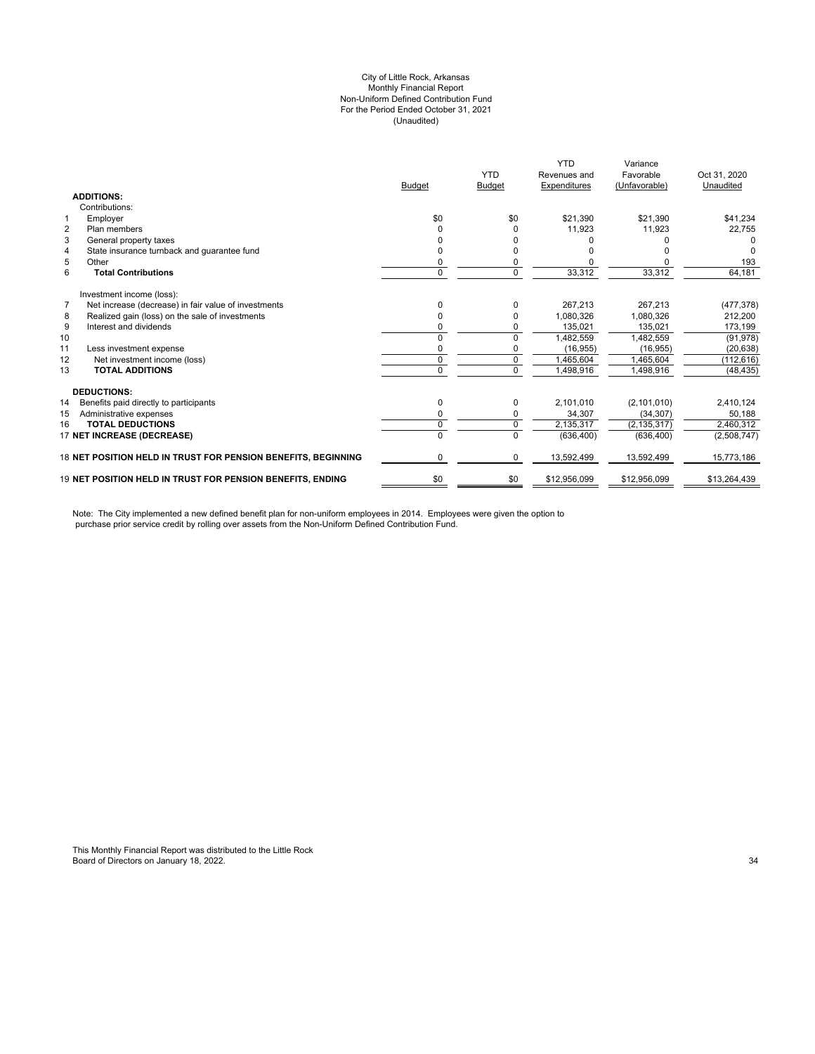#### City of Little Rock, Arkansas (Unaudited) For the Period Ended October 31, 2021 Non-Uniform Defined Contribution Fund Monthly Financial Report

|                                                                        |                | <b>YTD</b>     | <b>YTD</b><br>Revenues and | Variance<br>Favorable | Oct 31, 2020 |
|------------------------------------------------------------------------|----------------|----------------|----------------------------|-----------------------|--------------|
| <b>ADDITIONS:</b>                                                      | <b>Budget</b>  | <b>Budget</b>  | Expenditures               | (Unfavorable)         | Unaudited    |
| Contributions:                                                         |                |                |                            |                       |              |
| Employer<br>1                                                          | \$0            | \$0            | \$21.390                   | \$21.390              | \$41,234     |
| $\overline{2}$<br>Plan members                                         | 0              | 0              | 11,923                     | 11,923                | 22,755       |
| 3<br>General property taxes                                            |                |                |                            |                       |              |
| 4<br>State insurance turnback and quarantee fund                       | 0              |                |                            |                       |              |
| 5<br>Other                                                             | 0              | 0              |                            |                       | 193          |
| 6<br><b>Total Contributions</b>                                        | $\mathbf 0$    | 0              | 33,312                     | 33,312                | 64,181       |
| Investment income (loss):                                              |                |                |                            |                       |              |
| $\overline{7}$<br>Net increase (decrease) in fair value of investments | ŋ              | ŋ              | 267.213                    | 267.213               | (477, 378)   |
| Realized gain (loss) on the sale of investments<br>8                   | 0              | 0              | 1,080,326                  | 1,080,326             | 212,200      |
| 9<br>Interest and dividends                                            | 0              | 0              | 135,021                    | 135,021               | 173,199      |
| 10                                                                     | $\Omega$       | $\Omega$       | 1,482,559                  | 1,482,559             | (91, 978)    |
| 11<br>Less investment expense                                          | 0              | 0              | (16, 955)                  | (16, 955)             | (20, 638)    |
| 12<br>Net investment income (loss)                                     | $\pmb{0}$      | $\mathbf 0$    | 1,465,604                  | 1,465,604             | (112, 616)   |
| 13<br><b>TOTAL ADDITIONS</b>                                           | $\Omega$       | $\Omega$       | 1,498,916                  | 1,498,916             | (48, 435)    |
| <b>DEDUCTIONS:</b>                                                     |                |                |                            |                       |              |
| 14<br>Benefits paid directly to participants                           | 0              | 0              | 2,101,010                  | (2,101,010)           | 2,410,124    |
| 15<br>Administrative expenses                                          | 0              | 0              | 34,307                     | (34, 307)             | 50,188       |
| <b>TOTAL DEDUCTIONS</b><br>16                                          | $\overline{0}$ | $\overline{0}$ | 2,135,317                  | (2, 135, 317)         | 2,460,312    |
| 17 NET INCREASE (DECREASE)                                             | $\Omega$       | $\Omega$       | (636, 400)                 | (636, 400)            | (2,508,747)  |
| 18 NET POSITION HELD IN TRUST FOR PENSION BENEFITS, BEGINNING          | 0              | 0              | 13,592,499                 | 13,592,499            | 15,773,186   |
| <b>19 NET POSITION HELD IN TRUST FOR PENSION BENEFITS. ENDING</b>      | \$0            | \$0            | \$12,956,099               | \$12,956,099          | \$13,264,439 |

Note: The City implemented a new defined benefit plan for non-uniform employees in 2014. Employees were given the option to purchase prior service credit by rolling over assets from the Non-Uniform Defined Contribution Fund.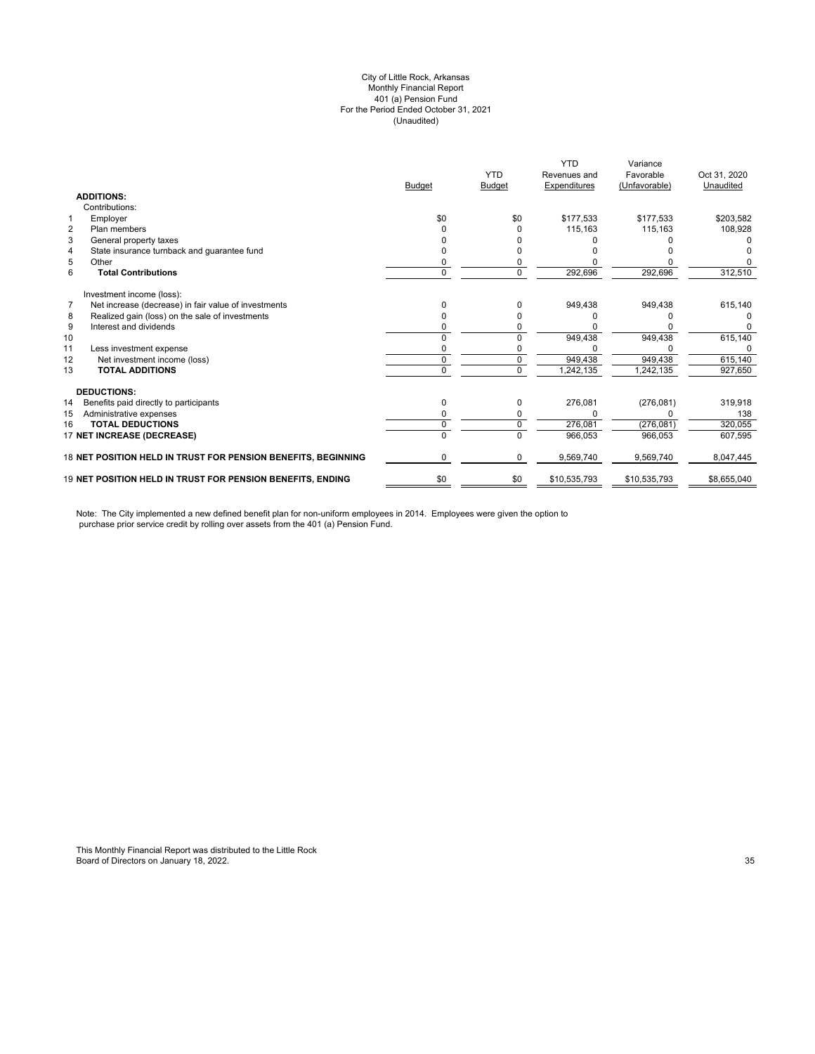#### (Unaudited) City of Little Rock, Arkansas Monthly Financial Report 401 (a) Pension Fund For the Period Ended October 31, 2021

|                |                                                               | <b>Budget</b> | <b>YTD</b><br><b>Budget</b> | <b>YTD</b><br>Revenues and<br>Expenditures | Variance<br>Favorable<br>(Unfavorable) | Oct 31, 2020<br>Unaudited |
|----------------|---------------------------------------------------------------|---------------|-----------------------------|--------------------------------------------|----------------------------------------|---------------------------|
|                | <b>ADDITIONS:</b>                                             |               |                             |                                            |                                        |                           |
|                | Contributions:                                                |               |                             |                                            |                                        |                           |
| 1              | Employer                                                      | \$0           | \$0                         | \$177,533                                  | \$177,533                              | \$203,582                 |
| $\overline{2}$ | Plan members                                                  |               |                             | 115,163                                    | 115,163                                | 108,928                   |
| 3              | General property taxes                                        |               |                             |                                            |                                        |                           |
| 4              | State insurance turnback and quarantee fund                   |               |                             |                                            |                                        |                           |
| 5              | Other                                                         |               |                             |                                            |                                        |                           |
| 6              | <b>Total Contributions</b>                                    | 0             | 0                           | 292,696                                    | 292,696                                | 312,510                   |
|                | Investment income (loss):                                     |               |                             |                                            |                                        |                           |
| $\overline{7}$ | Net increase (decrease) in fair value of investments          | n             | 0                           | 949,438                                    | 949,438                                | 615,140                   |
| 8              | Realized gain (loss) on the sale of investments               |               |                             |                                            |                                        |                           |
| 9              | Interest and dividends                                        |               |                             |                                            |                                        | 0                         |
| 10             |                                                               |               |                             | 949,438                                    | 949,438                                | 615,140                   |
| 11             | Less investment expense                                       |               |                             |                                            |                                        | 0                         |
| 12             | Net investment income (loss)                                  | 0             | 0                           | 949,438                                    | 949,438                                | 615,140                   |
| 13             | <b>TOTAL ADDITIONS</b>                                        | U             | $\Omega$                    | 1,242,135                                  | 1,242,135                              | 927,650                   |
|                | <b>DEDUCTIONS:</b>                                            |               |                             |                                            |                                        |                           |
| 14             | Benefits paid directly to participants                        | 0             | 0                           | 276,081                                    | (276, 081)                             | 319,918                   |
| 15             | Administrative expenses                                       |               |                             |                                            |                                        | 138                       |
| 16             | <b>TOTAL DEDUCTIONS</b>                                       | 0             | 0                           | 276,081                                    | (276, 081)                             | 320,055                   |
|                | 17 NET INCREASE (DECREASE)                                    | U             | $\Omega$                    | 966,053                                    | 966,053                                | 607,595                   |
|                | 18 NET POSITION HELD IN TRUST FOR PENSION BENEFITS, BEGINNING | 0             | 0                           | 9,569,740                                  | 9,569,740                              | 8,047,445                 |
|                | 19 NET POSITION HELD IN TRUST FOR PENSION BENEFITS, ENDING    | \$0           | \$0                         | \$10,535,793                               | \$10,535,793                           | \$8,655,040               |

Note: The City implemented a new defined benefit plan for non-uniform employees in 2014. Employees were given the option to purchase prior service credit by rolling over assets from the 401 (a) Pension Fund.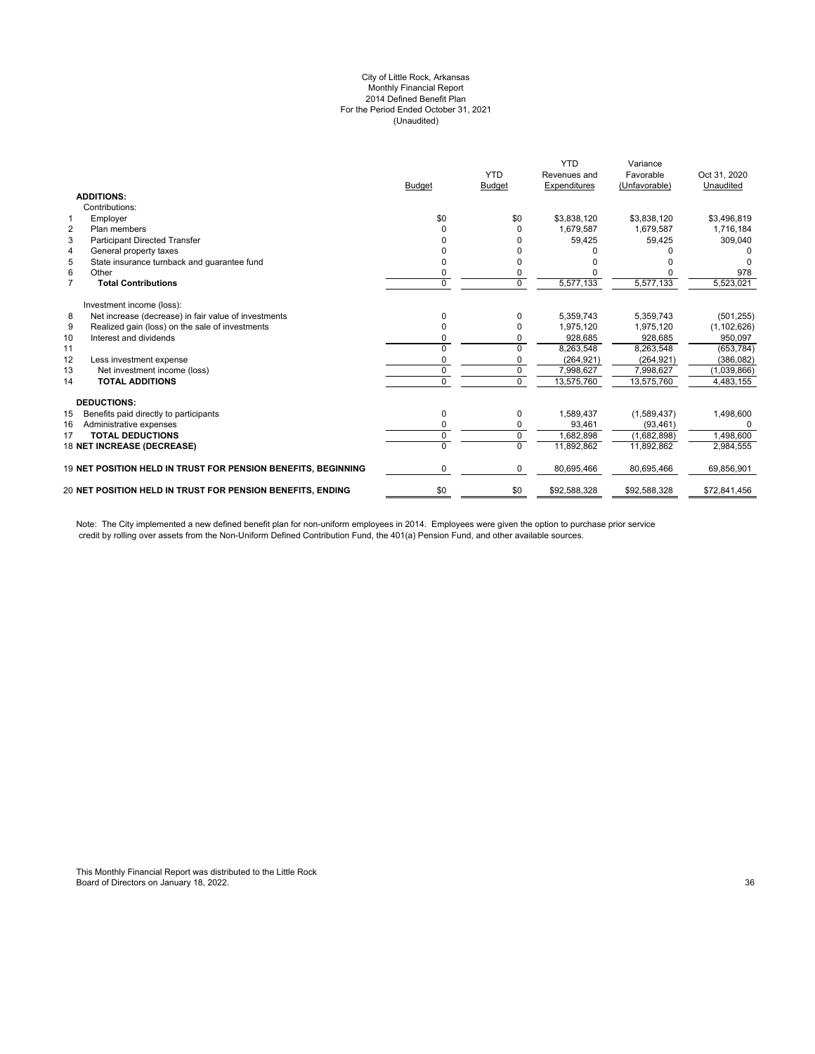### City of Little Rock, Arkansas Monthly Financial Report 2014 Defined Benefit Plan For the Period Ended October 31, 2021 (Unaudited)

|                |                                                                   | <b>Budget</b> | <b>YTD</b><br><b>Budget</b> | <b>YTD</b><br>Revenues and<br>Expenditures | Variance<br>Favorable<br>(Unfavorable) | Oct 31, 2020<br>Unaudited |
|----------------|-------------------------------------------------------------------|---------------|-----------------------------|--------------------------------------------|----------------------------------------|---------------------------|
|                | <b>ADDITIONS:</b>                                                 |               |                             |                                            |                                        |                           |
|                | Contributions:                                                    |               |                             |                                            |                                        |                           |
| $\mathbf{1}$   | Employer                                                          | \$0           | \$0                         | \$3,838,120                                | \$3,838,120                            | \$3,496,819               |
| $\overline{2}$ | Plan members                                                      | ŋ             | <sup>0</sup>                | 1,679,587                                  | 1,679,587                              | 1,716,184                 |
| 3              | <b>Participant Directed Transfer</b>                              |               |                             | 59,425                                     | 59,425                                 | 309,040                   |
| 4              | General property taxes                                            |               |                             |                                            |                                        |                           |
| 5              | State insurance turnback and quarantee fund                       | ŋ             | n                           |                                            |                                        |                           |
| 6              | Other                                                             | 0             | $\Omega$                    |                                            |                                        | 978                       |
| $\overline{7}$ | <b>Total Contributions</b>                                        | $\Omega$      | $\Omega$                    | 5,577,133                                  | 5,577,133                              | 5,523,021                 |
|                | Investment income (loss):                                         |               |                             |                                            |                                        |                           |
| 8              | Net increase (decrease) in fair value of investments              | 0             | 0                           | 5.359.743                                  | 5.359.743                              | (501, 255)                |
| 9              | Realized gain (loss) on the sale of investments                   |               |                             | 1,975,120                                  | 1,975,120                              | (1, 102, 626)             |
| 10             | Interest and dividends                                            |               |                             | 928,685                                    | 928,685                                | 950,097                   |
| 11             |                                                                   | ŋ             | <sup>n</sup>                | 8,263,548                                  | 8,263,548                              | (653, 784)                |
| 12             | Less investment expense                                           | ŋ             |                             | (264, 921)                                 | (264, 921)                             | (386, 082)                |
| 13             | Net investment income (loss)                                      | $\Omega$      | $\Omega$                    | 7.998.627                                  | 7.998.627                              | (1,039,866)               |
| 14             | <b>TOTAL ADDITIONS</b>                                            | 0             | $\Omega$                    | 13,575,760                                 | 13,575,760                             | 4,483,155                 |
|                | <b>DEDUCTIONS:</b>                                                |               |                             |                                            |                                        |                           |
| 15             | Benefits paid directly to participants                            | 0             | 0                           | 1,589,437                                  | (1,589,437)                            | 1,498,600                 |
| 16             | Administrative expenses                                           | ŋ             | 0                           | 93,461                                     | (93, 461)                              | $\Omega$                  |
| 17             | <b>TOTAL DEDUCTIONS</b>                                           | $\Omega$      | $\mathbf 0$                 | 1.682.898                                  | (1,682,898)                            | 1,498,600                 |
|                | 18 NET INCREASE (DECREASE)                                        | U             | $\Omega$                    | 11,892,862                                 | 11,892,862                             | 2,984,555                 |
|                | 19 NET POSITION HELD IN TRUST FOR PENSION BENEFITS, BEGINNING     | 0             | 0                           | 80,695,466                                 | 80,695,466                             | 69,856,901                |
|                | <b>20 NET POSITION HELD IN TRUST FOR PENSION BENEFITS. ENDING</b> | \$0           | \$0                         | \$92,588,328                               | \$92,588,328                           | \$72,841,456              |
|                |                                                                   |               |                             |                                            |                                        |                           |

Note: The City implemented a new defined benefit plan for non-uniform employees in 2014. Employees were given the option to purchase prior service credit by rolling over assets from the Non-Uniform Defined Contribution Fund, the 401(a) Pension Fund, and other available sources.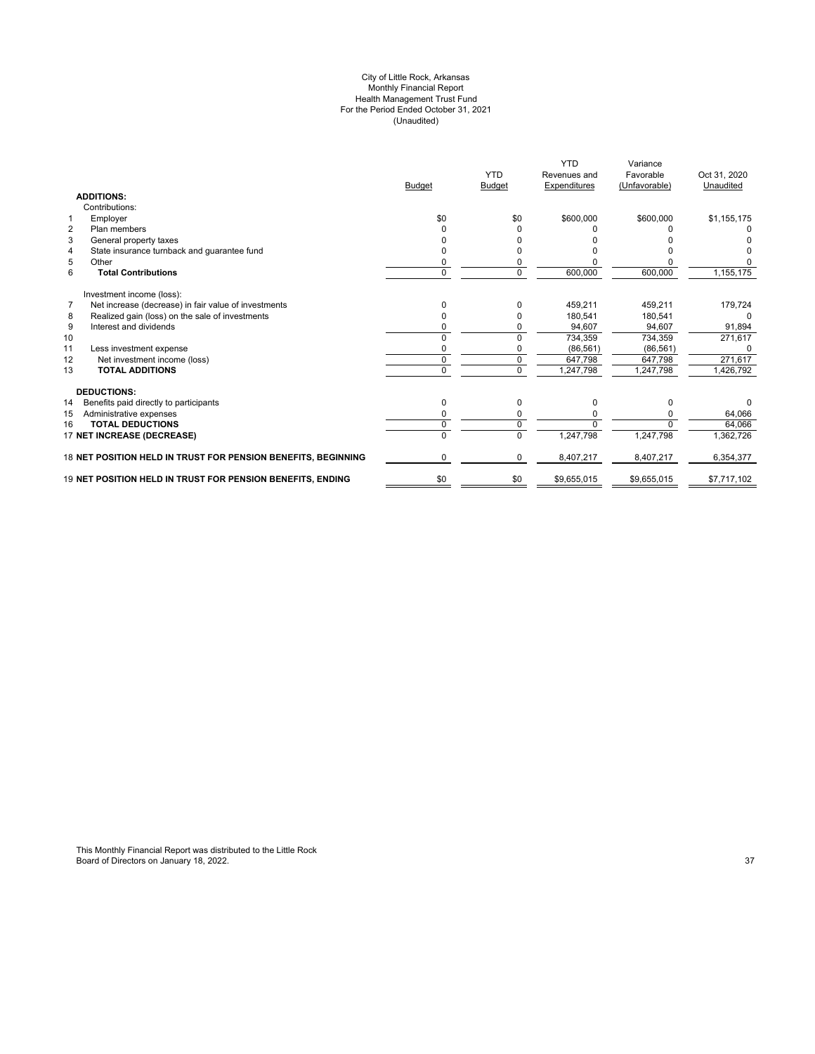#### City of Little Rock, Arkansas Monthly Financial Report Health Management Trust Fund For the Period Ended October 31, 2021 (Unaudited)

|                                                                        | <b>Budget</b> | <b>YTD</b><br><b>Budget</b> | <b>YTD</b><br>Revenues and<br>Expenditures | Variance<br>Favorable<br>(Unfavorable) | Oct 31, 2020<br>Unaudited |
|------------------------------------------------------------------------|---------------|-----------------------------|--------------------------------------------|----------------------------------------|---------------------------|
| <b>ADDITIONS:</b>                                                      |               |                             |                                            |                                        |                           |
| Contributions:                                                         |               |                             |                                            |                                        |                           |
| $\mathbf{1}$<br>Employer                                               | \$0           | \$0                         | \$600,000                                  | \$600,000                              | \$1,155,175               |
| $\overline{2}$<br>Plan members                                         | ŋ             |                             |                                            |                                        |                           |
| 3<br>General property taxes                                            |               |                             |                                            |                                        |                           |
| State insurance turnback and guarantee fund<br>$\overline{4}$          |               |                             |                                            |                                        |                           |
| 5<br>Other                                                             | 0             |                             |                                            |                                        |                           |
| 6<br><b>Total Contributions</b>                                        | 0             | $\Omega$                    | 600,000                                    | 600,000                                | 1,155,175                 |
| Investment income (loss):                                              |               |                             |                                            |                                        |                           |
| $\overline{7}$<br>Net increase (decrease) in fair value of investments | 0             |                             | 459.211                                    | 459,211                                | 179,724                   |
| Realized gain (loss) on the sale of investments<br>8                   | 0             |                             | 180.541                                    | 180.541                                | 0                         |
| 9<br>Interest and dividends                                            | ŋ             |                             | 94,607                                     | 94,607                                 | 91,894                    |
| 10                                                                     |               |                             | 734,359                                    | 734,359                                | 271,617                   |
| 11<br>Less investment expense                                          |               |                             | (86, 561)                                  | (86, 561)                              |                           |
| 12<br>Net investment income (loss)                                     | O             | 0                           | 647,798                                    | 647,798                                | 271,617                   |
| 13<br><b>TOTAL ADDITIONS</b>                                           | 0             | $\Omega$                    | 1,247,798                                  | 1,247,798                              | 1,426,792                 |
| <b>DEDUCTIONS:</b>                                                     |               |                             |                                            |                                        |                           |
| 14<br>Benefits paid directly to participants                           | 0             | $\Omega$                    | $\Omega$                                   | 0                                      | 0                         |
| 15<br>Administrative expenses                                          | ŋ             |                             | 0                                          |                                        | 64.066                    |
| <b>TOTAL DEDUCTIONS</b><br>16                                          | 0             | $\Omega$                    | $\Omega$                                   | $\Omega$                               | 64,066                    |
| 17 NET INCREASE (DECREASE)                                             |               |                             | 1,247,798                                  | 1,247,798                              | 1,362,726                 |
| 18 NET POSITION HELD IN TRUST FOR PENSION BENEFITS, BEGINNING          | 0             | $\Omega$                    | 8,407,217                                  | 8,407,217                              | 6,354,377                 |
| 19 NET POSITION HELD IN TRUST FOR PENSION BENEFITS, ENDING             | \$0           | \$0                         | \$9,655,015                                | \$9,655,015                            | \$7,717,102               |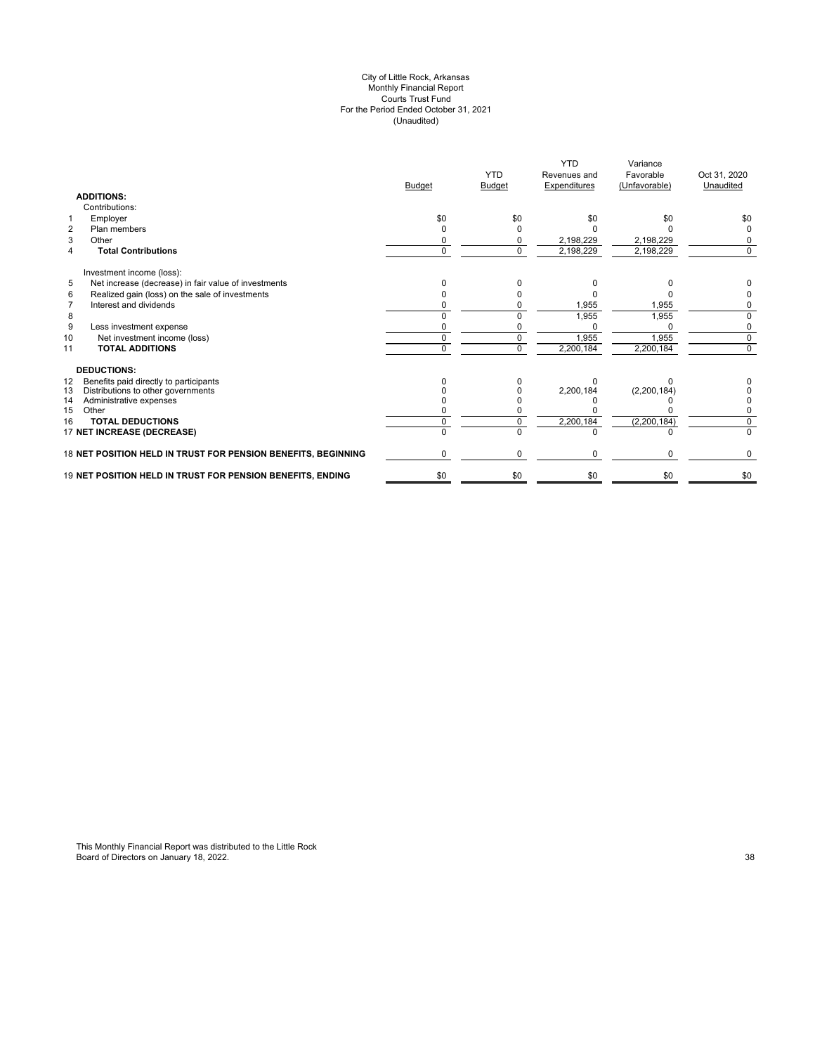#### City of Little Rock, Arkansas Monthly Financial Report Courts Trust Fund For the Period Ended October 31, 2021 (Unaudited)

|                                                               | <b>Budget</b> | <b>YTD</b><br><b>Budget</b> | <b>YTD</b><br>Revenues and<br>Expenditures | Variance<br>Favorable<br>(Unfavorable) | Oct 31, 2020<br>Unaudited |
|---------------------------------------------------------------|---------------|-----------------------------|--------------------------------------------|----------------------------------------|---------------------------|
| <b>ADDITIONS:</b>                                             |               |                             |                                            |                                        |                           |
| Contributions:                                                |               |                             |                                            |                                        |                           |
| Employer<br>1                                                 | \$0           | \$0                         | \$0                                        | \$0                                    | \$0                       |
| $\overline{2}$<br>Plan members                                |               |                             |                                            |                                        | 0                         |
| 3<br>Other                                                    |               | <sup>0</sup>                | 2,198,229                                  | 2,198,229                              | 0                         |
| <b>Total Contributions</b><br>4                               | $\Omega$      | $\Omega$                    | 2,198,229                                  | 2,198,229                              | $\Omega$                  |
| Investment income (loss):                                     |               |                             |                                            |                                        |                           |
| 5<br>Net increase (decrease) in fair value of investments     |               | n                           |                                            | n                                      |                           |
| Realized gain (loss) on the sale of investments<br>6          |               |                             |                                            |                                        |                           |
| Interest and dividends<br>$\overline{7}$                      |               |                             | 1,955                                      | 1,955                                  | 0                         |
| 8                                                             |               | <sup>0</sup>                | 1,955                                      | 1,955                                  | 0                         |
| 9<br>Less investment expense                                  |               |                             |                                            | $\Omega$                               | 0                         |
| 10<br>Net investment income (loss)                            | 0             | $\mathbf 0$                 | 1,955                                      | 1,955                                  | $\mathbf 0$               |
| <b>TOTAL ADDITIONS</b><br>11                                  | 0             | $\Omega$                    | 2,200,184                                  | 2,200,184                              | 0                         |
| <b>DEDUCTIONS:</b>                                            |               |                             |                                            |                                        |                           |
| Benefits paid directly to participants<br>12                  |               |                             |                                            |                                        |                           |
| 13<br>Distributions to other governments                      |               |                             | 2,200,184                                  | (2,200,184)                            |                           |
| 14<br>Administrative expenses                                 |               |                             |                                            |                                        |                           |
| 15<br>Other                                                   |               |                             |                                            |                                        |                           |
| <b>TOTAL DEDUCTIONS</b><br>16                                 |               |                             | 2,200,184                                  | (2, 200, 184)                          | $\Omega$                  |
| 17 NET INCREASE (DECREASE)                                    |               |                             |                                            |                                        | U                         |
| 18 NET POSITION HELD IN TRUST FOR PENSION BENEFITS, BEGINNING | 0             | $\mathbf 0$                 | 0                                          | $\Omega$                               | 0                         |
| 19 NET POSITION HELD IN TRUST FOR PENSION BENEFITS, ENDING    | \$0           | \$0                         | \$0                                        | \$0                                    | \$0                       |
|                                                               |               |                             |                                            |                                        |                           |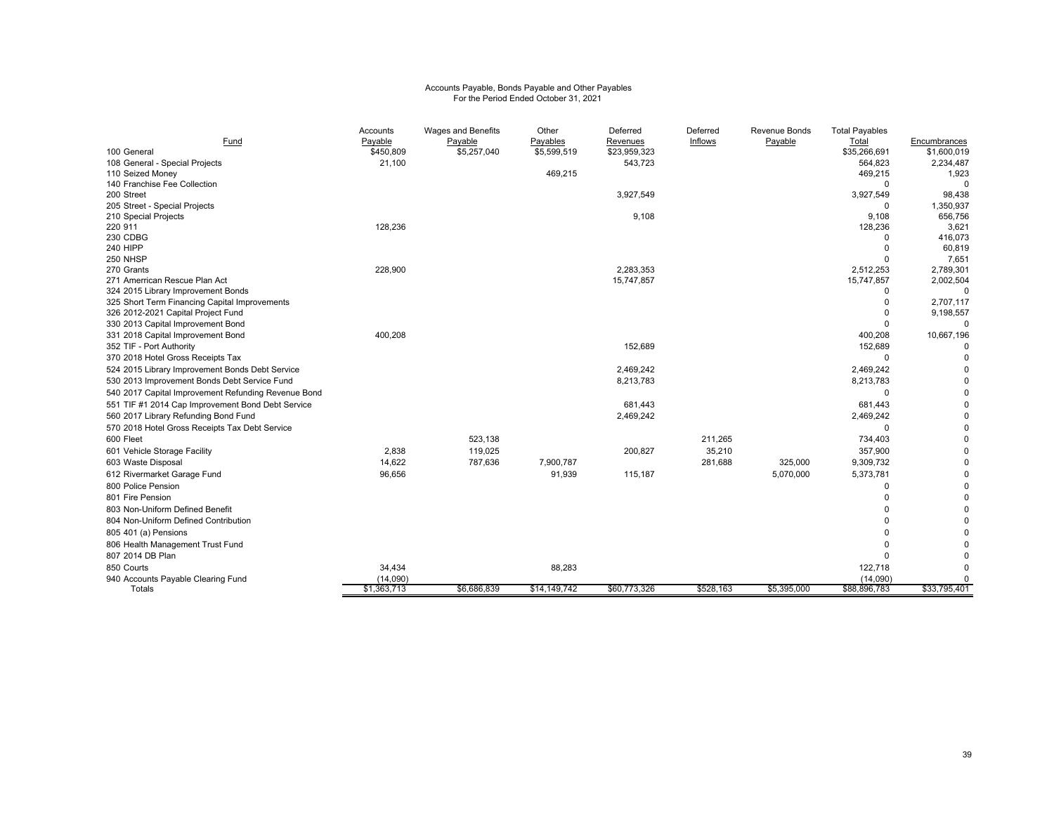# Accounts Payable, Bonds Payable and Other Payables For the Period Ended October 31, 2021

|                                                     | Accounts    | <b>Wages and Benefits</b> | Other        | Deferred     | Deferred  | Revenue Bonds | <b>Total Payables</b>   |                 |
|-----------------------------------------------------|-------------|---------------------------|--------------|--------------|-----------|---------------|-------------------------|-----------------|
| Fund                                                | Payable     | Payable                   | Payables     | Revenues     | Inflows   | Payable       | Total                   | Encumbrances    |
| 100 General                                         | \$450,809   | \$5,257,040               | \$5,599,519  | \$23,959,323 |           |               | \$35,266,691            | \$1,600,019     |
| 108 General - Special Projects                      | 21,100      |                           |              | 543,723      |           |               | 564,823                 | 2,234,487       |
| 110 Seized Money                                    |             |                           | 469,215      |              |           |               | 469,215                 | 1,923           |
| 140 Franchise Fee Collection                        |             |                           |              |              |           |               | $\Omega$                |                 |
| 200 Street                                          |             |                           |              | 3,927,549    |           |               | 3,927,549               | 98,438          |
| 205 Street - Special Projects                       |             |                           |              |              |           |               | $\mathbf 0$             | 1,350,937       |
| 210 Special Projects                                |             |                           |              | 9,108        |           |               | 9,108                   | 656,756         |
| 220 911                                             | 128,236     |                           |              |              |           |               | 128,236                 | 3,621           |
| 230 CDBG<br><b>240 HIPP</b>                         |             |                           |              |              |           |               | $\Omega$                | 416,073         |
| 250 NHSP                                            |             |                           |              |              |           |               | $\mathbf 0$<br>$\Omega$ | 60,819<br>7,651 |
| 270 Grants                                          | 228,900     |                           |              | 2,283,353    |           |               | 2,512,253               | 2,789,301       |
| 271 Amerrican Rescue Plan Act                       |             |                           |              | 15,747,857   |           |               | 15,747,857              | 2,002,504       |
| 324 2015 Library Improvement Bonds                  |             |                           |              |              |           |               | $\Omega$                | $\Omega$        |
| 325 Short Term Financing Capital Improvements       |             |                           |              |              |           |               | $\mathbf 0$             | 2,707,117       |
| 326 2012-2021 Capital Project Fund                  |             |                           |              |              |           |               | $\Omega$                | 9,198,557       |
| 330 2013 Capital Improvement Bond                   |             |                           |              |              |           |               | $\Omega$                |                 |
| 331 2018 Capital Improvement Bond                   | 400,208     |                           |              |              |           |               | 400,208                 | 10,667,196      |
| 352 TIF - Port Authority                            |             |                           |              | 152,689      |           |               | 152,689                 |                 |
| 370 2018 Hotel Gross Receipts Tax                   |             |                           |              |              |           |               | $\mathbf 0$             | $\Omega$        |
| 524 2015 Library Improvement Bonds Debt Service     |             |                           |              | 2,469,242    |           |               | 2,469,242               | 0               |
| 530 2013 Improvement Bonds Debt Service Fund        |             |                           |              | 8,213,783    |           |               | 8,213,783               | U               |
| 540 2017 Capital Improvement Refunding Revenue Bond |             |                           |              |              |           |               | $\mathbf 0$             | 0               |
| 551 TIF #1 2014 Cap Improvement Bond Debt Service   |             |                           |              | 681,443      |           |               | 681,443                 |                 |
| 560 2017 Library Refunding Bond Fund                |             |                           |              | 2,469,242    |           |               | 2,469,242               |                 |
| 570 2018 Hotel Gross Receipts Tax Debt Service      |             |                           |              |              |           |               | 0                       | 0               |
|                                                     |             |                           |              |              |           |               |                         |                 |
| 600 Fleet                                           |             | 523,138                   |              |              | 211,265   |               | 734,403                 | 0               |
| 601 Vehicle Storage Facility                        | 2,838       | 119,025                   |              | 200,827      | 35,210    |               | 357,900                 | 0               |
| 603 Waste Disposal                                  | 14,622      | 787,636                   | 7,900,787    |              | 281,688   | 325,000       | 9,309,732               | 0               |
| 612 Rivermarket Garage Fund                         | 96,656      |                           | 91,939       | 115,187      |           | 5,070,000     | 5,373,781               |                 |
| 800 Police Pension                                  |             |                           |              |              |           |               | $\Omega$                |                 |
| 801 Fire Pension                                    |             |                           |              |              |           |               | $\Omega$                | U               |
| 803 Non-Uniform Defined Benefit                     |             |                           |              |              |           |               |                         | 0               |
| 804 Non-Uniform Defined Contribution                |             |                           |              |              |           |               | $\Omega$                | 0               |
| 805 401 (a) Pensions                                |             |                           |              |              |           |               | $\Omega$                | 0               |
| 806 Health Management Trust Fund                    |             |                           |              |              |           |               | $\Omega$                |                 |
| 807 2014 DB Plan                                    |             |                           |              |              |           |               | $\Omega$                |                 |
| 850 Courts                                          | 34,434      |                           | 88,283       |              |           |               | 122,718                 |                 |
| 940 Accounts Payable Clearing Fund                  | (14,090)    |                           |              |              |           |               | (14,090)                |                 |
| Totals                                              | \$1,363,713 | \$6,686,839               | \$14,149,742 | \$60,773,326 | \$528,163 | \$5,395,000   | \$88,896,783            | \$33,795,401    |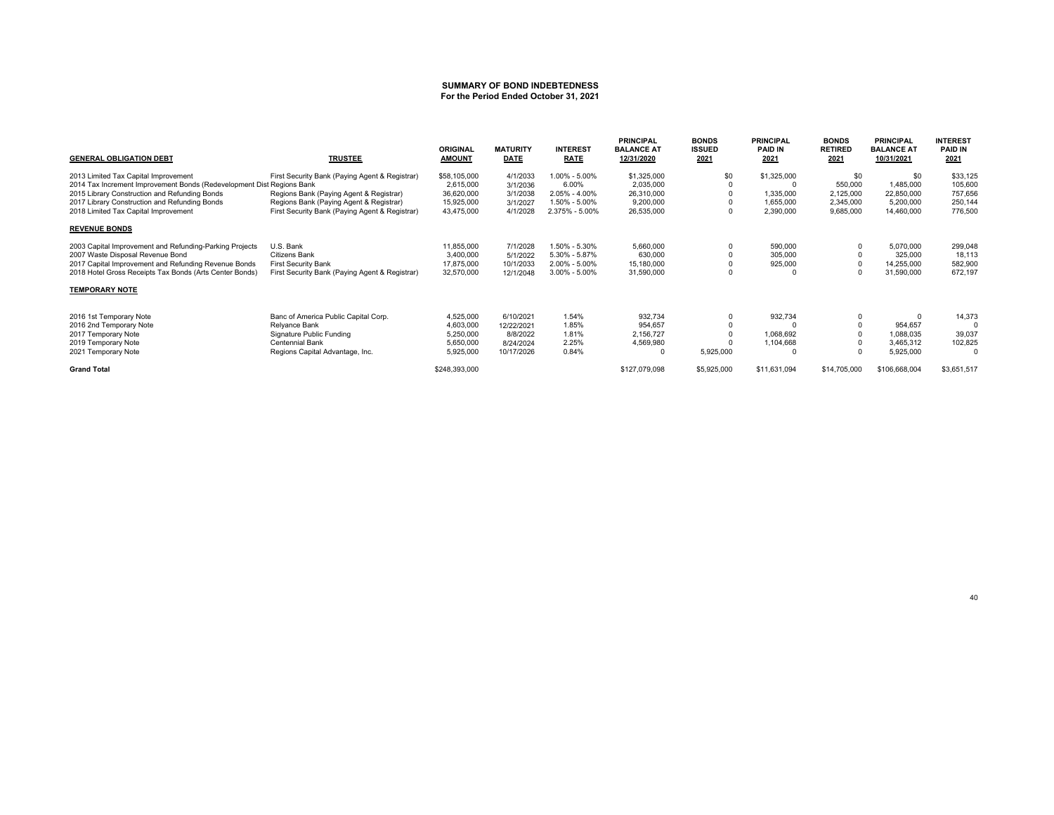#### **SUMMARY OF BOND INDEBTEDNESSFor the Period Ended October 31, 2021**

| <b>GENERAL OBLIGATION DEBT</b>                                        | <b>TRUSTEE</b>                                 | <b>ORIGINAL</b><br><b>AMOUNT</b> | <b>MATURITY</b><br><b>DATE</b> | <b>INTEREST</b><br><b>RATE</b> | <b>PRINCIPAL</b><br><b>BALANCE AT</b><br>12/31/2020 | <b>BONDS</b><br><b>ISSUED</b><br>2021 | <b>PRINCIPAL</b><br><b>PAID IN</b><br>2021 | <b>BONDS</b><br><b>RETIRED</b><br>2021 | <b>PRINCIPAL</b><br><b>BALANCE AT</b><br>10/31/2021 | <b>INTEREST</b><br><b>PAID IN</b><br>2021 |
|-----------------------------------------------------------------------|------------------------------------------------|----------------------------------|--------------------------------|--------------------------------|-----------------------------------------------------|---------------------------------------|--------------------------------------------|----------------------------------------|-----------------------------------------------------|-------------------------------------------|
| 2013 Limited Tax Capital Improvement                                  | First Security Bank (Paying Agent & Registrar) | \$58,105,000                     | 4/1/2033                       | 1.00% - 5.00%                  | \$1,325,000                                         | \$0                                   | \$1,325,000                                | \$0                                    | \$0                                                 | \$33,125                                  |
| 2014 Tax Increment Improvement Bonds (Redevelopment Dist Regions Bank |                                                | 2,615,000                        | 3/1/2036                       | 6.00%                          | 2,035,000                                           |                                       | $\Omega$                                   | 550,000                                | 1,485,000                                           | 105,600                                   |
| 2015 Library Construction and Refunding Bonds                         | Regions Bank (Paying Agent & Registrar)        | 36,620,000                       | 3/1/2038                       | $2.05\% - 4.00\%$              | 26,310,000                                          |                                       | 1,335,000                                  | 2,125,000                              | 22,850,000                                          | 757,656                                   |
| 2017 Library Construction and Refunding Bonds                         | Regions Bank (Paying Agent & Registrar)        | 15,925,000                       | 3/1/2027                       | 1.50% - 5.00%                  | 9,200,000                                           |                                       | 1,655,000                                  | 2,345,000                              | 5,200,000                                           | 250,144                                   |
| 2018 Limited Tax Capital Improvement                                  | First Security Bank (Paying Agent & Registrar) | 43,475,000                       | 4/1/2028                       | 2.375% - 5.00%                 | 26,535,000                                          |                                       | 2,390,000                                  | 9,685,000                              | 14,460,000                                          | 776,500                                   |
| <b>REVENUE BONDS</b>                                                  |                                                |                                  |                                |                                |                                                     |                                       |                                            |                                        |                                                     |                                           |
| 2003 Capital Improvement and Refunding-Parking Projects               | U.S. Bank                                      | 11,855,000                       | 7/1/2028                       | 1.50% - 5.30%                  | 5,660,000                                           |                                       | 590,000                                    |                                        | 5,070,000                                           | 299,048                                   |
| 2007 Waste Disposal Revenue Bond                                      | <b>Citizens Bank</b>                           | 3,400,000                        | 5/1/2022                       | 5.30% - 5.87%                  | 630,000                                             |                                       | 305,000                                    |                                        | 325,000                                             | 18,113                                    |
| 2017 Capital Improvement and Refunding Revenue Bonds                  | <b>First Security Bank</b>                     | 17,875,000                       | 10/1/2033                      | 2.00% - 5.00%                  | 15,180,000                                          |                                       | 925,000                                    |                                        | 14,255,000                                          | 582,900                                   |
| 2018 Hotel Gross Receipts Tax Bonds (Arts Center Bonds)               | First Security Bank (Paying Agent & Registrar) | 32,570,000                       | 12/1/2048                      | $3.00\% - 5.00\%$              | 31,590,000                                          |                                       |                                            |                                        | 31,590,000                                          | 672,197                                   |
| <b>TEMPORARY NOTE</b>                                                 |                                                |                                  |                                |                                |                                                     |                                       |                                            |                                        |                                                     |                                           |
| 2016 1st Temporary Note                                               | Banc of America Public Capital Corp.           | 4,525,000                        | 6/10/2021                      | 1.54%                          | 932,734                                             |                                       | 932,734                                    |                                        | $\Omega$                                            | 14,373                                    |
| 2016 2nd Temporary Note                                               | Relyance Bank                                  | 4,603,000                        | 12/22/2021                     | 1.85%                          | 954,657                                             |                                       |                                            |                                        | 954,657                                             |                                           |
| 2017 Temporary Note                                                   | Signature Public Funding                       | 5,250,000                        | 8/8/2022                       | 1.81%                          | 2,156,727                                           |                                       | 1,068,692                                  |                                        | 1,088,035                                           | 39,037                                    |
| 2019 Temporary Note                                                   | Centennial Bank                                | 5,650,000                        | 8/24/2024                      | 2.25%                          | 4,569,980                                           |                                       | 1,104,668                                  |                                        | 3,465,312                                           | 102,825                                   |
| 2021 Temporary Note                                                   | Regions Capital Advantage, Inc.                | 5,925,000                        | 10/17/2026                     | 0.84%                          |                                                     | 5,925,000                             | $\Omega$                                   |                                        | 5,925,000                                           |                                           |
| <b>Grand Total</b>                                                    |                                                | \$248,393,000                    |                                |                                | \$127,079,098                                       | \$5,925,000                           | \$11,631,094                               | \$14,705,000                           | \$106,668,004                                       | \$3,651,517                               |